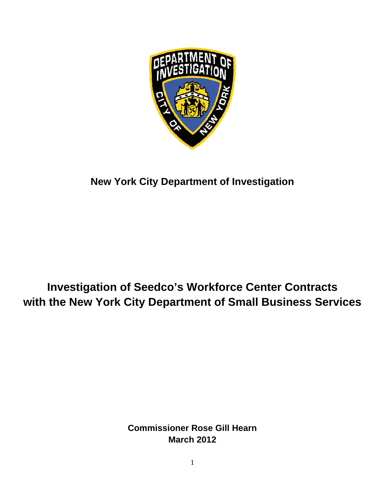

**New York City Department of Investigation** 

# with the New York City Department of Small Business Services Investigation of Seedco's Workforce Center Contracts **2**<br>**2**<br>estigation<br>of Small Busin<br>estill Hearn<br>of Mearn<br>of Mearn<br>of Mearn<br>of Mearn

**Commissioner Rose Gill Hearn Ma arch 2012**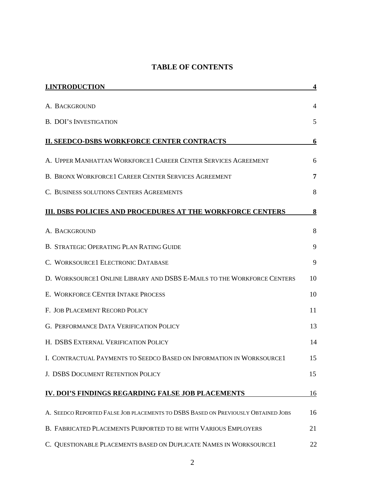# **TABLE OF CONTENTS**

| <b>I.INTRODUCTION</b>                                                             | 4  |
|-----------------------------------------------------------------------------------|----|
| A. BACKGROUND                                                                     | 4  |
| <b>B. DOI'S INVESTIGATION</b>                                                     | 5  |
| <b>II. SEEDCO-DSBS WORKFORCE CENTER CONTRACTS</b>                                 | 6  |
| A. UPPER MANHATTAN WORKFORCE1 CAREER CENTER SERVICES AGREEMENT                    | 6  |
| <b>B. BRONX WORKFORCE1 CAREER CENTER SERVICES AGREEMENT</b>                       | 7  |
| C. BUSINESS SOLUTIONS CENTERS AGREEMENTS                                          | 8  |
| <b>III. DSBS POLICIES AND PROCEDURES AT THE WORKFORCE CENTERS</b>                 | 8  |
| A. BACKGROUND                                                                     | 8  |
| B. STRATEGIC OPERATING PLAN RATING GUIDE                                          | 9  |
| C. WORKSOURCE1 ELECTRONIC DATABASE                                                | 9  |
| D. WORKSOURCE1 ONLINE LIBRARY AND DSBS E-MAILS TO THE WORKFORCE CENTERS           | 10 |
| E. WORKFORCE CENTER INTAKE PROCESS                                                | 10 |
| F. JOB PLACEMENT RECORD POLICY                                                    | 11 |
| <b>G. PERFORMANCE DATA VERIFICATION POLICY</b>                                    | 13 |
| H. DSBS EXTERNAL VERIFICATION POLICY                                              | 14 |
| I. CONTRACTUAL PAYMENTS TO SEEDCO BASED ON INFORMATION IN WORKSOURCE1             | 15 |
| J. DSBS DOCUMENT RETENTION POLICY                                                 | 15 |
| IV. DOI'S FINDINGS REGARDING FALSE JOB PLACEMENTS                                 | 16 |
| A. SEEDCO REPORTED FALSE JOB PLACEMENTS TO DSBS BASED ON PREVIOUSLY OBTAINED JOBS | 16 |
| B. FABRICATED PLACEMENTS PURPORTED TO BE WITH VARIOUS EMPLOYERS                   | 21 |
| C. QUESTIONABLE PLACEMENTS BASED ON DUPLICATE NAMES IN WORKSOURCE1                | 22 |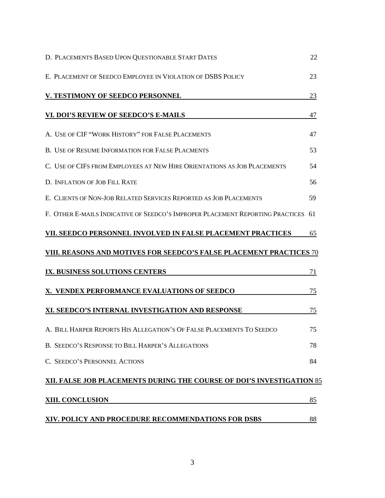| D. PLACEMENTS BASED UPON QUESTIONABLE START DATES                                 | 22 |
|-----------------------------------------------------------------------------------|----|
| E. PLACEMENT OF SEEDCO EMPLOYEE IN VIOLATION OF DSBS POLICY                       | 23 |
| V. TESTIMONY OF SEEDCO PERSONNEL                                                  | 23 |
| VI. DOI'S REVIEW OF SEEDCO'S E-MAILS                                              | 47 |
| A. USE OF CIF "WORK HISTORY" FOR FALSE PLACEMENTS                                 | 47 |
| B. USE OF RESUME INFORMATION FOR FALSE PLACMENTS                                  | 53 |
| C. USE OF CIFS FROM EMPLOYEES AT NEW HIRE ORIENTATIONS AS JOB PLACEMENTS          | 54 |
| D. INFLATION OF JOB FILL RATE                                                     | 56 |
| E. CLIENTS OF NON-JOB RELATED SERVICES REPORTED AS JOB PLACEMENTS                 | 59 |
| F. OTHER E-MAILS INDICATIVE OF SEEDCO'S IMPROPER PLACEMENT REPORTING PRACTICES 61 |    |
| VII. SEEDCO PERSONNEL INVOLVED IN FALSE PLACEMENT PRACTICES                       | 65 |
| VIII. REASONS AND MOTIVES FOR SEEDCO'S FALSE PLACEMENT PRACTICES 70               |    |
| IX. BUSINESS SOLUTIONS CENTERS                                                    | 71 |
| X. VENDEX PERFORMANCE EVALUATIONS OF SEEDCO                                       | 75 |
| XI. SEEDCO'S INTERNAL INVESTIGATION AND RESPONSE                                  | 75 |
| A. BILL HARPER REPORTS HIS ALLEGATION'S OF FALSE PLACEMENTS TO SEEDCO             | 75 |
| B. SEEDCO'S RESPONSE TO BILL HARPER'S ALLEGATIONS                                 | 78 |
| C. SEEDCO'S PERSONNEL ACTIONS                                                     | 84 |
| XII. FALSE JOB PLACEMENTS DURING THE COURSE OF DOI'S INVESTIGATION 85             |    |
| <b>XIII. CONCLUSION</b>                                                           | 85 |
| XIV. POLICY AND PROCEDURE RECOMMENDATIONS FOR DSBS                                | 88 |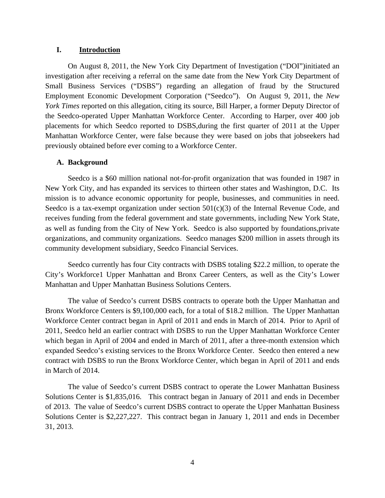## **I. Introduction**

 On August 8, 2011, the New York City Department of Investigation ("DOI")initiated an investigation after receiving a referral on the same date from the New York City Department of Small Business Services ("DSBS") regarding an allegation of fraud by the Structured Employment Economic Development Corporation ("Seedco"). On August 9, 2011, the *New York Times* reported on this allegation, citing its source, Bill Harper, a former Deputy Director of the Seedco-operated Upper Manhattan Workforce Center. According to Harper, over 400 job placements for which Seedco reported to DSBS,during the first quarter of 2011 at the Upper Manhattan Workforce Center, were false because they were based on jobs that jobseekers had previously obtained before ever coming to a Workforce Center.

## **A. Background**

 Seedco is a \$60 million national not-for-profit organization that was founded in 1987 in New York City, and has expanded its services to thirteen other states and Washington, D.C. Its mission is to advance economic opportunity for people, businesses, and communities in need. Seedco is a tax-exempt organization under section  $501(c)(3)$  of the Internal Revenue Code, and receives funding from the federal government and state governments, including New York State, as well as funding from the City of New York. Seedco is also supported by foundations,private organizations, and community organizations. Seedco manages \$200 million in assets through its community development subsidiary, Seedco Financial Services.

Seedco currently has four City contracts with DSBS totaling \$22.2 million, to operate the City's Workforce1 Upper Manhattan and Bronx Career Centers, as well as the City's Lower Manhattan and Upper Manhattan Business Solutions Centers.

The value of Seedco's current DSBS contracts to operate both the Upper Manhattan and Bronx Workforce Centers is \$9,100,000 each, for a total of \$18.2 million. The Upper Manhattan Workforce Center contract began in April of 2011 and ends in March of 2014. Prior to April of 2011, Seedco held an earlier contract with DSBS to run the Upper Manhattan Workforce Center which began in April of 2004 and ended in March of 2011, after a three-month extension which expanded Seedco's existing services to the Bronx Workforce Center. Seedco then entered a new contract with DSBS to run the Bronx Workforce Center, which began in April of 2011 and ends in March of 2014.

The value of Seedco's current DSBS contract to operate the Lower Manhattan Business Solutions Center is \$1,835,016. This contract began in January of 2011 and ends in December of 2013. The value of Seedco's current DSBS contract to operate the Upper Manhattan Business Solutions Center is \$2,227,227. This contract began in January 1, 2011 and ends in December 31, 2013.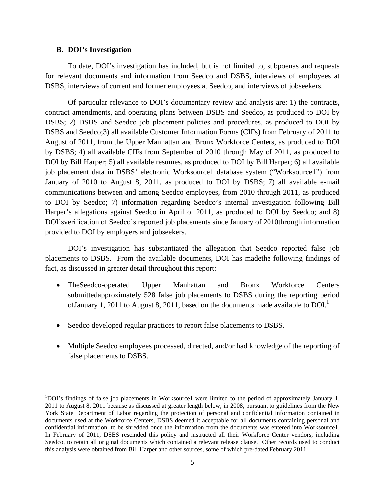#### **B. DOI's Investigation**

1

 To date, DOI's investigation has included, but is not limited to, subpoenas and requests for relevant documents and information from Seedco and DSBS, interviews of employees at DSBS, interviews of current and former employees at Seedco, and interviews of jobseekers.

Of particular relevance to DOI's documentary review and analysis are: 1) the contracts, contract amendments, and operating plans between DSBS and Seedco, as produced to DOI by DSBS; 2) DSBS and Seedco job placement policies and procedures, as produced to DOI by DSBS and Seedco;3) all available Customer Information Forms (CIFs) from February of 2011 to August of 2011, from the Upper Manhattan and Bronx Workforce Centers, as produced to DOI by DSBS; 4) all available CIFs from September of 2010 through May of 2011, as produced to DOI by Bill Harper; 5) all available resumes, as produced to DOI by Bill Harper; 6) all available job placement data in DSBS' electronic Worksource1 database system ("Worksource1") from January of 2010 to August 8, 2011, as produced to DOI by DSBS; 7) all available e-mail communications between and among Seedco employees, from 2010 through 2011, as produced to DOI by Seedco; 7) information regarding Seedco's internal investigation following Bill Harper's allegations against Seedco in April of 2011, as produced to DOI by Seedco; and 8) DOI'sverification of Seedco's reported job placements since January of 2010through information provided to DOI by employers and jobseekers.

DOI's investigation has substantiated the allegation that Seedco reported false job placements to DSBS. From the available documents, DOI has madethe following findings of fact, as discussed in greater detail throughout this report:

- TheSeedco-operated Upper Manhattan and Bronx Workforce Centers submittedapproximately 528 false job placements to DSBS during the reporting period ofJanuary 1, 2011 to August 8, 2011, based on the documents made available to DOI.<sup>1</sup>
- Seedco developed regular practices to report false placements to DSBS.
- Multiple Seedco employees processed, directed, and/or had knowledge of the reporting of false placements to DSBS.

<sup>&</sup>lt;sup>1</sup>DOI's findings of false job placements in Worksource1 were limited to the period of approximately January 1, 2011 to August 8, 2011 because as discussed at greater length below, in 2008, pursuant to guidelines from the New York State Department of Labor regarding the protection of personal and confidential information contained in documents used at the Workforce Centers, DSBS deemed it acceptable for all documents containing personal and confidential information, to be shredded once the information from the documents was entered into Worksource1. In February of 2011, DSBS rescinded this policy and instructed all their Workforce Center vendors, including Seedco, to retain all original documents which contained a relevant release clause. Other records used to conduct this analysis were obtained from Bill Harper and other sources, some of which pre-dated February 2011.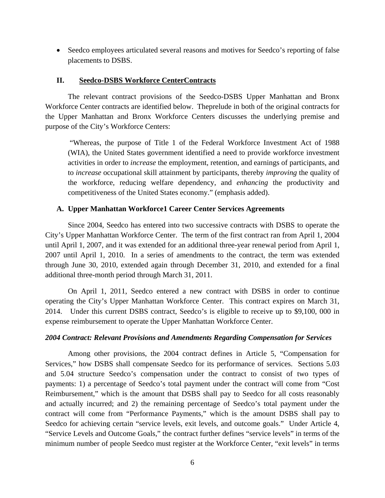• Seedco employees articulated several reasons and motives for Seedco's reporting of false placements to DSBS.

## **II. Seedco-DSBS Workforce CenterContracts**

The relevant contract provisions of the Seedco-DSBS Upper Manhattan and Bronx Workforce Center contracts are identified below. Theprelude in both of the original contracts for the Upper Manhattan and Bronx Workforce Centers discusses the underlying premise and purpose of the City's Workforce Centers:

"Whereas, the purpose of Title 1 of the Federal Workforce Investment Act of 1988 (WIA), the United States government identified a need to provide workforce investment activities in order to *increase* the employment, retention, and earnings of participants, and to *increase* occupational skill attainment by participants, thereby *improving* the quality of the workforce, reducing welfare dependency, and *enhancing* the productivity and competitiveness of the United States economy." (emphasis added).

#### **A. Upper Manhattan Workforce1 Career Center Services Agreements**

Since 2004, Seedco has entered into two successive contracts with DSBS to operate the City's Upper Manhattan Workforce Center. The term of the first contract ran from April 1, 2004 until April 1, 2007, and it was extended for an additional three-year renewal period from April 1, 2007 until April 1, 2010. In a series of amendments to the contract, the term was extended through June 30, 2010, extended again through December 31, 2010, and extended for a final additional three-month period through March 31, 2011.

On April 1, 2011, Seedco entered a new contract with DSBS in order to continue operating the City's Upper Manhattan Workforce Center. This contract expires on March 31, 2014. Under this current DSBS contract, Seedco's is eligible to receive up to \$9,100, 000 in expense reimbursement to operate the Upper Manhattan Workforce Center.

#### *2004 Contract: Relevant Provisions and Amendments Regarding Compensation for Services*

Among other provisions, the 2004 contract defines in Article 5, "Compensation for Services," how DSBS shall compensate Seedco for its performance of services. Sections 5.03 and 5.04 structure Seedco's compensation under the contract to consist of two types of payments: 1) a percentage of Seedco's total payment under the contract will come from "Cost Reimbursement," which is the amount that DSBS shall pay to Seedco for all costs reasonably and actually incurred; and 2) the remaining percentage of Seedco's total payment under the contract will come from "Performance Payments," which is the amount DSBS shall pay to Seedco for achieving certain "service levels, exit levels, and outcome goals." Under Article 4, "Service Levels and Outcome Goals," the contract further defines "service levels" in terms of the minimum number of people Seedco must register at the Workforce Center, "exit levels" in terms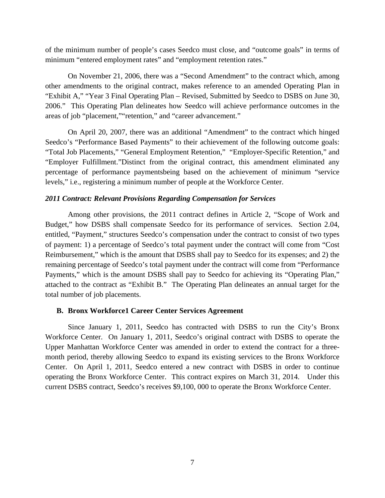of the minimum number of people's cases Seedco must close, and "outcome goals" in terms of minimum "entered employment rates" and "employment retention rates."

On November 21, 2006, there was a "Second Amendment" to the contract which, among other amendments to the original contract, makes reference to an amended Operating Plan in "Exhibit A," "Year 3 Final Operating Plan – Revised, Submitted by Seedco to DSBS on June 30, 2006." This Operating Plan delineates how Seedco will achieve performance outcomes in the areas of job "placement,""retention," and "career advancement."

On April 20, 2007, there was an additional "Amendment" to the contract which hinged Seedco's "Performance Based Payments" to their achievement of the following outcome goals: "Total Job Placements," "General Employment Retention," "Employer-Specific Retention," and "Employer Fulfillment."Distinct from the original contract, this amendment eliminated any percentage of performance paymentsbeing based on the achievement of minimum "service levels," i.e., registering a minimum number of people at the Workforce Center.

## *2011 Contract: Relevant Provisions Regarding Compensation for Services*

Among other provisions, the 2011 contract defines in Article 2, "Scope of Work and Budget," how DSBS shall compensate Seedco for its performance of services. Section 2.04, entitled, "Payment," structures Seedco's compensation under the contract to consist of two types of payment: 1) a percentage of Seedco's total payment under the contract will come from "Cost Reimbursement," which is the amount that DSBS shall pay to Seedco for its expenses; and 2) the remaining percentage of Seedco's total payment under the contract will come from "Performance Payments," which is the amount DSBS shall pay to Seedco for achieving its "Operating Plan," attached to the contract as "Exhibit B." The Operating Plan delineates an annual target for the total number of job placements.

#### **B. Bronx Workforce1 Career Center Services Agreement**

Since January 1, 2011, Seedco has contracted with DSBS to run the City's Bronx Workforce Center. On January 1, 2011, Seedco's original contract with DSBS to operate the Upper Manhattan Workforce Center was amended in order to extend the contract for a threemonth period, thereby allowing Seedco to expand its existing services to the Bronx Workforce Center. On April 1, 2011, Seedco entered a new contract with DSBS in order to continue operating the Bronx Workforce Center. This contract expires on March 31, 2014. Under this current DSBS contract, Seedco's receives \$9,100, 000 to operate the Bronx Workforce Center.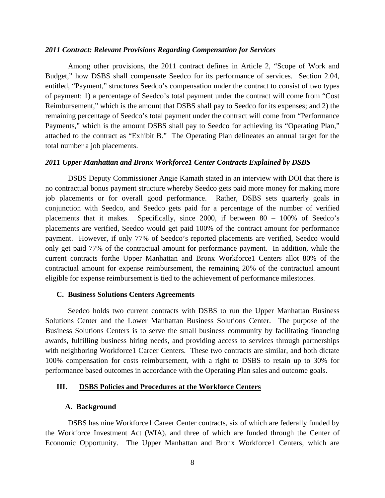#### *2011 Contract: Relevant Provisions Regarding Compensation for Services*

Among other provisions, the 2011 contract defines in Article 2, "Scope of Work and Budget," how DSBS shall compensate Seedco for its performance of services. Section 2.04, entitled, "Payment," structures Seedco's compensation under the contract to consist of two types of payment: 1) a percentage of Seedco's total payment under the contract will come from "Cost Reimbursement," which is the amount that DSBS shall pay to Seedco for its expenses; and 2) the remaining percentage of Seedco's total payment under the contract will come from "Performance Payments," which is the amount DSBS shall pay to Seedco for achieving its "Operating Plan," attached to the contract as "Exhibit B." The Operating Plan delineates an annual target for the total number a job placements.

#### *2011 Upper Manhattan and Bronx Workforce1 Center Contracts Explained by DSBS*

DSBS Deputy Commissioner Angie Kamath stated in an interview with DOI that there is no contractual bonus payment structure whereby Seedco gets paid more money for making more job placements or for overall good performance. Rather, DSBS sets quarterly goals in conjunction with Seedco, and Seedco gets paid for a percentage of the number of verified placements that it makes. Specifically, since 2000, if between 80 – 100% of Seedco's placements are verified, Seedco would get paid 100% of the contract amount for performance payment. However, if only 77% of Seedco's reported placements are verified, Seedco would only get paid 77% of the contractual amount for performance payment. In addition, while the current contracts forthe Upper Manhattan and Bronx Workforce1 Centers allot 80% of the contractual amount for expense reimbursement, the remaining 20% of the contractual amount eligible for expense reimbursement is tied to the achievement of performance milestones.

#### **C. Business Solutions Centers Agreements**

Seedco holds two current contracts with DSBS to run the Upper Manhattan Business Solutions Center and the Lower Manhattan Business Solutions Center. The purpose of the Business Solutions Centers is to serve the small business community by facilitating financing awards, fulfilling business hiring needs, and providing access to services through partnerships with neighboring Workforce1 Career Centers. These two contracts are similar, and both dictate 100% compensation for costs reimbursement, with a right to DSBS to retain up to 30% for performance based outcomes in accordance with the Operating Plan sales and outcome goals.

#### **III. DSBS Policies and Procedures at the Workforce Centers**

#### **A. Background**

DSBS has nine Workforce1 Career Center contracts, six of which are federally funded by the Workforce Investment Act (WIA), and three of which are funded through the Center of Economic Opportunity. The Upper Manhattan and Bronx Workforce1 Centers, which are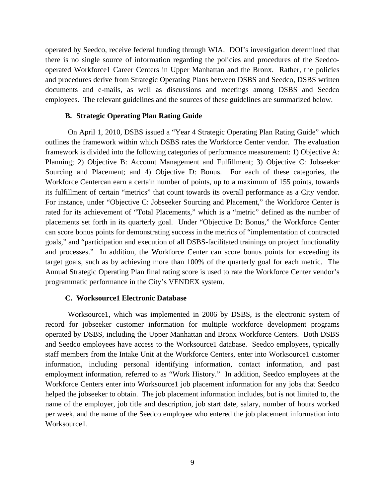operated by Seedco, receive federal funding through WIA. DOI's investigation determined that there is no single source of information regarding the policies and procedures of the Seedcooperated Workforce1 Career Centers in Upper Manhattan and the Bronx. Rather, the policies and procedures derive from Strategic Operating Plans between DSBS and Seedco, DSBS written documents and e-mails, as well as discussions and meetings among DSBS and Seedco employees. The relevant guidelines and the sources of these guidelines are summarized below.

# **B. Strategic Operating Plan Rating Guide**

 On April 1, 2010, DSBS issued a "Year 4 Strategic Operating Plan Rating Guide" which outlines the framework within which DSBS rates the Workforce Center vendor. The evaluation framework is divided into the following categories of performance measurement: 1) Objective A: Planning; 2) Objective B: Account Management and Fulfillment; 3) Objective C: Jobseeker Sourcing and Placement; and 4) Objective D: Bonus. For each of these categories, the Workforce Centercan earn a certain number of points, up to a maximum of 155 points, towards its fulfillment of certain "metrics" that count towards its overall performance as a City vendor. For instance, under "Objective C: Jobseeker Sourcing and Placement," the Workforce Center is rated for its achievement of "Total Placements," which is a "metric" defined as the number of placements set forth in its quarterly goal. Under "Objective D: Bonus," the Workforce Center can score bonus points for demonstrating success in the metrics of "implementation of contracted goals," and "participation and execution of all DSBS-facilitated trainings on project functionality and processes." In addition, the Workforce Center can score bonus points for exceeding its target goals, such as by achieving more than 100% of the quarterly goal for each metric. The Annual Strategic Operating Plan final rating score is used to rate the Workforce Center vendor's programmatic performance in the City's VENDEX system.

#### **C. Worksource1 Electronic Database**

Worksource1, which was implemented in 2006 by DSBS, is the electronic system of record for jobseeker customer information for multiple workforce development programs operated by DSBS, including the Upper Manhattan and Bronx Workforce Centers. Both DSBS and Seedco employees have access to the Worksource1 database. Seedco employees, typically staff members from the Intake Unit at the Workforce Centers, enter into Worksource1 customer information, including personal identifying information, contact information, and past employment information, referred to as "Work History." In addition, Seedco employees at the Workforce Centers enter into Worksource1 job placement information for any jobs that Seedco helped the jobseeker to obtain. The job placement information includes, but is not limited to, the name of the employer, job title and description, job start date, salary, number of hours worked per week, and the name of the Seedco employee who entered the job placement information into Worksource1.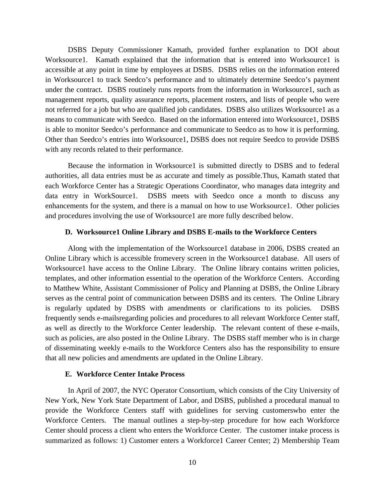DSBS Deputy Commissioner Kamath, provided further explanation to DOI about Worksource1. Kamath explained that the information that is entered into Worksource1 is accessible at any point in time by employees at DSBS. DSBS relies on the information entered in Worksource1 to track Seedco's performance and to ultimately determine Seedco's payment under the contract. DSBS routinely runs reports from the information in Worksource1, such as management reports, quality assurance reports, placement rosters, and lists of people who were not referred for a job but who are qualified job candidates. DSBS also utilizes Worksource1 as a means to communicate with Seedco. Based on the information entered into Worksource1, DSBS is able to monitor Seedco's performance and communicate to Seedco as to how it is performing. Other than Seedco's entries into Worksource1, DSBS does not require Seedco to provide DSBS with any records related to their performance.

Because the information in Worksource1 is submitted directly to DSBS and to federal authorities, all data entries must be as accurate and timely as possible.Thus, Kamath stated that each Workforce Center has a Strategic Operations Coordinator, who manages data integrity and data entry in WorkSource1. DSBS meets with Seedco once a month to discuss any enhancements for the system, and there is a manual on how to use Worksource1. Other policies and procedures involving the use of Worksource1 are more fully described below.

#### **D. Worksource1 Online Library and DSBS E-mails to the Workforce Centers**

Along with the implementation of the Worksource1 database in 2006, DSBS created an Online Library which is accessible fromevery screen in the Worksource1 database. All users of Worksource1 have access to the Online Library. The Online library contains written policies, templates, and other information essential to the operation of the Workforce Centers. According to Matthew White, Assistant Commissioner of Policy and Planning at DSBS, the Online Library serves as the central point of communication between DSBS and its centers. The Online Library is regularly updated by DSBS with amendments or clarifications to its policies. DSBS frequently sends e-mailsregarding policies and procedures to all relevant Workforce Center staff, as well as directly to the Workforce Center leadership. The relevant content of these e-mails, such as policies, are also posted in the Online Library. The DSBS staff member who is in charge of disseminating weekly e-mails to the Workforce Centers also has the responsibility to ensure that all new policies and amendments are updated in the Online Library.

# **E. Workforce Center Intake Process**

 In April of 2007, the NYC Operator Consortium, which consists of the City University of New York, New York State Department of Labor, and DSBS, published a procedural manual to provide the Workforce Centers staff with guidelines for serving customerswho enter the Workforce Centers. The manual outlines a step-by-step procedure for how each Workforce Center should process a client who enters the Workforce Center. The customer intake process is summarized as follows: 1) Customer enters a Workforce1 Career Center; 2) Membership Team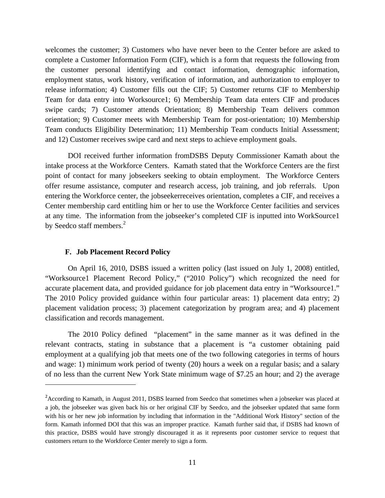welcomes the customer; 3) Customers who have never been to the Center before are asked to complete a Customer Information Form (CIF), which is a form that requests the following from the customer personal identifying and contact information, demographic information, employment status, work history, verification of information, and authorization to employer to release information; 4) Customer fills out the CIF; 5) Customer returns CIF to Membership Team for data entry into Worksource1; 6) Membership Team data enters CIF and produces swipe cards; 7) Customer attends Orientation; 8) Membership Team delivers common orientation; 9) Customer meets with Membership Team for post-orientation; 10) Membership Team conducts Eligibility Determination; 11) Membership Team conducts Initial Assessment; and 12) Customer receives swipe card and next steps to achieve employment goals.

DOI received further information fromDSBS Deputy Commissioner Kamath about the intake process at the Workforce Centers. Kamath stated that the Workforce Centers are the first point of contact for many jobseekers seeking to obtain employment. The Workforce Centers offer resume assistance, computer and research access, job training, and job referrals. Upon entering the Workforce center, the jobseekerreceives orientation, completes a CIF, and receives a Center membership card entitling him or her to use the Workforce Center facilities and services at any time. The information from the jobseeker's completed CIF is inputted into WorkSource1 by Seedco staff members.<sup>2</sup>

#### **F. Job Placement Record Policy**

1

 On April 16, 2010, DSBS issued a written policy (last issued on July 1, 2008) entitled, "Worksource1 Placement Record Policy," ("2010 Policy") which recognized the need for accurate placement data, and provided guidance for job placement data entry in "Worksource1." The 2010 Policy provided guidance within four particular areas: 1) placement data entry; 2) placement validation process; 3) placement categorization by program area; and 4) placement classification and records management.

The 2010 Policy defined "placement" in the same manner as it was defined in the relevant contracts, stating in substance that a placement is "a customer obtaining paid employment at a qualifying job that meets one of the two following categories in terms of hours and wage: 1) minimum work period of twenty (20) hours a week on a regular basis; and a salary of no less than the current New York State minimum wage of \$7.25 an hour; and 2) the average

<sup>&</sup>lt;sup>2</sup> According to Kamath, in August 2011, DSBS learned from Seedco that sometimes when a jobseeker was placed at a job, the jobseeker was given back his or her original CIF by Seedco, and the jobseeker updated that same form with his or her new job information by including that information in the "Additional Work History" section of the form. Kamath informed DOI that this was an improper practice. Kamath further said that, if DSBS had known of this practice, DSBS would have strongly discouraged it as it represents poor customer service to request that customers return to the Workforce Center merely to sign a form.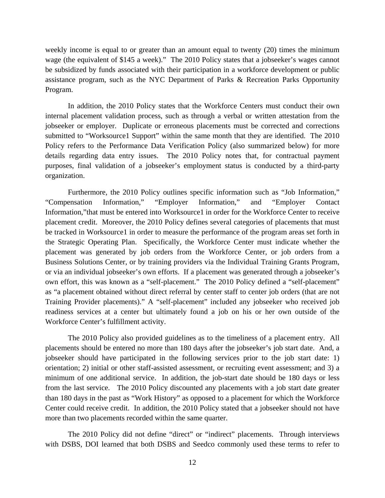weekly income is equal to or greater than an amount equal to twenty (20) times the minimum wage (the equivalent of \$145 a week)." The 2010 Policy states that a jobseeker's wages cannot be subsidized by funds associated with their participation in a workforce development or public assistance program, such as the NYC Department of Parks & Recreation Parks Opportunity Program.

In addition, the 2010 Policy states that the Workforce Centers must conduct their own internal placement validation process, such as through a verbal or written attestation from the jobseeker or employer. Duplicate or erroneous placements must be corrected and corrections submitted to "Worksource1 Support" within the same month that they are identified. The 2010 Policy refers to the Performance Data Verification Policy (also summarized below) for more details regarding data entry issues. The 2010 Policy notes that, for contractual payment purposes, final validation of a jobseeker's employment status is conducted by a third-party organization.

Furthermore, the 2010 Policy outlines specific information such as "Job Information," "Compensation Information," "Employer Information," and "Employer Contact Information,"that must be entered into Worksource1 in order for the Workforce Center to receive placement credit. Moreover, the 2010 Policy defines several categories of placements that must be tracked in Worksource1 in order to measure the performance of the program areas set forth in the Strategic Operating Plan. Specifically, the Workforce Center must indicate whether the placement was generated by job orders from the Workforce Center, or job orders from a Business Solutions Center, or by training providers via the Individual Training Grants Program, or via an individual jobseeker's own efforts. If a placement was generated through a jobseeker's own effort, this was known as a "self-placement." The 2010 Policy defined a "self-placement" as "a placement obtained without direct referral by center staff to center job orders (that are not Training Provider placements)." A "self-placement" included any jobseeker who received job readiness services at a center but ultimately found a job on his or her own outside of the Workforce Center's fulfillment activity.

The 2010 Policy also provided guidelines as to the timeliness of a placement entry. All placements should be entered no more than 180 days after the jobseeker's job start date. And, a jobseeker should have participated in the following services prior to the job start date: 1) orientation; 2) initial or other staff-assisted assessment, or recruiting event assessment; and 3) a minimum of one additional service. In addition, the job-start date should be 180 days or less from the last service. The 2010 Policy discounted any placements with a job start date greater than 180 days in the past as "Work History" as opposed to a placement for which the Workforce Center could receive credit. In addition, the 2010 Policy stated that a jobseeker should not have more than two placements recorded within the same quarter.

The 2010 Policy did not define "direct" or "indirect" placements. Through interviews with DSBS, DOI learned that both DSBS and Seedco commonly used these terms to refer to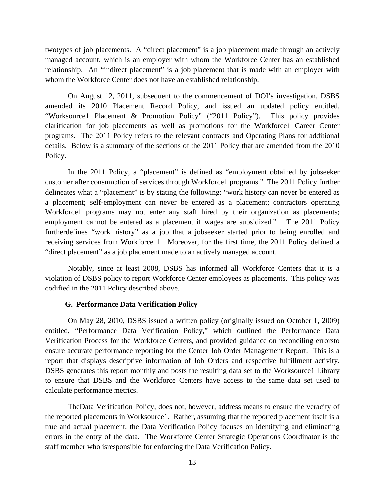twotypes of job placements. A "direct placement" is a job placement made through an actively managed account, which is an employer with whom the Workforce Center has an established relationship. An "indirect placement" is a job placement that is made with an employer with whom the Workforce Center does not have an established relationship.

On August 12, 2011, subsequent to the commencement of DOI's investigation, DSBS amended its 2010 Placement Record Policy, and issued an updated policy entitled, "Worksource1 Placement & Promotion Policy" ("2011 Policy"). This policy provides clarification for job placements as well as promotions for the Workforce1 Career Center programs. The 2011 Policy refers to the relevant contracts and Operating Plans for additional details. Below is a summary of the sections of the 2011 Policy that are amended from the 2010 Policy.

In the 2011 Policy, a "placement" is defined as "employment obtained by jobseeker customer after consumption of services through Workforce1 programs." The 2011 Policy further delineates what a "placement" is by stating the following: "work history can never be entered as a placement; self-employment can never be entered as a placement; contractors operating Workforce1 programs may not enter any staff hired by their organization as placements; employment cannot be entered as a placement if wages are subsidized." The 2011 Policy furtherdefines "work history" as a job that a jobseeker started prior to being enrolled and receiving services from Workforce 1. Moreover, for the first time, the 2011 Policy defined a "direct placement" as a job placement made to an actively managed account.

Notably, since at least 2008, DSBS has informed all Workforce Centers that it is a violation of DSBS policy to report Workforce Center employees as placements. This policy was codified in the 2011 Policy described above.

#### **G. Performance Data Verification Policy**

On May 28, 2010, DSBS issued a written policy (originally issued on October 1, 2009) entitled, "Performance Data Verification Policy," which outlined the Performance Data Verification Process for the Workforce Centers, and provided guidance on reconciling errorsto ensure accurate performance reporting for the Center Job Order Management Report. This is a report that displays descriptive information of Job Orders and respective fulfillment activity. DSBS generates this report monthly and posts the resulting data set to the Worksource1 Library to ensure that DSBS and the Workforce Centers have access to the same data set used to calculate performance metrics.

TheData Verification Policy, does not, however, address means to ensure the veracity of the reported placements in Worksource1. Rather, assuming that the reported placement itself is a true and actual placement, the Data Verification Policy focuses on identifying and eliminating errors in the entry of the data. The Workforce Center Strategic Operations Coordinator is the staff member who isresponsible for enforcing the Data Verification Policy.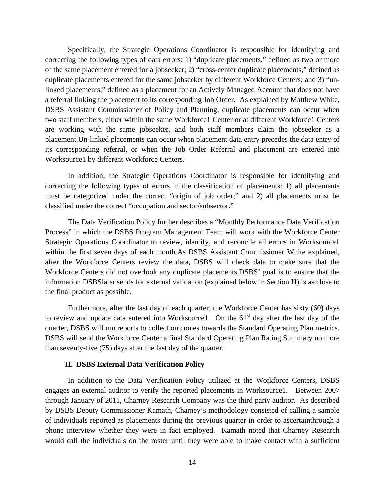Specifically, the Strategic Operations Coordinator is responsible for identifying and correcting the following types of data errors: 1) "duplicate placements," defined as two or more of the same placement entered for a jobseeker; 2) "cross-center duplicate placements," defined as duplicate placements entered for the same jobseeker by different Workforce Centers; and 3) "unlinked placements," defined as a placement for an Actively Managed Account that does not have a referral linking the placement to its corresponding Job Order. As explained by Matthew White, DSBS Assistant Commissioner of Policy and Planning, duplicate placements can occur when two staff members, either within the same Workforce1 Center or at different Workforce1 Centers are working with the same jobseeker, and both staff members claim the jobseeker as a placement.Un-linked placements can occur when placement data entry precedes the data entry of its corresponding referral, or when the Job Order Referral and placement are entered into Worksource1 by different Workforce Centers.

In addition, the Strategic Operations Coordinator is responsible for identifying and correcting the following types of errors in the classification of placements: 1) all placements must be categorized under the correct "origin of job order;" and 2) all placements must be classified under the correct "occupation and sector/subsector."

The Data Verification Policy further describes a "Monthly Performance Data Verification Process" in which the DSBS Program Management Team will work with the Workforce Center Strategic Operations Coordinator to review, identify, and reconcile all errors in Worksource1 within the first seven days of each month.As DSBS Assistant Commissioner White explained, after the Workforce Centers review the data, DSBS will check data to make sure that the Workforce Centers did not overlook any duplicate placements.DSBS' goal is to ensure that the information DSBSlater sends for external validation (explained below in Section H) is as close to the final product as possible.

Furthermore, after the last day of each quarter, the Workforce Center has sixty (60) days to review and update data entered into Worksource1. On the  $61<sup>st</sup>$  day after the last day of the quarter, DSBS will run reports to collect outcomes towards the Standard Operating Plan metrics. DSBS will send the Workforce Center a final Standard Operating Plan Rating Summary no more than seventy-five (75) days after the last day of the quarter.

## **H. DSBS External Data Verification Policy**

In addition to the Data Verification Policy utilized at the Workforce Centers, DSBS engages an external auditor to verify the reported placements in Worksource1. Between 2007 through January of 2011, Charney Research Company was the third party auditor. As described by DSBS Deputy Commissioner Kamath, Charney's methodology consisted of calling a sample of individuals reported as placements during the previous quarter in order to ascertainthrough a phone interview whether they were in fact employed. Kamath noted that Charney Research would call the individuals on the roster until they were able to make contact with a sufficient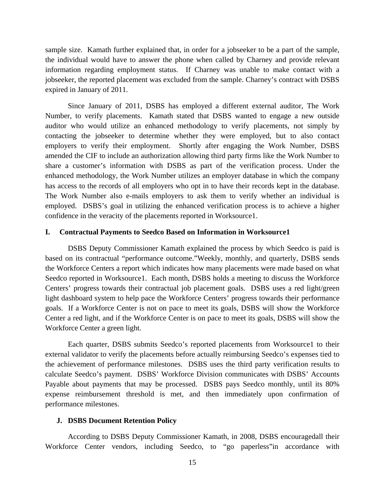sample size. Kamath further explained that, in order for a jobseeker to be a part of the sample, the individual would have to answer the phone when called by Charney and provide relevant information regarding employment status. If Charney was unable to make contact with a jobseeker, the reported placement was excluded from the sample. Charney's contract with DSBS expired in January of 2011.

Since January of 2011, DSBS has employed a different external auditor, The Work Number, to verify placements. Kamath stated that DSBS wanted to engage a new outside auditor who would utilize an enhanced methodology to verify placements, not simply by contacting the jobseeker to determine whether they were employed, but to also contact employers to verify their employment. Shortly after engaging the Work Number, DSBS amended the CIF to include an authorization allowing third party firms like the Work Number to share a customer's information with DSBS as part of the verification process. Under the enhanced methodology, the Work Number utilizes an employer database in which the company has access to the records of all employers who opt in to have their records kept in the database. The Work Number also e-mails employers to ask them to verify whether an individual is employed. DSBS's goal in utilizing the enhanced verification process is to achieve a higher confidence in the veracity of the placements reported in Worksource1.

#### **I. Contractual Payments to Seedco Based on Information in Worksource1**

DSBS Deputy Commissioner Kamath explained the process by which Seedco is paid is based on its contractual "performance outcome."Weekly, monthly, and quarterly, DSBS sends the Workforce Centers a report which indicates how many placements were made based on what Seedco reported in Worksource1. Each month, DSBS holds a meeting to discuss the Workforce Centers' progress towards their contractual job placement goals. DSBS uses a red light/green light dashboard system to help pace the Workforce Centers' progress towards their performance goals. If a Workforce Center is not on pace to meet its goals, DSBS will show the Workforce Center a red light, and if the Workforce Center is on pace to meet its goals, DSBS will show the Workforce Center a green light.

Each quarter, DSBS submits Seedco's reported placements from Worksource1 to their external validator to verify the placements before actually reimbursing Seedco's expenses tied to the achievement of performance milestones. DSBS uses the third party verification results to calculate Seedco's payment. DSBS' Workforce Division communicates with DSBS' Accounts Payable about payments that may be processed. DSBS pays Seedco monthly, until its 80% expense reimbursement threshold is met, and then immediately upon confirmation of performance milestones.

#### **J. DSBS Document Retention Policy**

According to DSBS Deputy Commissioner Kamath, in 2008, DSBS encouragedall their Workforce Center vendors, including Seedco, to "go paperless"in accordance with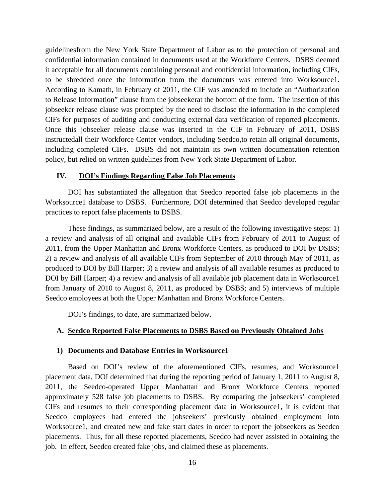guidelinesfrom the New York State Department of Labor as to the protection of personal and confidential information contained in documents used at the Workforce Centers. DSBS deemed it acceptable for all documents containing personal and confidential information, including CIFs, to be shredded once the information from the documents was entered into Worksource1. According to Kamath, in February of 2011, the CIF was amended to include an "Authorization to Release Information" clause from the jobseekerat the bottom of the form. The insertion of this jobseeker release clause was prompted by the need to disclose the information in the completed CIFs for purposes of auditing and conducting external data verification of reported placements. Once this jobseeker release clause was inserted in the CIF in February of 2011, DSBS instructedall their Workforce Center vendors, including Seedco,to retain all original documents, including completed CIFs. DSBS did not maintain its own written documentation retention policy, but relied on written guidelines from New York State Department of Labor.

#### **IV. DOI's Findings Regarding False Job Placements**

 DOI has substantiated the allegation that Seedco reported false job placements in the Worksource1 database to DSBS. Furthermore, DOI determined that Seedco developed regular practices to report false placements to DSBS.

These findings, as summarized below, are a result of the following investigative steps: 1) a review and analysis of all original and available CIFs from February of 2011 to August of 2011, from the Upper Manhattan and Bronx Workforce Centers, as produced to DOI by DSBS; 2) a review and analysis of all available CIFs from September of 2010 through May of 2011, as produced to DOI by Bill Harper; 3) a review and analysis of all available resumes as produced to DOI by Bill Harper; 4) a review and analysis of all available job placement data in Worksource1 from January of 2010 to August 8, 2011, as produced by DSBS; and 5) interviews of multiple Seedco employees at both the Upper Manhattan and Bronx Workforce Centers.

DOI's findings, to date, are summarized below.

#### **A. Seedco Reported False Placements to DSBS Based on Previously Obtained Jobs**

#### **1) Documents and Database Entries in Worksource1**

Based on DOI's review of the aforementioned CIFs, resumes, and Worksource1 placement data, DOI determined that during the reporting period of January 1, 2011 to August 8, 2011, the Seedco-operated Upper Manhattan and Bronx Workforce Centers reported approximately 528 false job placements to DSBS. By comparing the jobseekers' completed CIFs and resumes to their corresponding placement data in Worksource1, it is evident that Seedco employees had entered the jobseekers' previously obtained employment into Worksource1, and created new and fake start dates in order to report the jobseekers as Seedco placements. Thus, for all these reported placements, Seedco had never assisted in obtaining the job. In effect, Seedco created fake jobs, and claimed these as placements.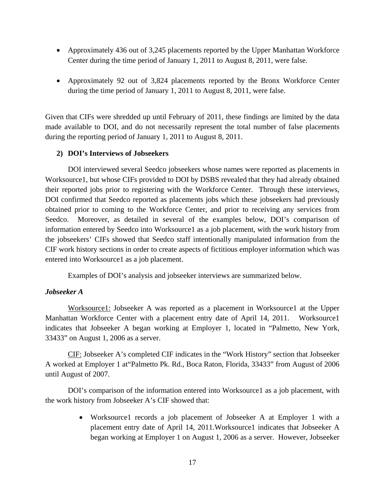- Approximately 436 out of 3,245 placements reported by the Upper Manhattan Workforce Center during the time period of January 1, 2011 to August 8, 2011, were false.
- Approximately 92 out of 3,824 placements reported by the Bronx Workforce Center during the time period of January 1, 2011 to August 8, 2011, were false.

Given that CIFs were shredded up until February of 2011, these findings are limited by the data made available to DOI, and do not necessarily represent the total number of false placements during the reporting period of January 1, 2011 to August 8, 2011.

# **2) DOI's Interviews of Jobseekers**

DOI interviewed several Seedco jobseekers whose names were reported as placements in Worksource1, but whose CIFs provided to DOI by DSBS revealed that they had already obtained their reported jobs prior to registering with the Workforce Center. Through these interviews, DOI confirmed that Seedco reported as placements jobs which these jobseekers had previously obtained prior to coming to the Workforce Center, and prior to receiving any services from Seedco. Moreover, as detailed in several of the examples below, DOI's comparison of information entered by Seedco into Worksource1 as a job placement, with the work history from the jobseekers' CIFs showed that Seedco staff intentionally manipulated information from the CIF work history sections in order to create aspects of fictitious employer information which was entered into Worksource1 as a job placement.

Examples of DOI's analysis and jobseeker interviews are summarized below.

# *Jobseeker A*

Worksource1: Jobseeker A was reported as a placement in Worksource1 at the Upper Manhattan Workforce Center with a placement entry date of April 14, 2011. Worksource1 indicates that Jobseeker A began working at Employer 1, located in "Palmetto, New York, 33433" on August 1, 2006 as a server.

CIF: Jobseeker A's completed CIF indicates in the "Work History" section that Jobseeker A worked at Employer 1 at"Palmetto Pk. Rd., Boca Raton, Florida, 33433" from August of 2006 until August of 2007.

DOI's comparison of the information entered into Worksource1 as a job placement, with the work history from Jobseeker A's CIF showed that:

> • Worksource1 records a job placement of Jobseeker A at Employer 1 with a placement entry date of April 14, 2011.Worksource1 indicates that Jobseeker A began working at Employer 1 on August 1, 2006 as a server. However, Jobseeker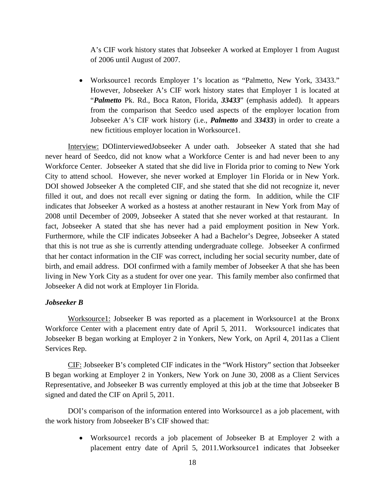A's CIF work history states that Jobseeker A worked at Employer 1 from August of 2006 until August of 2007.

• Worksource1 records Employer 1's location as "Palmetto, New York, 33433." However, Jobseeker A's CIF work history states that Employer 1 is located at "*Palmetto* Pk. Rd., Boca Raton, Florida, *33433*" (emphasis added). It appears from the comparison that Seedco used aspects of the employer location from Jobseeker A's CIF work history (i.e., *Palmetto* and *33433*) in order to create a new fictitious employer location in Worksource1.

Interview: DOIinterviewedJobseeker A under oath. Jobseeker A stated that she had never heard of Seedco, did not know what a Workforce Center is and had never been to any Workforce Center. Jobseeker A stated that she did live in Florida prior to coming to New York City to attend school. However, she never worked at Employer 1in Florida or in New York. DOI showed Jobseeker A the completed CIF, and she stated that she did not recognize it, never filled it out, and does not recall ever signing or dating the form. In addition, while the CIF indicates that Jobseeker A worked as a hostess at another restaurant in New York from May of 2008 until December of 2009, Jobseeker A stated that she never worked at that restaurant. In fact, Jobseeker A stated that she has never had a paid employment position in New York. Furthermore, while the CIF indicates Jobseeker A had a Bachelor's Degree, Jobseeker A stated that this is not true as she is currently attending undergraduate college. Jobseeker A confirmed that her contact information in the CIF was correct, including her social security number, date of birth, and email address. DOI confirmed with a family member of Jobseeker A that she has been living in New York City as a student for over one year. This family member also confirmed that Jobseeker A did not work at Employer 1in Florida.

## *Jobseeker B*

Worksource1: Jobseeker B was reported as a placement in Worksource1 at the Bronx Workforce Center with a placement entry date of April 5, 2011. Worksource1 indicates that Jobseeker B began working at Employer 2 in Yonkers, New York, on April 4, 2011as a Client Services Rep.

CIF: Jobseeker B's completed CIF indicates in the "Work History" section that Jobseeker B began working at Employer 2 in Yonkers, New York on June 30, 2008 as a Client Services Representative, and Jobseeker B was currently employed at this job at the time that Jobseeker B signed and dated the CIF on April 5, 2011.

DOI's comparison of the information entered into Worksource1 as a job placement, with the work history from Jobseeker B's CIF showed that:

> • Worksource1 records a job placement of Jobseeker B at Employer 2 with a placement entry date of April 5, 2011.Worksource1 indicates that Jobseeker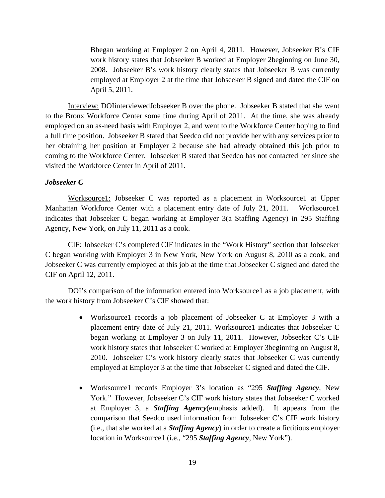Bbegan working at Employer 2 on April 4, 2011. However, Jobseeker B's CIF work history states that Jobseeker B worked at Employer 2beginning on June 30, 2008. Jobseeker B's work history clearly states that Jobseeker B was currently employed at Employer 2 at the time that Jobseeker B signed and dated the CIF on April 5, 2011.

Interview: DOIinterviewedJobseeker B over the phone. Jobseeker B stated that she went to the Bronx Workforce Center some time during April of 2011. At the time, she was already employed on an as-need basis with Employer 2, and went to the Workforce Center hoping to find a full time position. Jobseeker B stated that Seedco did not provide her with any services prior to her obtaining her position at Employer 2 because she had already obtained this job prior to coming to the Workforce Center. Jobseeker B stated that Seedco has not contacted her since she visited the Workforce Center in April of 2011.

## *Jobseeker C*

Worksource1: Jobseeker C was reported as a placement in Worksource1 at Upper Manhattan Workforce Center with a placement entry date of July 21, 2011. Worksource1 indicates that Jobseeker C began working at Employer 3(a Staffing Agency) in 295 Staffing Agency, New York, on July 11, 2011 as a cook.

CIF: Jobseeker C's completed CIF indicates in the "Work History" section that Jobseeker C began working with Employer 3 in New York, New York on August 8, 2010 as a cook, and Jobseeker C was currently employed at this job at the time that Jobseeker C signed and dated the CIF on April 12, 2011.

DOI's comparison of the information entered into Worksource1 as a job placement, with the work history from Jobseeker C's CIF showed that:

- Worksource1 records a job placement of Jobseeker C at Employer 3 with a placement entry date of July 21, 2011. Worksource1 indicates that Jobseeker C began working at Employer 3 on July 11, 2011. However, Jobseeker C's CIF work history states that Jobseeker C worked at Employer 3beginning on August 8, 2010. Jobseeker C's work history clearly states that Jobseeker C was currently employed at Employer 3 at the time that Jobseeker C signed and dated the CIF.
- Worksource1 records Employer 3's location as "295 *Staffing Agency*, New York." However, Jobseeker C's CIF work history states that Jobseeker C worked at Employer 3, a *Staffing Agency*(emphasis added). It appears from the comparison that Seedco used information from Jobseeker C's CIF work history (i.e., that she worked at a *Staffing Agency*) in order to create a fictitious employer location in Worksource1 (i.e., "295 *Staffing Agency*, New York").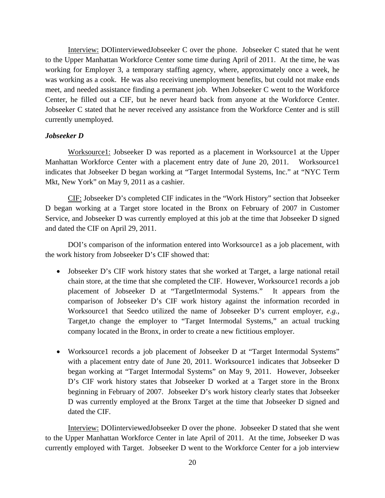Interview: DOIinterviewedJobseeker C over the phone. Jobseeker C stated that he went to the Upper Manhattan Workforce Center some time during April of 2011. At the time, he was working for Employer 3, a temporary staffing agency, where, approximately once a week, he was working as a cook. He was also receiving unemployment benefits, but could not make ends meet, and needed assistance finding a permanent job. When Jobseeker C went to the Workforce Center, he filled out a CIF, but he never heard back from anyone at the Workforce Center. Jobseeker C stated that he never received any assistance from the Workforce Center and is still currently unemployed.

## *Jobseeker D*

Worksource1: Jobseeker D was reported as a placement in Worksource1 at the Upper Manhattan Workforce Center with a placement entry date of June 20, 2011. Worksource1 indicates that Jobseeker D began working at "Target Intermodal Systems, Inc." at "NYC Term Mkt, New York" on May 9, 2011 as a cashier.

CIF: Jobseeker D's completed CIF indicates in the "Work History" section that Jobseeker D began working at a Target store located in the Bronx on February of 2007 in Customer Service, and Jobseeker D was currently employed at this job at the time that Jobseeker D signed and dated the CIF on April 29, 2011.

DOI's comparison of the information entered into Worksource1 as a job placement, with the work history from Jobseeker D's CIF showed that:

- Jobseeker D's CIF work history states that she worked at Target, a large national retail chain store, at the time that she completed the CIF. However, Worksource1 records a job placement of Jobseeker D at "TargetIntermodal Systems." It appears from the comparison of Jobseeker D's CIF work history against the information recorded in Worksource1 that Seedco utilized the name of Jobseeker D's current employer, *e.g.*, Target,to change the employer to "Target Intermodal Systems," an actual trucking company located in the Bronx, in order to create a new fictitious employer.
- Worksource1 records a job placement of Jobseeker D at "Target Intermodal Systems" with a placement entry date of June 20, 2011. Worksource1 indicates that Jobseeker D began working at "Target Intermodal Systems" on May 9, 2011. However, Jobseeker D's CIF work history states that Jobseeker D worked at a Target store in the Bronx beginning in February of 2007. Jobseeker D's work history clearly states that Jobseeker D was currently employed at the Bronx Target at the time that Jobseeker D signed and dated the CIF.

Interview: DOIinterviewedJobseeker D over the phone. Jobseeker D stated that she went to the Upper Manhattan Workforce Center in late April of 2011. At the time, Jobseeker D was currently employed with Target. Jobseeker D went to the Workforce Center for a job interview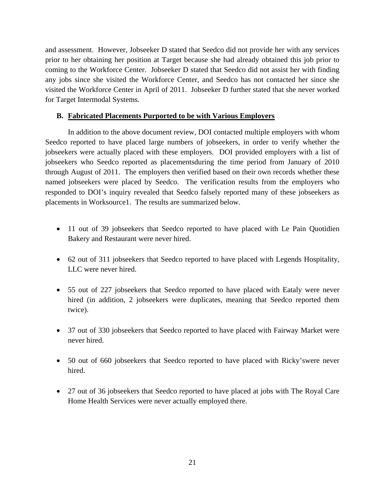and assessment. However, Jobseeker D stated that Seedco did not provide her with any services prior to her obtaining her position at Target because she had already obtained this job prior to coming to the Workforce Center. Jobseeker D stated that Seedco did not assist her with finding any jobs since she visited the Workforce Center, and Seedco has not contacted her since she visited the Workforce Center in April of 2011. Jobseeker D further stated that she never worked for Target Intermodal Systems.

# **B. Fabricated Placements Purported to be with Various Employers**

In addition to the above document review, DOI contacted multiple employers with whom Seedco reported to have placed large numbers of jobseekers, in order to verify whether the jobseekers were actually placed with these employers. DOI provided employers with a list of jobseekers who Seedco reported as placementsduring the time period from January of 2010 through August of 2011. The employers then verified based on their own records whether these named jobseekers were placed by Seedco. The verification results from the employers who responded to DOI's inquiry revealed that Seedco falsely reported many of these jobseekers as placements in Worksource1. The results are summarized below.

- 11 out of 39 jobseekers that Seedco reported to have placed with Le Pain Quotidien Bakery and Restaurant were never hired.
- 62 out of 311 jobseekers that Seedco reported to have placed with Legends Hospitality, LLC were never hired.
- 55 out of 227 jobseekers that Seedco reported to have placed with Eataly were never hired (in addition, 2 jobseekers were duplicates, meaning that Seedco reported them twice).
- 37 out of 330 jobseekers that Seedco reported to have placed with Fairway Market were never hired.
- 50 out of 660 jobseekers that Seedco reported to have placed with Ricky'swere never hired.
- 27 out of 36 jobseekers that Seedco reported to have placed at jobs with The Royal Care Home Health Services were never actually employed there.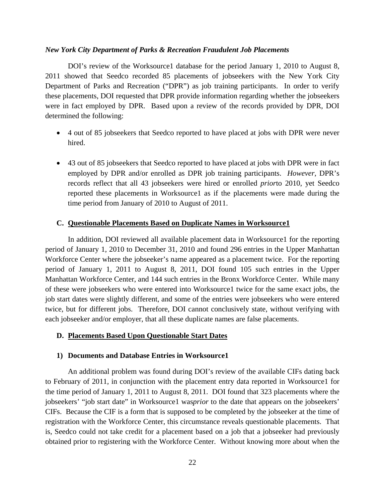#### *New York City Department of Parks & Recreation Fraudulent Job Placements*

DOI's review of the Worksource1 database for the period January 1, 2010 to August 8, 2011 showed that Seedco recorded 85 placements of jobseekers with the New York City Department of Parks and Recreation ("DPR") as job training participants. In order to verify these placements, DOI requested that DPR provide information regarding whether the jobseekers were in fact employed by DPR. Based upon a review of the records provided by DPR, DOI determined the following:

- 4 out of 85 jobseekers that Seedco reported to have placed at jobs with DPR were never hired.
- 43 out of 85 jobseekers that Seedco reported to have placed at jobs with DPR were in fact employed by DPR and/or enrolled as DPR job training participants. *However*, DPR's records reflect that all 43 jobseekers were hired or enrolled *prior*to 2010, yet Seedco reported these placements in Worksource1 as if the placements were made during the time period from January of 2010 to August of 2011.

#### **C. Questionable Placements Based on Duplicate Names in Worksource1**

In addition, DOI reviewed all available placement data in Worksource1 for the reporting period of January 1, 2010 to December 31, 2010 and found 296 entries in the Upper Manhattan Workforce Center where the jobseeker's name appeared as a placement twice. For the reporting period of January 1, 2011 to August 8, 2011, DOI found 105 such entries in the Upper Manhattan Workforce Center, and 144 such entries in the Bronx Workforce Center. While many of these were jobseekers who were entered into Worksource1 twice for the same exact jobs, the job start dates were slightly different, and some of the entries were jobseekers who were entered twice, but for different jobs. Therefore, DOI cannot conclusively state, without verifying with each jobseeker and/or employer, that all these duplicate names are false placements.

#### **D. Placements Based Upon Questionable Start Dates**

#### **1) Documents and Database Entries in Worksource1**

An additional problem was found during DOI's review of the available CIFs dating back to February of 2011, in conjunction with the placement entry data reported in Worksource1 for the time period of January 1, 2011 to August 8, 2011. DOI found that 323 placements where the jobseekers' "job start date" in Worksource1 was*prior* to the date that appears on the jobseekers' CIFs. Because the CIF is a form that is supposed to be completed by the jobseeker at the time of registration with the Workforce Center, this circumstance reveals questionable placements. That is, Seedco could not take credit for a placement based on a job that a jobseeker had previously obtained prior to registering with the Workforce Center. Without knowing more about when the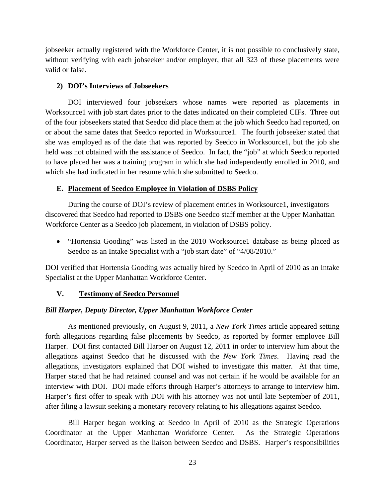jobseeker actually registered with the Workforce Center, it is not possible to conclusively state, without verifying with each jobseeker and/or employer, that all 323 of these placements were valid or false.

# **2) DOI's Interviews of Jobseekers**

DOI interviewed four jobseekers whose names were reported as placements in Worksource1 with job start dates prior to the dates indicated on their completed CIFs. Three out of the four jobseekers stated that Seedco did place them at the job which Seedco had reported, on or about the same dates that Seedco reported in Worksource1. The fourth jobseeker stated that she was employed as of the date that was reported by Seedco in Worksource1, but the job she held was not obtained with the assistance of Seedco. In fact, the "job" at which Seedco reported to have placed her was a training program in which she had independently enrolled in 2010, and which she had indicated in her resume which she submitted to Seedco.

# **E. Placement of Seedco Employee in Violation of DSBS Policy**

During the course of DOI's review of placement entries in Worksource1, investigators discovered that Seedco had reported to DSBS one Seedco staff member at the Upper Manhattan Workforce Center as a Seedco job placement, in violation of DSBS policy.

• "Hortensia Gooding" was listed in the 2010 Worksource1 database as being placed as Seedco as an Intake Specialist with a "job start date" of "4/08/2010."

DOI verified that Hortensia Gooding was actually hired by Seedco in April of 2010 as an Intake Specialist at the Upper Manhattan Workforce Center.

# **V. Testimony of Seedco Personnel**

# *Bill Harper, Deputy Director, Upper Manhattan Workforce Center*

 As mentioned previously, on August 9, 2011, a *New York Times* article appeared setting forth allegations regarding false placements by Seedco, as reported by former employee Bill Harper. DOI first contacted Bill Harper on August 12, 2011 in order to interview him about the allegations against Seedco that he discussed with the *New York Times*. Having read the allegations, investigators explained that DOI wished to investigate this matter. At that time, Harper stated that he had retained counsel and was not certain if he would be available for an interview with DOI. DOI made efforts through Harper's attorneys to arrange to interview him. Harper's first offer to speak with DOI with his attorney was not until late September of 2011, after filing a lawsuit seeking a monetary recovery relating to his allegations against Seedco.

Bill Harper began working at Seedco in April of 2010 as the Strategic Operations Coordinator at the Upper Manhattan Workforce Center. As the Strategic Operations Coordinator, Harper served as the liaison between Seedco and DSBS. Harper's responsibilities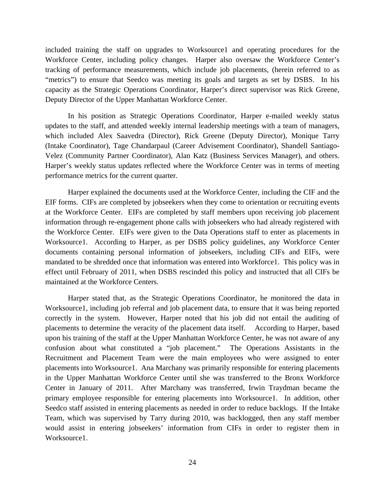included training the staff on upgrades to Worksource1 and operating procedures for the Workforce Center, including policy changes. Harper also oversaw the Workforce Center's tracking of performance measurements, which include job placements, (herein referred to as "metrics") to ensure that Seedco was meeting its goals and targets as set by DSBS. In his capacity as the Strategic Operations Coordinator, Harper's direct supervisor was Rick Greene, Deputy Director of the Upper Manhattan Workforce Center.

 In his position as Strategic Operations Coordinator, Harper e-mailed weekly status updates to the staff, and attended weekly internal leadership meetings with a team of managers, which included Alex Saavedra (Director), Rick Greene (Deputy Director), Monique Tarry (Intake Coordinator), Tage Chandarpaul (Career Advisement Coordinator), Shandell Santiago-Velez (Community Partner Coordinator), Alan Katz (Business Services Manager), and others. Harper's weekly status updates reflected where the Workforce Center was in terms of meeting performance metrics for the current quarter.

Harper explained the documents used at the Workforce Center, including the CIF and the EIF forms. CIFs are completed by jobseekers when they come to orientation or recruiting events at the Workforce Center. EIFs are completed by staff members upon receiving job placement information through re-engagement phone calls with jobseekers who had already registered with the Workforce Center. EIFs were given to the Data Operations staff to enter as placements in Worksource1. According to Harper, as per DSBS policy guidelines, any Workforce Center documents containing personal information of jobseekers, including CIFs and EIFs, were mandated to be shredded once that information was entered into Workforce1. This policy was in effect until February of 2011, when DSBS rescinded this policy and instructed that all CIFs be maintained at the Workforce Centers.

 Harper stated that, as the Strategic Operations Coordinator, he monitored the data in Worksource1, including job referral and job placement data, to ensure that it was being reported correctly in the system. However, Harper noted that his job did not entail the auditing of placements to determine the veracity of the placement data itself. According to Harper, based upon his training of the staff at the Upper Manhattan Workforce Center, he was not aware of any confusion about what constituted a "job placement." The Operations Assistants in the Recruitment and Placement Team were the main employees who were assigned to enter placements into Worksource1. Ana Marchany was primarily responsible for entering placements in the Upper Manhattan Workforce Center until she was transferred to the Bronx Workforce Center in January of 2011. After Marchany was transferred, Irwin Traydman became the primary employee responsible for entering placements into Worksource1. In addition, other Seedco staff assisted in entering placements as needed in order to reduce backlogs. If the Intake Team, which was supervised by Tarry during 2010, was backlogged, then any staff member would assist in entering jobseekers' information from CIFs in order to register them in Worksource1.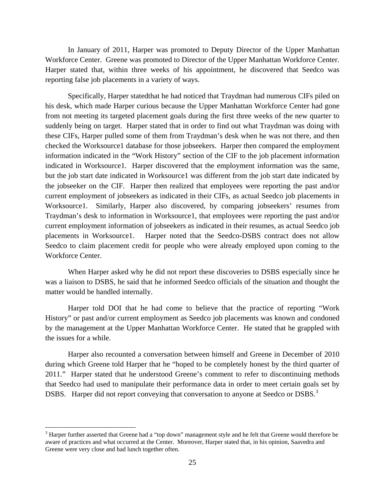In January of 2011, Harper was promoted to Deputy Director of the Upper Manhattan Workforce Center. Greene was promoted to Director of the Upper Manhattan Workforce Center. Harper stated that, within three weeks of his appointment, he discovered that Seedco was reporting false job placements in a variety of ways.

Specifically, Harper statedthat he had noticed that Traydman had numerous CIFs piled on his desk, which made Harper curious because the Upper Manhattan Workforce Center had gone from not meeting its targeted placement goals during the first three weeks of the new quarter to suddenly being on target. Harper stated that in order to find out what Traydman was doing with these CIFs, Harper pulled some of them from Traydman's desk when he was not there, and then checked the Worksource1 database for those jobseekers. Harper then compared the employment information indicated in the "Work History" section of the CIF to the job placement information indicated in Worksource1. Harper discovered that the employment information was the same, but the job start date indicated in Worksource1 was different from the job start date indicated by the jobseeker on the CIF. Harper then realized that employees were reporting the past and/or current employment of jobseekers as indicated in their CIFs, as actual Seedco job placements in Worksource1. Similarly, Harper also discovered, by comparing jobseekers' resumes from Traydman's desk to information in Worksource1, that employees were reporting the past and/or current employment information of jobseekers as indicated in their resumes, as actual Seedco job placements in Worksource1. Harper noted that the Seedco-DSBS contract does not allow Seedco to claim placement credit for people who were already employed upon coming to the Workforce Center.

When Harper asked why he did not report these discoveries to DSBS especially since he was a liaison to DSBS, he said that he informed Seedco officials of the situation and thought the matter would be handled internally.

 Harper told DOI that he had come to believe that the practice of reporting "Work History" or past and/or current employment as Seedco job placements was known and condoned by the management at the Upper Manhattan Workforce Center. He stated that he grappled with the issues for a while.

Harper also recounted a conversation between himself and Greene in December of 2010 during which Greene told Harper that he "hoped to be completely honest by the third quarter of 2011." Harper stated that he understood Greene's comment to refer to discontinuing methods that Seedco had used to manipulate their performance data in order to meet certain goals set by DSBS. Harper did not report conveying that conversation to anyone at Seedco or DSBS.<sup>3</sup>

 $\overline{a}$ 

 $3$  Harper further asserted that Greene had a "top down" management style and he felt that Greene would therefore be aware of practices and what occurred at the Center. Moreover, Harper stated that, in his opinion, Saavedra and Greene were very close and had lunch together often.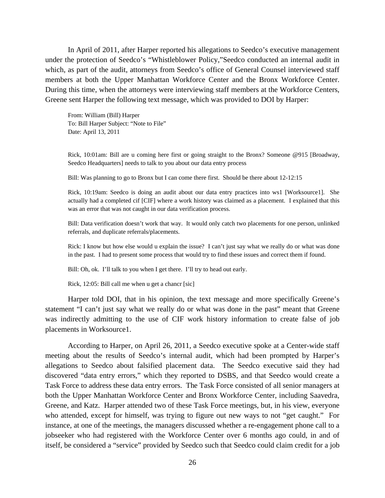In April of 2011, after Harper reported his allegations to Seedco's executive management under the protection of Seedco's "Whistleblower Policy,"Seedco conducted an internal audit in which, as part of the audit, attorneys from Seedco's office of General Counsel interviewed staff members at both the Upper Manhattan Workforce Center and the Bronx Workforce Center. During this time, when the attorneys were interviewing staff members at the Workforce Centers, Greene sent Harper the following text message, which was provided to DOI by Harper:

From: William (Bill) Harper To: Bill Harper Subject: "Note to File" Date: April 13, 2011

Rick, 10:01am: Bill are u coming here first or going straight to the Bronx? Someone @915 [Broadway, Seedco Headquarters] needs to talk to you about our data entry process

Bill: Was planning to go to Bronx but I can come there first. Should be there about 12-12:15

Rick, 10:19am: Seedco is doing an audit about our data entry practices into ws1 [Worksource1]. She actually had a completed cif [CIF] where a work history was claimed as a placement. I explained that this was an error that was not caught in our data verification process.

Bill: Data verification doesn't work that way. It would only catch two placements for one person, unlinked referrals, and duplicate referrals/placements.

Rick: I know but how else would u explain the issue? I can't just say what we really do or what was done in the past. I had to present some process that would try to find these issues and correct them if found.

Bill: Oh, ok. I'll talk to you when I get there. I'll try to head out early.

Rick, 12:05: Bill call me when u get a chancr [sic]

Harper told DOI, that in his opinion, the text message and more specifically Greene's statement "I can't just say what we really do or what was done in the past" meant that Greene was indirectly admitting to the use of CIF work history information to create false of job placements in Worksource1.

According to Harper, on April 26, 2011, a Seedco executive spoke at a Center-wide staff meeting about the results of Seedco's internal audit, which had been prompted by Harper's allegations to Seedco about falsified placement data. The Seedco executive said they had discovered "data entry errors," which they reported to DSBS, and that Seedco would create a Task Force to address these data entry errors. The Task Force consisted of all senior managers at both the Upper Manhattan Workforce Center and Bronx Workforce Center, including Saavedra, Greene, and Katz. Harper attended two of these Task Force meetings, but, in his view, everyone who attended, except for himself, was trying to figure out new ways to not "get caught." For instance, at one of the meetings, the managers discussed whether a re-engagement phone call to a jobseeker who had registered with the Workforce Center over 6 months ago could, in and of itself, be considered a "service" provided by Seedco such that Seedco could claim credit for a job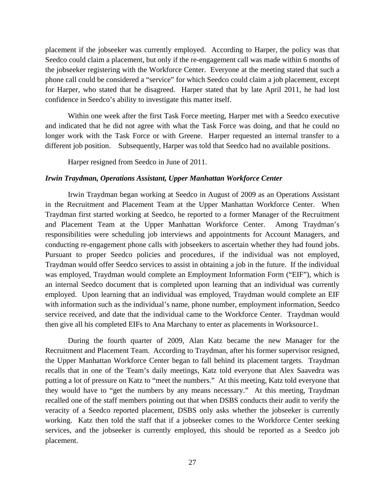placement if the jobseeker was currently employed. According to Harper, the policy was that Seedco could claim a placement, but only if the re-engagement call was made within 6 months of the jobseeker registering with the Workforce Center. Everyone at the meeting stated that such a phone call could be considered a "service" for which Seedco could claim a job placement, except for Harper, who stated that he disagreed. Harper stated that by late April 2011, he had lost confidence in Seedco's ability to investigate this matter itself.

Within one week after the first Task Force meeting, Harper met with a Seedco executive and indicated that he did not agree with what the Task Force was doing, and that he could no longer work with the Task Force or with Greene. Harper requested an internal transfer to a different job position. Subsequently, Harper was told that Seedco had no available positions.

Harper resigned from Seedco in June of 2011.

#### *Irwin Traydman, Operations Assistant, Upper Manhattan Workforce Center*

 Irwin Traydman began working at Seedco in August of 2009 as an Operations Assistant in the Recruitment and Placement Team at the Upper Manhattan Workforce Center. When Traydman first started working at Seedco, he reported to a former Manager of the Recruitment and Placement Team at the Upper Manhattan Workforce Center. Among Traydman's responsibilities were scheduling job interviews and appointments for Account Managers, and conducting re-engagement phone calls with jobseekers to ascertain whether they had found jobs. Pursuant to proper Seedco policies and procedures, if the individual was not employed, Traydman would offer Seedco services to assist in obtaining a job in the future. If the individual was employed, Traydman would complete an Employment Information Form ("EIF"), which is an internal Seedco document that is completed upon learning that an individual was currently employed. Upon learning that an individual was employed, Traydman would complete an EIF with information such as the individual's name, phone number, employment information, Seedco service received, and date that the individual came to the Workforce Center. Traydman would then give all his completed EIFs to Ana Marchany to enter as placements in Worksource1.

During the fourth quarter of 2009, Alan Katz became the new Manager for the Recruitment and Placement Team. According to Traydman, after his former supervisor resigned, the Upper Manhattan Workforce Center began to fall behind its placement targets. Traydman recalls that in one of the Team's daily meetings, Katz told everyone that Alex Saavedra was putting a lot of pressure on Katz to "meet the numbers." At this meeting, Katz told everyone that they would have to "get the numbers by any means necessary." At this meeting, Traydman recalled one of the staff members pointing out that when DSBS conducts their audit to verify the veracity of a Seedco reported placement, DSBS only asks whether the jobseeker is currently working. Katz then told the staff that if a jobseeker comes to the Workforce Center seeking services, and the jobseeker is currently employed, this should be reported as a Seedco job placement.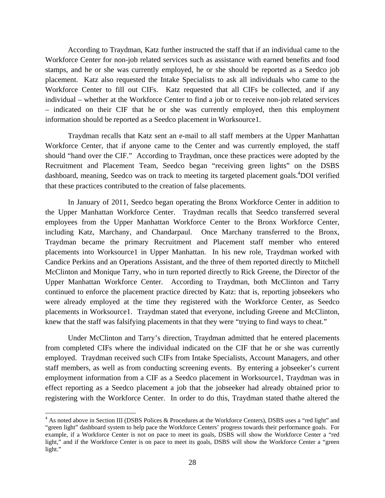According to Traydman, Katz further instructed the staff that if an individual came to the Workforce Center for non-job related services such as assistance with earned benefits and food stamps, and he or she was currently employed, he or she should be reported as a Seedco job placement. Katz also requested the Intake Specialists to ask all individuals who came to the Workforce Center to fill out CIFs. Katz requested that all CIFs be collected, and if any individual – whether at the Workforce Center to find a job or to receive non-job related services – indicated on their CIF that he or she was currently employed, then this employment information should be reported as a Seedco placement in Worksource1.

Traydman recalls that Katz sent an e-mail to all staff members at the Upper Manhattan Workforce Center, that if anyone came to the Center and was currently employed, the staff should "hand over the CIF." According to Traydman, once these practices were adopted by the Recruitment and Placement Team, Seedco began "receiving green lights" on the DSBS dashboard, meaning, Seedco was on track to meeting its targeted placement goals.<sup>4</sup>DOI verified that these practices contributed to the creation of false placements.

 In January of 2011, Seedco began operating the Bronx Workforce Center in addition to the Upper Manhattan Workforce Center. Traydman recalls that Seedco transferred several employees from the Upper Manhattan Workforce Center to the Bronx Workforce Center, including Katz, Marchany, and Chandarpaul. Once Marchany transferred to the Bronx, Traydman became the primary Recruitment and Placement staff member who entered placements into Worksource1 in Upper Manhattan. In his new role, Traydman worked with Candice Perkins and an Operations Assistant, and the three of them reported directly to Mitchell McClinton and Monique Tarry, who in turn reported directly to Rick Greene, the Director of the Upper Manhattan Workforce Center. According to Traydman, both McClinton and Tarry continued to enforce the placement practice directed by Katz: that is, reporting jobseekers who were already employed at the time they registered with the Workforce Center, as Seedco placements in Worksource1. Traydman stated that everyone, including Greene and McClinton, knew that the staff was falsifying placements in that they were "trying to find ways to cheat."

Under McClinton and Tarry's direction, Traydman admitted that he entered placements from completed CIFs where the individual indicated on the CIF that he or she was currently employed. Traydman received such CIFs from Intake Specialists, Account Managers, and other staff members, as well as from conducting screening events. By entering a jobseeker's current employment information from a CIF as a Seedco placement in Worksource1, Traydman was in effect reporting as a Seedco placement a job that the jobseeker had already obtained prior to registering with the Workforce Center. In order to do this, Traydman stated thathe altered the

 $\overline{a}$ 

<sup>&</sup>lt;sup>4</sup> As noted above in Section III (DSBS Polices & Procedures at the Workforce Centers), DSBS uses a "red light" and "green light" dashboard system to help pace the Workforce Centers' progress towards their performance goals. For example, if a Workforce Center is not on pace to meet its goals, DSBS will show the Workforce Center a "red light," and if the Workforce Center is on pace to meet its goals, DSBS will show the Workforce Center a "green light."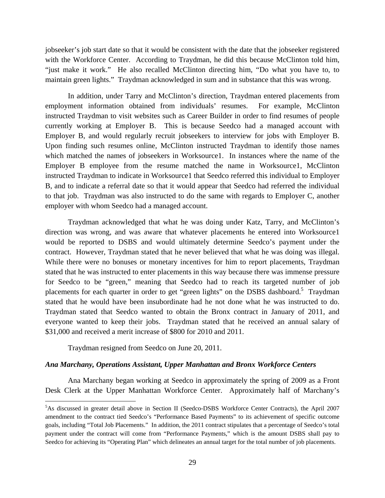jobseeker's job start date so that it would be consistent with the date that the jobseeker registered with the Workforce Center. According to Traydman, he did this because McClinton told him, "just make it work." He also recalled McClinton directing him, "Do what you have to, to maintain green lights." Traydman acknowledged in sum and in substance that this was wrong.

In addition, under Tarry and McClinton's direction, Traydman entered placements from employment information obtained from individuals' resumes. For example, McClinton instructed Traydman to visit websites such as Career Builder in order to find resumes of people currently working at Employer B. This is because Seedco had a managed account with Employer B, and would regularly recruit jobseekers to interview for jobs with Employer B. Upon finding such resumes online, McClinton instructed Traydman to identify those names which matched the names of jobseekers in Worksource1. In instances where the name of the Employer B employee from the resume matched the name in Worksource1, McClinton instructed Traydman to indicate in Worksource1 that Seedco referred this individual to Employer B, and to indicate a referral date so that it would appear that Seedco had referred the individual to that job. Traydman was also instructed to do the same with regards to Employer C, another employer with whom Seedco had a managed account.

 Traydman acknowledged that what he was doing under Katz, Tarry, and McClinton's direction was wrong, and was aware that whatever placements he entered into Worksource1 would be reported to DSBS and would ultimately determine Seedco's payment under the contract. However, Traydman stated that he never believed that what he was doing was illegal. While there were no bonuses or monetary incentives for him to report placements, Traydman stated that he was instructed to enter placements in this way because there was immense pressure for Seedco to be "green," meaning that Seedco had to reach its targeted number of job placements for each quarter in order to get "green lights" on the DSBS dashboard.<sup>5</sup> Traydman stated that he would have been insubordinate had he not done what he was instructed to do. Traydman stated that Seedco wanted to obtain the Bronx contract in January of 2011, and everyone wanted to keep their jobs. Traydman stated that he received an annual salary of \$31,000 and received a merit increase of \$800 for 2010 and 2011.

Traydman resigned from Seedco on June 20, 2011.

 $\overline{a}$ 

## *Ana Marchany, Operations Assistant, Upper Manhattan and Bronx Workforce Centers*

Ana Marchany began working at Seedco in approximately the spring of 2009 as a Front Desk Clerk at the Upper Manhattan Workforce Center. Approximately half of Marchany's

<sup>5</sup> As discussed in greater detail above in Section II (Seedco-DSBS Workforce Center Contracts), the April 2007 amendment to the contract tied Seedco's "Performance Based Payments" to its achievement of specific outcome goals, including "Total Job Placements." In addition, the 2011 contract stipulates that a percentage of Seedco's total payment under the contract will come from "Performance Payments," which is the amount DSBS shall pay to Seedco for achieving its "Operating Plan" which delineates an annual target for the total number of job placements.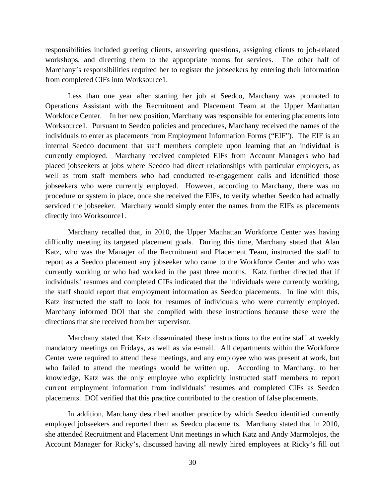responsibilities included greeting clients, answering questions, assigning clients to job-related workshops, and directing them to the appropriate rooms for services. The other half of Marchany's responsibilities required her to register the jobseekers by entering their information from completed CIFs into Worksource1.

Less than one year after starting her job at Seedco, Marchany was promoted to Operations Assistant with the Recruitment and Placement Team at the Upper Manhattan Workforce Center. In her new position, Marchany was responsible for entering placements into Worksource1. Pursuant to Seedco policies and procedures, Marchany received the names of the individuals to enter as placements from Employment Information Forms ("EIF"). The EIF is an internal Seedco document that staff members complete upon learning that an individual is currently employed. Marchany received completed EIFs from Account Managers who had placed jobseekers at jobs where Seedco had direct relationships with particular employers, as well as from staff members who had conducted re-engagement calls and identified those jobseekers who were currently employed. However, according to Marchany, there was no procedure or system in place, once she received the EIFs, to verify whether Seedco had actually serviced the jobseeker. Marchany would simply enter the names from the EIFs as placements directly into Worksource1.

Marchany recalled that, in 2010, the Upper Manhattan Workforce Center was having difficulty meeting its targeted placement goals. During this time, Marchany stated that Alan Katz, who was the Manager of the Recruitment and Placement Team, instructed the staff to report as a Seedco placement any jobseeker who came to the Workforce Center and who was currently working or who had worked in the past three months. Katz further directed that if individuals' resumes and completed CIFs indicated that the individuals were currently working, the staff should report that employment information as Seedco placements. In line with this, Katz instructed the staff to look for resumes of individuals who were currently employed. Marchany informed DOI that she complied with these instructions because these were the directions that she received from her supervisor.

Marchany stated that Katz disseminated these instructions to the entire staff at weekly mandatory meetings on Fridays, as well as via e-mail. All departments within the Workforce Center were required to attend these meetings, and any employee who was present at work, but who failed to attend the meetings would be written up. According to Marchany, to her knowledge, Katz was the only employee who explicitly instructed staff members to report current employment information from individuals' resumes and completed CIFs as Seedco placements. DOI verified that this practice contributed to the creation of false placements.

In addition, Marchany described another practice by which Seedco identified currently employed jobseekers and reported them as Seedco placements. Marchany stated that in 2010, she attended Recruitment and Placement Unit meetings in which Katz and Andy Marmolejos, the Account Manager for Ricky's, discussed having all newly hired employees at Ricky's fill out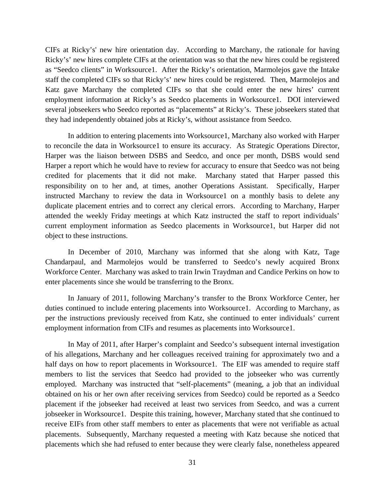CIFs at Ricky's' new hire orientation day. According to Marchany, the rationale for having Ricky's' new hires complete CIFs at the orientation was so that the new hires could be registered as "Seedco clients" in Worksource1. After the Ricky's orientation, Marmolejos gave the Intake staff the completed CIFs so that Ricky's' new hires could be registered. Then, Marmolejos and Katz gave Marchany the completed CIFs so that she could enter the new hires' current employment information at Ricky's as Seedco placements in Worksource1. DOI interviewed several jobseekers who Seedco reported as "placements" at Ricky's. These jobseekers stated that they had independently obtained jobs at Ricky's, without assistance from Seedco.

In addition to entering placements into Worksource1, Marchany also worked with Harper to reconcile the data in Worksource1 to ensure its accuracy. As Strategic Operations Director, Harper was the liaison between DSBS and Seedco, and once per month, DSBS would send Harper a report which he would have to review for accuracy to ensure that Seedco was not being credited for placements that it did not make. Marchany stated that Harper passed this responsibility on to her and, at times, another Operations Assistant. Specifically, Harper instructed Marchany to review the data in Worksource1 on a monthly basis to delete any duplicate placement entries and to correct any clerical errors. According to Marchany, Harper attended the weekly Friday meetings at which Katz instructed the staff to report individuals' current employment information as Seedco placements in Worksource1, but Harper did not object to these instructions.

In December of 2010, Marchany was informed that she along with Katz, Tage Chandarpaul, and Marmolejos would be transferred to Seedco's newly acquired Bronx Workforce Center. Marchany was asked to train Irwin Traydman and Candice Perkins on how to enter placements since she would be transferring to the Bronx.

In January of 2011, following Marchany's transfer to the Bronx Workforce Center, her duties continued to include entering placements into Worksource1. According to Marchany, as per the instructions previously received from Katz, she continued to enter individuals' current employment information from CIFs and resumes as placements into Worksource1.

In May of 2011, after Harper's complaint and Seedco's subsequent internal investigation of his allegations, Marchany and her colleagues received training for approximately two and a half days on how to report placements in Worksource1. The EIF was amended to require staff members to list the services that Seedco had provided to the jobseeker who was currently employed. Marchany was instructed that "self-placements" (meaning, a job that an individual obtained on his or her own after receiving services from Seedco) could be reported as a Seedco placement if the jobseeker had received at least two services from Seedco, and was a current jobseeker in Worksource1. Despite this training, however, Marchany stated that she continued to receive EIFs from other staff members to enter as placements that were not verifiable as actual placements. Subsequently, Marchany requested a meeting with Katz because she noticed that placements which she had refused to enter because they were clearly false, nonetheless appeared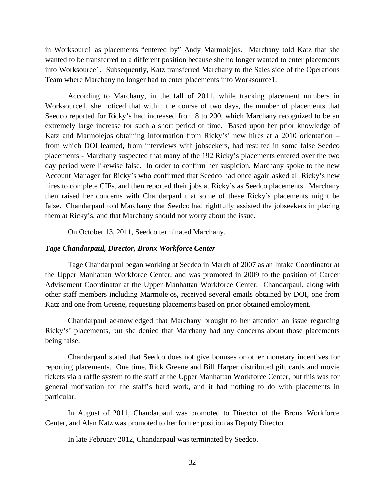in Worksourc1 as placements "entered by" Andy Marmolejos. Marchany told Katz that she wanted to be transferred to a different position because she no longer wanted to enter placements into Worksource1. Subsequently, Katz transferred Marchany to the Sales side of the Operations Team where Marchany no longer had to enter placements into Worksource1.

According to Marchany, in the fall of 2011, while tracking placement numbers in Worksource1, she noticed that within the course of two days, the number of placements that Seedco reported for Ricky's had increased from 8 to 200, which Marchany recognized to be an extremely large increase for such a short period of time. Based upon her prior knowledge of Katz and Marmolejos obtaining information from Ricky's' new hires at a 2010 orientation – from which DOI learned, from interviews with jobseekers, had resulted in some false Seedco placements - Marchany suspected that many of the 192 Ricky's placements entered over the two day period were likewise false. In order to confirm her suspicion, Marchany spoke to the new Account Manager for Ricky's who confirmed that Seedco had once again asked all Ricky's new hires to complete CIFs, and then reported their jobs at Ricky's as Seedco placements. Marchany then raised her concerns with Chandarpaul that some of these Ricky's placements might be false. Chandarpaul told Marchany that Seedco had rightfully assisted the jobseekers in placing them at Ricky's, and that Marchany should not worry about the issue.

On October 13, 2011, Seedco terminated Marchany.

#### *Tage Chandarpaul, Director, Bronx Workforce Center*

Tage Chandarpaul began working at Seedco in March of 2007 as an Intake Coordinator at the Upper Manhattan Workforce Center, and was promoted in 2009 to the position of Career Advisement Coordinator at the Upper Manhattan Workforce Center. Chandarpaul, along with other staff members including Marmolejos, received several emails obtained by DOI, one from Katz and one from Greene, requesting placements based on prior obtained employment.

Chandarpaul acknowledged that Marchany brought to her attention an issue regarding Ricky's' placements, but she denied that Marchany had any concerns about those placements being false.

Chandarpaul stated that Seedco does not give bonuses or other monetary incentives for reporting placements. One time, Rick Greene and Bill Harper distributed gift cards and movie tickets via a raffle system to the staff at the Upper Manhattan Workforce Center, but this was for general motivation for the staff's hard work, and it had nothing to do with placements in particular.

 In August of 2011, Chandarpaul was promoted to Director of the Bronx Workforce Center, and Alan Katz was promoted to her former position as Deputy Director.

In late February 2012, Chandarpaul was terminated by Seedco.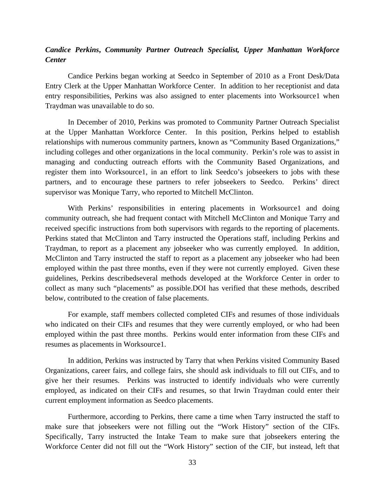# *Candice Perkins***,** *Community Partner Outreach Specialist, Upper Manhattan Workforce Center*

Candice Perkins began working at Seedco in September of 2010 as a Front Desk/Data Entry Clerk at the Upper Manhattan Workforce Center. In addition to her receptionist and data entry responsibilities, Perkins was also assigned to enter placements into Worksource1 when Traydman was unavailable to do so.

In December of 2010, Perkins was promoted to Community Partner Outreach Specialist at the Upper Manhattan Workforce Center. In this position, Perkins helped to establish relationships with numerous community partners, known as "Community Based Organizations," including colleges and other organizations in the local community. Perkin's role was to assist in managing and conducting outreach efforts with the Community Based Organizations, and register them into Worksource1, in an effort to link Seedco's jobseekers to jobs with these partners, and to encourage these partners to refer jobseekers to Seedco. Perkins' direct supervisor was Monique Tarry, who reported to Mitchell McClinton.

With Perkins' responsibilities in entering placements in Worksource1 and doing community outreach, she had frequent contact with Mitchell McClinton and Monique Tarry and received specific instructions from both supervisors with regards to the reporting of placements. Perkins stated that McClinton and Tarry instructed the Operations staff, including Perkins and Traydman, to report as a placement any jobseeker who was currently employed. In addition, McClinton and Tarry instructed the staff to report as a placement any jobseeker who had been employed within the past three months, even if they were not currently employed. Given these guidelines, Perkins describedseveral methods developed at the Workforce Center in order to collect as many such "placements" as possible.DOI has verified that these methods, described below, contributed to the creation of false placements.

 For example, staff members collected completed CIFs and resumes of those individuals who indicated on their CIFs and resumes that they were currently employed, or who had been employed within the past three months. Perkins would enter information from these CIFs and resumes as placements in Worksource1.

In addition, Perkins was instructed by Tarry that when Perkins visited Community Based Organizations, career fairs, and college fairs, she should ask individuals to fill out CIFs, and to give her their resumes. Perkins was instructed to identify individuals who were currently employed, as indicated on their CIFs and resumes, so that Irwin Traydman could enter their current employment information as Seedco placements.

Furthermore, according to Perkins, there came a time when Tarry instructed the staff to make sure that jobseekers were not filling out the "Work History" section of the CIFs. Specifically, Tarry instructed the Intake Team to make sure that jobseekers entering the Workforce Center did not fill out the "Work History" section of the CIF, but instead, left that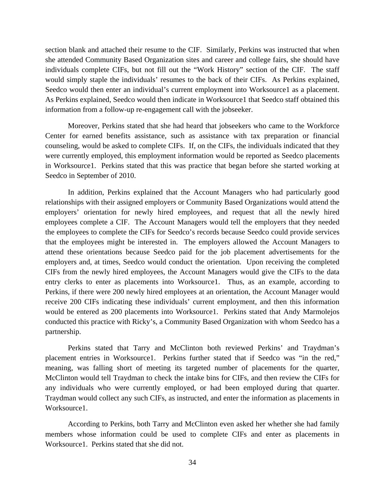section blank and attached their resume to the CIF. Similarly, Perkins was instructed that when she attended Community Based Organization sites and career and college fairs, she should have individuals complete CIFs, but not fill out the "Work History" section of the CIF. The staff would simply staple the individuals' resumes to the back of their CIFs. As Perkins explained, Seedco would then enter an individual's current employment into Worksource1 as a placement. As Perkins explained, Seedco would then indicate in Worksource1 that Seedco staff obtained this information from a follow-up re-engagement call with the jobseeker.

Moreover, Perkins stated that she had heard that jobseekers who came to the Workforce Center for earned benefits assistance, such as assistance with tax preparation or financial counseling, would be asked to complete CIFs. If, on the CIFs, the individuals indicated that they were currently employed, this employment information would be reported as Seedco placements in Worksource1. Perkins stated that this was practice that began before she started working at Seedco in September of 2010.

In addition, Perkins explained that the Account Managers who had particularly good relationships with their assigned employers or Community Based Organizations would attend the employers' orientation for newly hired employees, and request that all the newly hired employees complete a CIF. The Account Managers would tell the employers that they needed the employees to complete the CIFs for Seedco's records because Seedco could provide services that the employees might be interested in. The employers allowed the Account Managers to attend these orientations because Seedco paid for the job placement advertisements for the employers and, at times, Seedco would conduct the orientation. Upon receiving the completed CIFs from the newly hired employees, the Account Managers would give the CIFs to the data entry clerks to enter as placements into Worksource1. Thus, as an example, according to Perkins, if there were 200 newly hired employees at an orientation, the Account Manager would receive 200 CIFs indicating these individuals' current employment, and then this information would be entered as 200 placements into Worksource1. Perkins stated that Andy Marmolejos conducted this practice with Ricky's, a Community Based Organization with whom Seedco has a partnership.

Perkins stated that Tarry and McClinton both reviewed Perkins' and Traydman's placement entries in Worksource1. Perkins further stated that if Seedco was "in the red," meaning, was falling short of meeting its targeted number of placements for the quarter, McClinton would tell Traydman to check the intake bins for CIFs, and then review the CIFs for any individuals who were currently employed, or had been employed during that quarter. Traydman would collect any such CIFs, as instructed, and enter the information as placements in Worksource1.

According to Perkins, both Tarry and McClinton even asked her whether she had family members whose information could be used to complete CIFs and enter as placements in Worksource1. Perkins stated that she did not.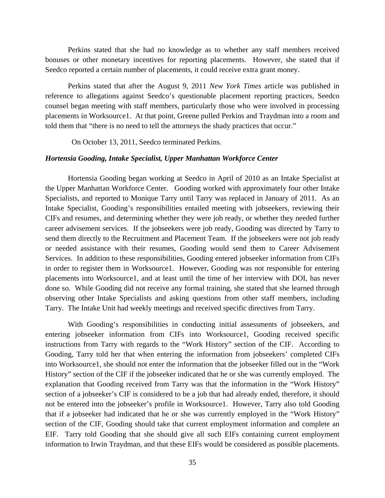Perkins stated that she had no knowledge as to whether any staff members received bonuses or other monetary incentives for reporting placements. However, she stated that if Seedco reported a certain number of placements, it could receive extra grant money.

Perkins stated that after the August 9, 2011 *New York Times* article was published in reference to allegations against Seedco's questionable placement reporting practices, Seedco counsel began meeting with staff members, particularly those who were involved in processing placements in Worksource1. At that point, Greene pulled Perkins and Traydman into a room and told them that "there is no need to tell the attorneys the shady practices that occur."

On October 13, 2011, Seedco terminated Perkins.

#### *Hortensia Gooding, Intake Specialist, Upper Manhattan Workforce Center*

Hortensia Gooding began working at Seedco in April of 2010 as an Intake Specialist at the Upper Manhattan Workforce Center. Gooding worked with approximately four other Intake Specialists, and reported to Monique Tarry until Tarry was replaced in January of 2011. As an Intake Specialist, Gooding's responsibilities entailed meeting with jobseekers, reviewing their CIFs and resumes, and determining whether they were job ready, or whether they needed further career advisement services. If the jobseekers were job ready, Gooding was directed by Tarry to send them directly to the Recruitment and Placement Team. If the jobseekers were not job ready or needed assistance with their resumes, Gooding would send them to Career Advisement Services. In addition to these responsibilities, Gooding entered jobseeker information from CIFs in order to register them in Worksource1. However, Gooding was not responsible for entering placements into Worksource1, and at least until the time of her interview with DOI, has never done so. While Gooding did not receive any formal training, she stated that she learned through observing other Intake Specialists and asking questions from other staff members, including Tarry. The Intake Unit had weekly meetings and received specific directives from Tarry.

With Gooding's responsibilities in conducting initial assessments of jobseekers, and entering jobseeker information from CIFs into Worksource1, Gooding received specific instructions from Tarry with regards to the "Work History" section of the CIF. According to Gooding, Tarry told her that when entering the information from jobseekers' completed CIFs into Worksource1, she should not enter the information that the jobseeker filled out in the "Work History" section of the CIF if the jobseeker indicated that he or she was currently employed. The explanation that Gooding received from Tarry was that the information in the "Work History" section of a jobseeker's CIF is considered to be a job that had already ended, therefore, it should not be entered into the jobseeker's profile in Worksource1. However, Tarry also told Gooding that if a jobseeker had indicated that he or she was currently employed in the "Work History" section of the CIF, Gooding should take that current employment information and complete an EIF. Tarry told Gooding that she should give all such EIFs containing current employment information to Irwin Traydman, and that these EIFs would be considered as possible placements.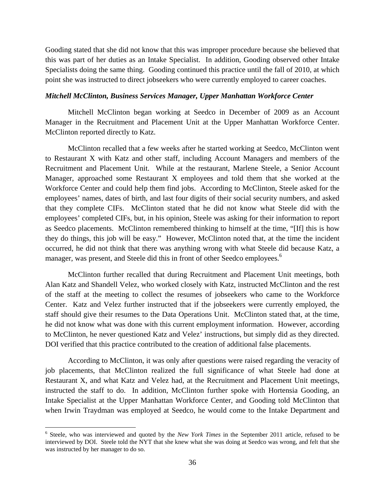Gooding stated that she did not know that this was improper procedure because she believed that this was part of her duties as an Intake Specialist. In addition, Gooding observed other Intake Specialists doing the same thing. Gooding continued this practice until the fall of 2010, at which point she was instructed to direct jobseekers who were currently employed to career coaches.

#### *Mitchell McClinton, Business Services Manager, Upper Manhattan Workforce Center*

Mitchell McClinton began working at Seedco in December of 2009 as an Account Manager in the Recruitment and Placement Unit at the Upper Manhattan Workforce Center. McClinton reported directly to Katz.

McClinton recalled that a few weeks after he started working at Seedco, McClinton went to Restaurant X with Katz and other staff, including Account Managers and members of the Recruitment and Placement Unit. While at the restaurant, Marlene Steele, a Senior Account Manager, approached some Restaurant X employees and told them that she worked at the Workforce Center and could help them find jobs. According to McClinton, Steele asked for the employees' names, dates of birth, and last four digits of their social security numbers, and asked that they complete CIFs. McClinton stated that he did not know what Steele did with the employees' completed CIFs, but, in his opinion, Steele was asking for their information to report as Seedco placements. McClinton remembered thinking to himself at the time, "[If] this is how they do things, this job will be easy." However, McClinton noted that, at the time the incident occurred, he did not think that there was anything wrong with what Steele did because Katz, a manager, was present, and Steele did this in front of other Seedco employees.<sup>6</sup>

McClinton further recalled that during Recruitment and Placement Unit meetings, both Alan Katz and Shandell Velez, who worked closely with Katz, instructed McClinton and the rest of the staff at the meeting to collect the resumes of jobseekers who came to the Workforce Center. Katz and Velez further instructed that if the jobseekers were currently employed, the staff should give their resumes to the Data Operations Unit. McClinton stated that, at the time, he did not know what was done with this current employment information. However, according to McClinton, he never questioned Katz and Velez' instructions, but simply did as they directed. DOI verified that this practice contributed to the creation of additional false placements.

According to McClinton, it was only after questions were raised regarding the veracity of job placements, that McClinton realized the full significance of what Steele had done at Restaurant X, and what Katz and Velez had, at the Recruitment and Placement Unit meetings, instructed the staff to do. In addition, McClinton further spoke with Hortensia Gooding, an Intake Specialist at the Upper Manhattan Workforce Center, and Gooding told McClinton that when Irwin Traydman was employed at Seedco, he would come to the Intake Department and

 $\overline{a}$ 

<sup>&</sup>lt;sup>6</sup> Steele, who was interviewed and quoted by the *New York Times* in the September 2011 article, refused to be interviewed by DOI. Steele told the NYT that she knew what she was doing at Seedco was wrong, and felt that she was instructed by her manager to do so.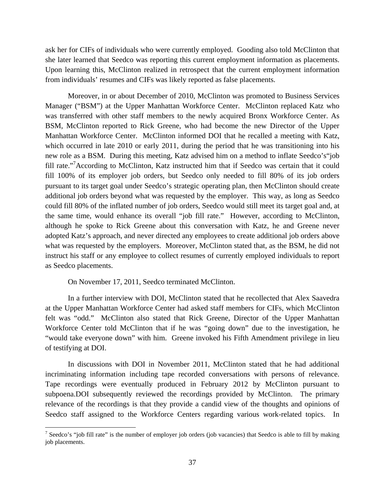ask her for CIFs of individuals who were currently employed. Gooding also told McClinton that she later learned that Seedco was reporting this current employment information as placements. Upon learning this, McClinton realized in retrospect that the current employment information from individuals' resumes and CIFs was likely reported as false placements.

Moreover, in or about December of 2010, McClinton was promoted to Business Services Manager ("BSM") at the Upper Manhattan Workforce Center. McClinton replaced Katz who was transferred with other staff members to the newly acquired Bronx Workforce Center. As BSM, McClinton reported to Rick Greene, who had become the new Director of the Upper Manhattan Workforce Center. McClinton informed DOI that he recalled a meeting with Katz, which occurred in late 2010 or early 2011, during the period that he was transitioning into his new role as a BSM. During this meeting, Katz advised him on a method to inflate Seedco's"job fill rate."<sup>7</sup> According to McClinton, Katz instructed him that if Seedco was certain that it could fill 100% of its employer job orders, but Seedco only needed to fill 80% of its job orders pursuant to its target goal under Seedco's strategic operating plan, then McClinton should create additional job orders beyond what was requested by the employer. This way, as long as Seedco could fill 80% of the inflated number of job orders, Seedco would still meet its target goal and, at the same time, would enhance its overall "job fill rate." However, according to McClinton, although he spoke to Rick Greene about this conversation with Katz, he and Greene never adopted Katz's approach, and never directed any employees to create additional job orders above what was requested by the employers. Moreover, McClinton stated that, as the BSM, he did not instruct his staff or any employee to collect resumes of currently employed individuals to report as Seedco placements.

On November 17, 2011, Seedco terminated McClinton.

 $\overline{a}$ 

In a further interview with DOI, McClinton stated that he recollected that Alex Saavedra at the Upper Manhattan Workforce Center had asked staff members for CIFs, which McClinton felt was "odd." McClinton also stated that Rick Greene, Director of the Upper Manhattan Workforce Center told McClinton that if he was "going down" due to the investigation, he "would take everyone down" with him. Greene invoked his Fifth Amendment privilege in lieu of testifying at DOI.

In discussions with DOI in November 2011, McClinton stated that he had additional incriminating information including tape recorded conversations with persons of relevance. Tape recordings were eventually produced in February 2012 by McClinton pursuant to subpoena.DOI subsequently reviewed the recordings provided by McClinton. The primary relevance of the recordings is that they provide a candid view of the thoughts and opinions of Seedco staff assigned to the Workforce Centers regarding various work-related topics. In

<sup>&</sup>lt;sup>7</sup> Seedco's "job fill rate" is the number of employer job orders (job vacancies) that Seedco is able to fill by making job placements.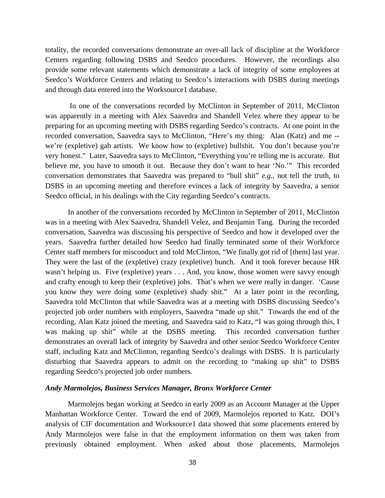totality, the recorded conversations demonstrate an over-all lack of discipline at the Workforce Centers regarding following DSBS and Seedco procedures. However, the recordings also provide some relevant statements which demonstrate a lack of integrity of some employees at Seedco's Workforce Centers and relating to Seedco's interactions with DSBS during meetings and through data entered into the Worksource1 database.

 In one of the conversations recorded by McClinton in September of 2011, McClinton was apparently in a meeting with Alex Saavedra and Shandell Velez where they appear to be preparing for an upcoming meeting with DSBS regarding Seedco's contracts. At one point in the recorded conversation, Saavedra says to McClinton, "Here's my thing: Alan (Katz) and me - we're (expletive) gab artists. We know how to (expletive) bullshit. You don't because you're very honest." Later, Saavedra says to McClinton, "Everything you're telling me is accurate. But believe me, you have to smooth it out. Because they don't want to hear 'No.'" This recorded conversation demonstrates that Saavedra was prepared to "bull shit" *e.g.*, not tell the truth, to DSBS in an upcoming meeting and therefore evinces a lack of integrity by Saavedra, a senior Seedco official, in his dealings with the City regarding Seedco's contracts.

In another of the conversations recorded by McClinton in September of 2011, McClinton was in a meeting with Alex Saavedra, Shandell Velez, and Benjamin Tang. During the recorded conversation, Saavedra was discussing his perspective of Seedco and how it developed over the years. Saavedra further detailed how Seedco had finally terminated some of their Workforce Center staff members for misconduct and told McClinton, "We finally got rid of [them] last year. They were the last of the (expletive) crazy (expletive) bunch. And it took forever because HR wasn't helping us. Five (expletive) years . . . And, you know, those women were savvy enough and crafty enough to keep their (expletive) jobs. That's when we were really in danger. 'Cause you know they were doing some (expletive) shady shit." At a later point in the recording, Saavedra told McClinton that while Saavedra was at a meeting with DSBS discussing Seedco's projected job order numbers with employers, Saavedra "made up shit." Towards the end of the recording, Alan Katz joined the meeting, and Saavedra said to Katz, "I was going through this, I was making up shit" while at the DSBS meeting. This recorded conversation further demonstrates an overall lack of integrity by Saavedra and other senior Seedco Workforce Center staff, including Katz and McClinton, regarding Seedco's dealings with DSBS. It is particularly disturbing that Saavedra appears to admit on the recording to "making up shit" to DSBS regarding Seedco's projected job order numbers.

### *Andy Marmolejos, Business Services Manager, Bronx Workforce Center*

Marmolejos began working at Seedco in early 2009 as an Account Manager at the Upper Manhattan Workforce Center. Toward the end of 2009, Marmolejos reported to Katz. DOI's analysis of CIF documentation and Worksource1 data showed that some placements entered by Andy Marmolejos were false in that the employment information on them was taken from previously obtained employment. When asked about those placements, Marmolejos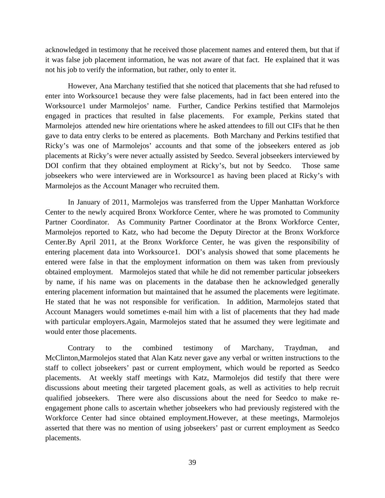acknowledged in testimony that he received those placement names and entered them, but that if it was false job placement information, he was not aware of that fact. He explained that it was not his job to verify the information, but rather, only to enter it.

However, Ana Marchany testified that she noticed that placements that she had refused to enter into Worksource1 because they were false placements, had in fact been entered into the Worksource1 under Marmolejos' name. Further, Candice Perkins testified that Marmolejos engaged in practices that resulted in false placements. For example, Perkins stated that Marmolejos attended new hire orientations where he asked attendees to fill out CIFs that he then gave to data entry clerks to be entered as placements. Both Marchany and Perkins testified that Ricky's was one of Marmolejos' accounts and that some of the jobseekers entered as job placements at Ricky's were never actually assisted by Seedco. Several jobseekers interviewed by DOI confirm that they obtained employment at Ricky's, but not by Seedco. Those same jobseekers who were interviewed are in Worksource1 as having been placed at Ricky's with Marmolejos as the Account Manager who recruited them.

In January of 2011, Marmolejos was transferred from the Upper Manhattan Workforce Center to the newly acquired Bronx Workforce Center, where he was promoted to Community Partner Coordinator. As Community Partner Coordinator at the Bronx Workforce Center, Marmolejos reported to Katz, who had become the Deputy Director at the Bronx Workforce Center.By April 2011, at the Bronx Workforce Center, he was given the responsibility of entering placement data into Worksource1. DOI's analysis showed that some placements he entered were false in that the employment information on them was taken from previously obtained employment. Marmolejos stated that while he did not remember particular jobseekers by name, if his name was on placements in the database then he acknowledged generally entering placement information but maintained that he assumed the placements were legitimate. He stated that he was not responsible for verification. In addition, Marmolejos stated that Account Managers would sometimes e-mail him with a list of placements that they had made with particular employers.Again, Marmolejos stated that he assumed they were legitimate and would enter those placements.

Contrary to the combined testimony of Marchany, Traydman, and McClinton,Marmolejos stated that Alan Katz never gave any verbal or written instructions to the staff to collect jobseekers' past or current employment, which would be reported as Seedco placements. At weekly staff meetings with Katz, Marmolejos did testify that there were discussions about meeting their targeted placement goals, as well as activities to help recruit qualified jobseekers. There were also discussions about the need for Seedco to make reengagement phone calls to ascertain whether jobseekers who had previously registered with the Workforce Center had since obtained employment.However, at these meetings, Marmolejos asserted that there was no mention of using jobseekers' past or current employment as Seedco placements.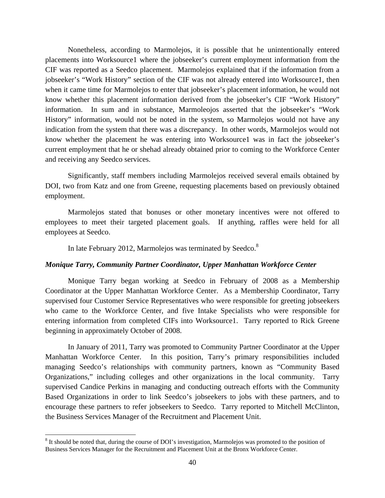Nonetheless, according to Marmolejos, it is possible that he unintentionally entered placements into Worksource1 where the jobseeker's current employment information from the CIF was reported as a Seedco placement. Marmolejos explained that if the information from a jobseeker's "Work History" section of the CIF was not already entered into Worksource1, then when it came time for Marmolejos to enter that jobseeker's placement information, he would not know whether this placement information derived from the jobseeker's CIF "Work History" information. In sum and in substance, Marmoleojos asserted that the jobseeker's "Work History" information, would not be noted in the system, so Marmolejos would not have any indication from the system that there was a discrepancy. In other words, Marmolejos would not know whether the placement he was entering into Worksource1 was in fact the jobseeker's current employment that he or shehad already obtained prior to coming to the Workforce Center and receiving any Seedco services.

Significantly, staff members including Marmolejos received several emails obtained by DOI, two from Katz and one from Greene, requesting placements based on previously obtained employment.

Marmolejos stated that bonuses or other monetary incentives were not offered to employees to meet their targeted placement goals. If anything, raffles were held for all employees at Seedco.

In late February 2012, Marmolejos was terminated by Seedco.<sup>8</sup>

### *Monique Tarry, Community Partner Coordinator, Upper Manhattan Workforce Center*

Monique Tarry began working at Seedco in February of 2008 as a Membership Coordinator at the Upper Manhattan Workforce Center. As a Membership Coordinator, Tarry supervised four Customer Service Representatives who were responsible for greeting jobseekers who came to the Workforce Center, and five Intake Specialists who were responsible for entering information from completed CIFs into Worksource1. Tarry reported to Rick Greene beginning in approximately October of 2008.

In January of 2011, Tarry was promoted to Community Partner Coordinator at the Upper Manhattan Workforce Center. In this position, Tarry's primary responsibilities included managing Seedco's relationships with community partners, known as "Community Based Organizations," including colleges and other organizations in the local community. Tarry supervised Candice Perkins in managing and conducting outreach efforts with the Community Based Organizations in order to link Seedco's jobseekers to jobs with these partners, and to encourage these partners to refer jobseekers to Seedco. Tarry reported to Mitchell McClinton, the Business Services Manager of the Recruitment and Placement Unit.

1

<sup>&</sup>lt;sup>8</sup> It should be noted that, during the course of DOI's investigation, Marmolejos was promoted to the position of Business Services Manager for the Recruitment and Placement Unit at the Bronx Workforce Center.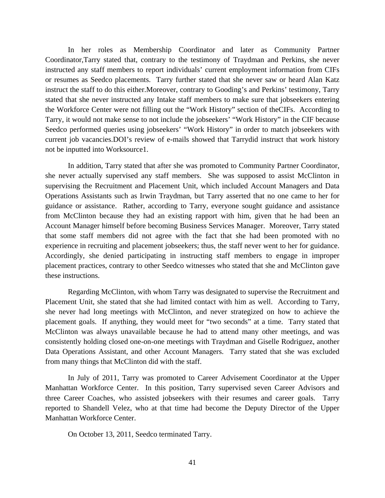In her roles as Membership Coordinator and later as Community Partner Coordinator,Tarry stated that, contrary to the testimony of Traydman and Perkins, she never instructed any staff members to report individuals' current employment information from CIFs or resumes as Seedco placements. Tarry further stated that she never saw or heard Alan Katz instruct the staff to do this either.Moreover, contrary to Gooding's and Perkins' testimony, Tarry stated that she never instructed any Intake staff members to make sure that jobseekers entering the Workforce Center were not filling out the "Work History" section of theCIFs. According to Tarry, it would not make sense to not include the jobseekers' "Work History" in the CIF because Seedco performed queries using jobseekers' "Work History" in order to match jobseekers with current job vacancies.DOI's review of e-mails showed that Tarrydid instruct that work history not be inputted into Worksource1.

In addition, Tarry stated that after she was promoted to Community Partner Coordinator, she never actually supervised any staff members. She was supposed to assist McClinton in supervising the Recruitment and Placement Unit, which included Account Managers and Data Operations Assistants such as Irwin Traydman, but Tarry asserted that no one came to her for guidance or assistance. Rather, according to Tarry, everyone sought guidance and assistance from McClinton because they had an existing rapport with him, given that he had been an Account Manager himself before becoming Business Services Manager. Moreover, Tarry stated that some staff members did not agree with the fact that she had been promoted with no experience in recruiting and placement jobseekers; thus, the staff never went to her for guidance. Accordingly, she denied participating in instructing staff members to engage in improper placement practices, contrary to other Seedco witnesses who stated that she and McClinton gave these instructions.

Regarding McClinton, with whom Tarry was designated to supervise the Recruitment and Placement Unit, she stated that she had limited contact with him as well. According to Tarry, she never had long meetings with McClinton, and never strategized on how to achieve the placement goals. If anything, they would meet for "two seconds" at a time. Tarry stated that McClinton was always unavailable because he had to attend many other meetings, and was consistently holding closed one-on-one meetings with Traydman and Giselle Rodriguez, another Data Operations Assistant, and other Account Managers. Tarry stated that she was excluded from many things that McClinton did with the staff.

In July of 2011, Tarry was promoted to Career Advisement Coordinator at the Upper Manhattan Workforce Center. In this position, Tarry supervised seven Career Advisors and three Career Coaches, who assisted jobseekers with their resumes and career goals. Tarry reported to Shandell Velez, who at that time had become the Deputy Director of the Upper Manhattan Workforce Center.

On October 13, 2011, Seedco terminated Tarry.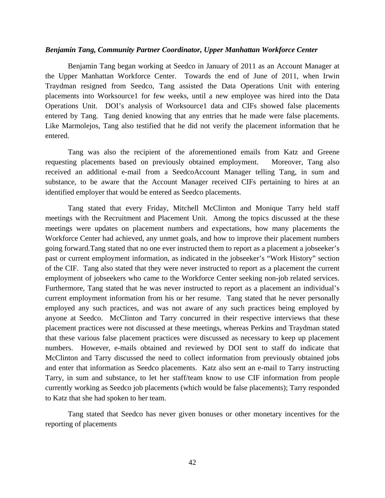### *Benjamin Tang, Community Partner Coordinator, Upper Manhattan Workforce Center*

 Benjamin Tang began working at Seedco in January of 2011 as an Account Manager at the Upper Manhattan Workforce Center. Towards the end of June of 2011, when Irwin Traydman resigned from Seedco, Tang assisted the Data Operations Unit with entering placements into Worksource1 for few weeks, until a new employee was hired into the Data Operations Unit. DOI's analysis of Worksource1 data and CIFs showed false placements entered by Tang. Tang denied knowing that any entries that he made were false placements. Like Marmolejos, Tang also testified that he did not verify the placement information that he entered.

Tang was also the recipient of the aforementioned emails from Katz and Greene requesting placements based on previously obtained employment. Moreover, Tang also received an additional e-mail from a SeedcoAccount Manager telling Tang, in sum and substance, to be aware that the Account Manager received CIFs pertaining to hires at an identified employer that would be entered as Seedco placements.

Tang stated that every Friday, Mitchell McClinton and Monique Tarry held staff meetings with the Recruitment and Placement Unit. Among the topics discussed at the these meetings were updates on placement numbers and expectations, how many placements the Workforce Center had achieved, any unmet goals, and how to improve their placement numbers going forward.Tang stated that no one ever instructed them to report as a placement a jobseeker's past or current employment information, as indicated in the jobseeker's "Work History" section of the CIF. Tang also stated that they were never instructed to report as a placement the current employment of jobseekers who came to the Workforce Center seeking non-job related services. Furthermore, Tang stated that he was never instructed to report as a placement an individual's current employment information from his or her resume. Tang stated that he never personally employed any such practices, and was not aware of any such practices being employed by anyone at Seedco. McClinton and Tarry concurred in their respective interviews that these placement practices were not discussed at these meetings, whereas Perkins and Traydman stated that these various false placement practices were discussed as necessary to keep up placement numbers. However, e-mails obtained and reviewed by DOI sent to staff do indicate that McClinton and Tarry discussed the need to collect information from previously obtained jobs and enter that information as Seedco placements. Katz also sent an e-mail to Tarry instructing Tarry, in sum and substance, to let her staff/team know to use CIF information from people currently working as Seedco job placements (which would be false placements); Tarry responded to Katz that she had spoken to her team.

 Tang stated that Seedco has never given bonuses or other monetary incentives for the reporting of placements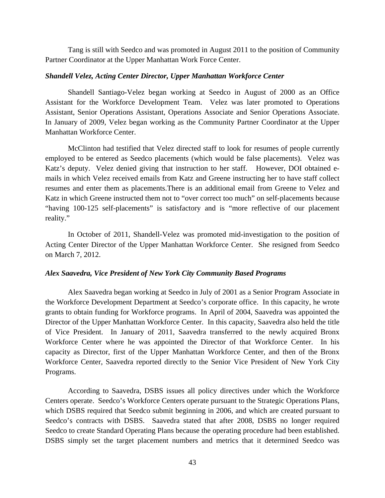Tang is still with Seedco and was promoted in August 2011 to the position of Community Partner Coordinator at the Upper Manhattan Work Force Center.

### *Shandell Velez, Acting Center Director, Upper Manhattan Workforce Center*

Shandell Santiago-Velez began working at Seedco in August of 2000 as an Office Assistant for the Workforce Development Team. Velez was later promoted to Operations Assistant, Senior Operations Assistant, Operations Associate and Senior Operations Associate. In January of 2009, Velez began working as the Community Partner Coordinator at the Upper Manhattan Workforce Center.

 McClinton had testified that Velez directed staff to look for resumes of people currently employed to be entered as Seedco placements (which would be false placements). Velez was Katz's deputy. Velez denied giving that instruction to her staff. However, DOI obtained emails in which Velez received emails from Katz and Greene instructing her to have staff collect resumes and enter them as placements.There is an additional email from Greene to Velez and Katz in which Greene instructed them not to "over correct too much" on self-placements because "having 100-125 self-placements" is satisfactory and is "more reflective of our placement reality."

In October of 2011, Shandell-Velez was promoted mid-investigation to the position of Acting Center Director of the Upper Manhattan Workforce Center. She resigned from Seedco on March 7, 2012.

### *Alex Saavedra, Vice President of New York City Community Based Programs*

 Alex Saavedra began working at Seedco in July of 2001 as a Senior Program Associate in the Workforce Development Department at Seedco's corporate office. In this capacity, he wrote grants to obtain funding for Workforce programs. In April of 2004, Saavedra was appointed the Director of the Upper Manhattan Workforce Center. In this capacity, Saavedra also held the title of Vice President. In January of 2011, Saavedra transferred to the newly acquired Bronx Workforce Center where he was appointed the Director of that Workforce Center. In his capacity as Director, first of the Upper Manhattan Workforce Center, and then of the Bronx Workforce Center, Saavedra reported directly to the Senior Vice President of New York City Programs.

 According to Saavedra, DSBS issues all policy directives under which the Workforce Centers operate. Seedco's Workforce Centers operate pursuant to the Strategic Operations Plans, which DSBS required that Seedco submit beginning in 2006, and which are created pursuant to Seedco's contracts with DSBS. Saavedra stated that after 2008, DSBS no longer required Seedco to create Standard Operating Plans because the operating procedure had been established. DSBS simply set the target placement numbers and metrics that it determined Seedco was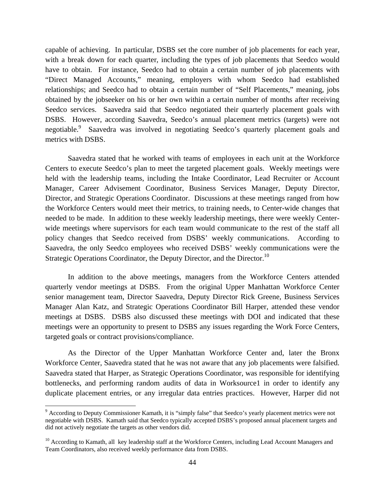capable of achieving. In particular, DSBS set the core number of job placements for each year, with a break down for each quarter, including the types of job placements that Seedco would have to obtain. For instance, Seedco had to obtain a certain number of job placements with "Direct Managed Accounts," meaning, employers with whom Seedco had established relationships; and Seedco had to obtain a certain number of "Self Placements," meaning, jobs obtained by the jobseeker on his or her own within a certain number of months after receiving Seedco services. Saavedra said that Seedco negotiated their quarterly placement goals with DSBS. However, according Saavedra, Seedco's annual placement metrics (targets) were not negotiable.<sup>9</sup> Saavedra was involved in negotiating Seedco's quarterly placement goals and metrics with DSBS.

 Saavedra stated that he worked with teams of employees in each unit at the Workforce Centers to execute Seedco's plan to meet the targeted placement goals. Weekly meetings were held with the leadership teams, including the Intake Coordinator, Lead Recruiter or Account Manager, Career Advisement Coordinator, Business Services Manager, Deputy Director, Director, and Strategic Operations Coordinator. Discussions at these meetings ranged from how the Workforce Centers would meet their metrics, to training needs, to Center-wide changes that needed to be made. In addition to these weekly leadership meetings, there were weekly Centerwide meetings where supervisors for each team would communicate to the rest of the staff all policy changes that Seedco received from DSBS' weekly communications. According to Saavedra, the only Seedco employees who received DSBS' weekly communications were the Strategic Operations Coordinator, the Deputy Director, and the Director.<sup>10</sup>

 In addition to the above meetings, managers from the Workforce Centers attended quarterly vendor meetings at DSBS. From the original Upper Manhattan Workforce Center senior management team, Director Saavedra, Deputy Director Rick Greene, Business Services Manager Alan Katz, and Strategic Operations Coordinator Bill Harper, attended these vendor meetings at DSBS. DSBS also discussed these meetings with DOI and indicated that these meetings were an opportunity to present to DSBS any issues regarding the Work Force Centers, targeted goals or contract provisions/compliance.

As the Director of the Upper Manhattan Workforce Center and, later the Bronx Workforce Center, Saavedra stated that he was not aware that any job placements were falsified. Saavedra stated that Harper, as Strategic Operations Coordinator, was responsible for identifying bottlenecks, and performing random audits of data in Worksource1 in order to identify any duplicate placement entries, or any irregular data entries practices. However, Harper did not

 $\overline{a}$ 

<sup>&</sup>lt;sup>9</sup> According to Deputy Commissioner Kamath, it is "simply false" that Seedco's yearly placement metrics were not negotiable with DSBS. Kamath said that Seedco typically accepted DSBS's proposed annual placement targets and did not actively negotiate the targets as other vendors did.

<sup>&</sup>lt;sup>10</sup> According to Kamath, all key leadership staff at the Workforce Centers, including Lead Account Managers and Team Coordinators, also received weekly performance data from DSBS.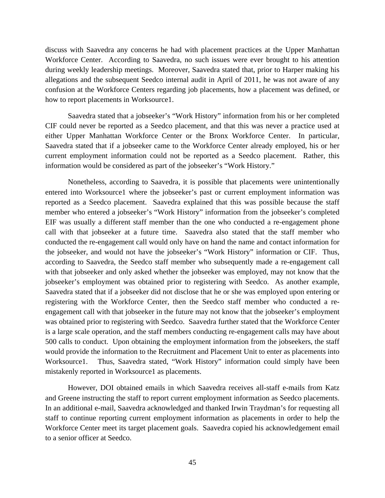discuss with Saavedra any concerns he had with placement practices at the Upper Manhattan Workforce Center. According to Saavedra, no such issues were ever brought to his attention during weekly leadership meetings. Moreover, Saavedra stated that, prior to Harper making his allegations and the subsequent Seedco internal audit in April of 2011, he was not aware of any confusion at the Workforce Centers regarding job placements, how a placement was defined, or how to report placements in Worksource1.

Saavedra stated that a jobseeker's "Work History" information from his or her completed CIF could never be reported as a Seedco placement, and that this was never a practice used at either Upper Manhattan Workforce Center or the Bronx Workforce Center. In particular, Saavedra stated that if a jobseeker came to the Workforce Center already employed, his or her current employment information could not be reported as a Seedco placement. Rather, this information would be considered as part of the jobseeker's "Work History."

Nonetheless, according to Saavedra, it is possible that placements were unintentionally entered into Worksource1 where the jobseeker's past or current employment information was reported as a Seedco placement. Saavedra explained that this was possible because the staff member who entered a jobseeker's "Work History" information from the jobseeker's completed EIF was usually a different staff member than the one who conducted a re-engagement phone call with that jobseeker at a future time. Saavedra also stated that the staff member who conducted the re-engagement call would only have on hand the name and contact information for the jobseeker, and would not have the jobseeker's "Work History" information or CIF. Thus, according to Saavedra, the Seedco staff member who subsequently made a re-engagement call with that jobseeker and only asked whether the jobseeker was employed, may not know that the jobseeker's employment was obtained prior to registering with Seedco. As another example, Saavedra stated that if a jobseeker did not disclose that he or she was employed upon entering or registering with the Workforce Center, then the Seedco staff member who conducted a reengagement call with that jobseeker in the future may not know that the jobseeker's employment was obtained prior to registering with Seedco. Saavedra further stated that the Workforce Center is a large scale operation, and the staff members conducting re-engagement calls may have about 500 calls to conduct. Upon obtaining the employment information from the jobseekers, the staff would provide the information to the Recruitment and Placement Unit to enter as placements into Worksource1. Thus, Saavedra stated, "Work History" information could simply have been mistakenly reported in Worksource1 as placements.

However, DOI obtained emails in which Saavedra receives all-staff e-mails from Katz and Greene instructing the staff to report current employment information as Seedco placements. In an additional e-mail, Saavedra acknowledged and thanked Irwin Traydman's for requesting all staff to continue reporting current employment information as placements in order to help the Workforce Center meet its target placement goals. Saavedra copied his acknowledgement email to a senior officer at Seedco.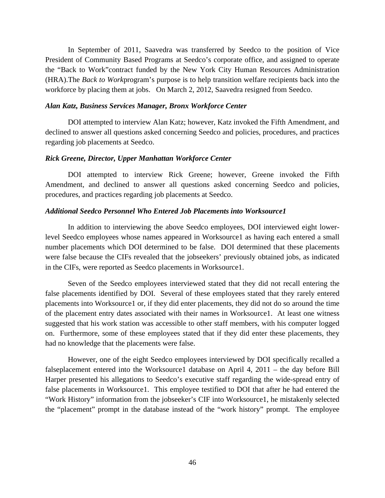In September of 2011, Saavedra was transferred by Seedco to the position of Vice President of Community Based Programs at Seedco's corporate office, and assigned to operate the "Back to Work"contract funded by the New York City Human Resources Administration (HRA).The *Back to Work*program's purpose is to help transition welfare recipients back into the workforce by placing them at jobs. On March 2, 2012, Saavedra resigned from Seedco.

#### *Alan Katz, Business Services Manager, Bronx Workforce Center*

 DOI attempted to interview Alan Katz; however, Katz invoked the Fifth Amendment, and declined to answer all questions asked concerning Seedco and policies, procedures, and practices regarding job placements at Seedco.

### *Rick Greene, Director, Upper Manhattan Workforce Center*

 DOI attempted to interview Rick Greene; however, Greene invoked the Fifth Amendment, and declined to answer all questions asked concerning Seedco and policies, procedures, and practices regarding job placements at Seedco.

### *Additional Seedco Personnel Who Entered Job Placements into Worksource1*

 In addition to interviewing the above Seedco employees, DOI interviewed eight lowerlevel Seedco employees whose names appeared in Worksource1 as having each entered a small number placements which DOI determined to be false. DOI determined that these placements were false because the CIFs revealed that the jobseekers' previously obtained jobs, as indicated in the CIFs, were reported as Seedco placements in Worksource1.

Seven of the Seedco employees interviewed stated that they did not recall entering the false placements identified by DOI. Several of these employees stated that they rarely entered placements into Worksource1 or, if they did enter placements, they did not do so around the time of the placement entry dates associated with their names in Worksource1. At least one witness suggested that his work station was accessible to other staff members, with his computer logged on. Furthermore, some of these employees stated that if they did enter these placements, they had no knowledge that the placements were false.

However, one of the eight Seedco employees interviewed by DOI specifically recalled a falseplacement entered into the Worksource1 database on April 4, 2011 – the day before Bill Harper presented his allegations to Seedco's executive staff regarding the wide-spread entry of false placements in Worksource1. This employee testified to DOI that after he had entered the "Work History" information from the jobseeker's CIF into Worksource1, he mistakenly selected the "placement" prompt in the database instead of the "work history" prompt. The employee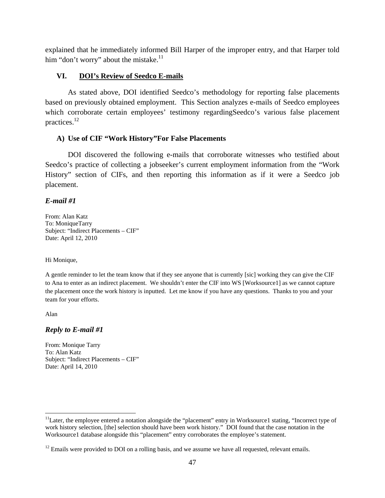explained that he immediately informed Bill Harper of the improper entry, and that Harper told him "don't worry" about the mistake. $11$ 

# **VI. DOI's Review of Seedco E-mails**

As stated above, DOI identified Seedco's methodology for reporting false placements based on previously obtained employment. This Section analyzes e-mails of Seedco employees which corroborate certain employees' testimony regardingSeedco's various false placement practices.12

# **A) Use of CIF "Work History"For False Placements**

DOI discovered the following e-mails that corroborate witnesses who testified about Seedco's practice of collecting a jobseeker's current employment information from the "Work History" section of CIFs, and then reporting this information as if it were a Seedco job placement.

# *E-mail #1*

From: Alan Katz To: MoniqueTarry Subject: "Indirect Placements – CIF" Date: April 12, 2010

Hi Monique,

A gentle reminder to let the team know that if they see anyone that is currently [sic] working they can give the CIF to Ana to enter as an indirect placement. We shouldn't enter the CIF into WS [Worksource1] as we cannot capture the placement once the work history is inputted. Let me know if you have any questions. Thanks to you and your team for your efforts.

Alan

 $\overline{a}$ 

# *Reply to E-mail #1*

From: Monique Tarry To: Alan Katz Subject: "Indirect Placements – CIF" Date: April 14, 2010

<sup>&</sup>lt;sup>11</sup>Later, the employee entered a notation alongside the "placement" entry in Worksource1 stating, "Incorrect type of work history selection, [the] selection should have been work history." DOI found that the case notation in the Worksource1 database alongside this "placement" entry corroborates the employee's statement.

 $12$  Emails were provided to DOI on a rolling basis, and we assume we have all requested, relevant emails.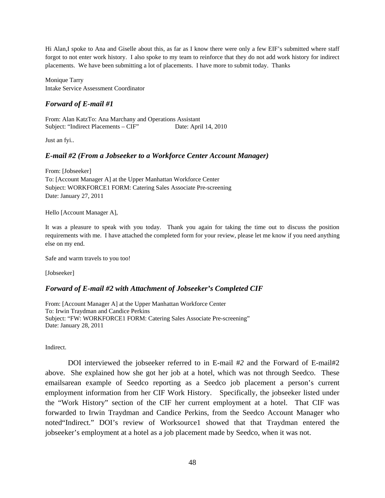Hi Alan,I spoke to Ana and Giselle about this, as far as I know there were only a few EIF's submitted where staff forgot to not enter work history. I also spoke to my team to reinforce that they do not add work history for indirect placements. We have been submitting a lot of placements. I have more to submit today. Thanks

Monique Tarry Intake Service Assessment Coordinator

# *Forward of E-mail #1*

From: Alan KatzTo: Ana Marchany and Operations Assistant Subject: "Indirect Placements – CIF" Date: April 14, 2010

Just an fyi..

# *E-mail #2 (From a Jobseeker to a Workforce Center Account Manager)*

From: [Jobseeker] To: [Account Manager A] at the Upper Manhattan Workforce Center Subject: WORKFORCE1 FORM: Catering Sales Associate Pre-screening Date: January 27, 2011

Hello [Account Manager A],

It was a pleasure to speak with you today. Thank you again for taking the time out to discuss the position requirements with me. I have attached the completed form for your review, please let me know if you need anything else on my end.

Safe and warm travels to you too!

[Jobseeker]

# *Forward of E-mail #2 with Attachment of Jobseeker's Completed CIF*

From: [Account Manager A] at the Upper Manhattan Workforce Center To: Irwin Traydman and Candice Perkins Subject: "FW: WORKFORCE1 FORM: Catering Sales Associate Pre-screening" Date: January 28, 2011

Indirect.

DOI interviewed the jobseeker referred to in E-mail #*2* and the Forward of E-mail#2 above. She explained how she got her job at a hotel, which was not through Seedco. These emailsarean example of Seedco reporting as a Seedco job placement a person's current employment information from her CIF Work History. Specifically, the jobseeker listed under the "Work History" section of the CIF her current employment at a hotel. That CIF was forwarded to Irwin Traydman and Candice Perkins, from the Seedco Account Manager who noted"Indirect." DOI's review of Worksource1 showed that that Traydman entered the jobseeker's employment at a hotel as a job placement made by Seedco, when it was not.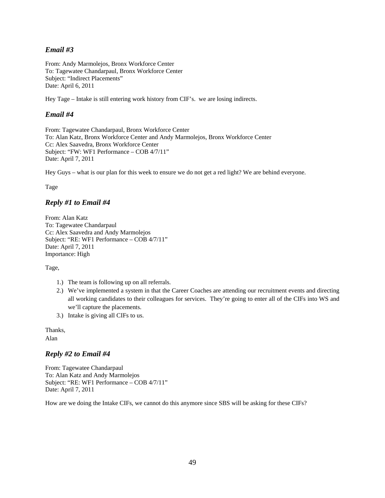# *Email #3*

From: Andy Marmolejos, Bronx Workforce Center To: Tagewatee Chandarpaul, Bronx Workforce Center Subject: "Indirect Placements" Date: April 6, 2011

Hey Tage – Intake is still entering work history from CIF's. we are losing indirects.

### *Email #4*

From: Tagewatee Chandarpaul, Bronx Workforce Center To: Alan Katz, Bronx Workforce Center and Andy Marmolejos, Bronx Workforce Center Cc: Alex Saavedra, Bronx Workforce Center Subject: "FW: WF1 Performance – COB 4/7/11" Date: April 7, 2011

Hey Guys – what is our plan for this week to ensure we do not get a red light? We are behind everyone.

Tage

# *Reply #1 to Email #4*

From: Alan Katz To: Tagewatee Chandarpaul Cc: Alex Saavedra and Andy Marmolejos Subject: "RE: WF1 Performance – COB 4/7/11" Date: April 7, 2011 Importance: High

Tage,

- 1.) The team is following up on all referrals.
- 2.) We've implemented a system in that the Career Coaches are attending our recruitment events and directing all working candidates to their colleagues for services. They're going to enter all of the CIFs into WS and we'll capture the placements.
- 3.) Intake is giving all CIFs to us.

Thanks,

Alan

# *Reply #2 to Email #4*

From: Tagewatee Chandarpaul To: Alan Katz and Andy Marmolejos Subject: "RE: WF1 Performance – COB 4/7/11" Date: April 7, 2011

How are we doing the Intake CIFs, we cannot do this anymore since SBS will be asking for these CIFs?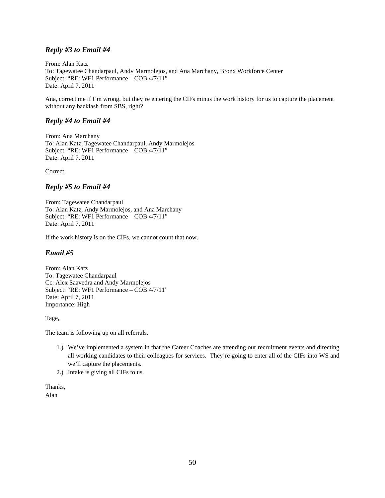# *Reply #3 to Email #4*

From: Alan Katz To: Tagewatee Chandarpaul, Andy Marmolejos, and Ana Marchany, Bronx Workforce Center Subject: "RE: WF1 Performance – COB 4/7/11" Date: April 7, 2011

Ana, correct me if I'm wrong, but they're entering the CIFs minus the work history for us to capture the placement without any backlash from SBS, right?

### *Reply #4 to Email #4*

From: Ana Marchany To: Alan Katz, Tagewatee Chandarpaul, Andy Marmolejos Subject: "RE: WF1 Performance – COB 4/7/11" Date: April 7, 2011

**Correct** 

# *Reply #5 to Email #4*

From: Tagewatee Chandarpaul To: Alan Katz, Andy Marmolejos, and Ana Marchany Subject: "RE: WF1 Performance – COB 4/7/11" Date: April 7, 2011

If the work history is on the CIFs, we cannot count that now.

# *Email #5*

From: Alan Katz To: Tagewatee Chandarpaul Cc: Alex Saavedra and Andy Marmolejos Subject: "RE: WF1 Performance – COB 4/7/11" Date: April 7, 2011 Importance: High

Tage,

The team is following up on all referrals.

- 1.) We've implemented a system in that the Career Coaches are attending our recruitment events and directing all working candidates to their colleagues for services. They're going to enter all of the CIFs into WS and we'll capture the placements.
- 2.) Intake is giving all CIFs to us.

Thanks, Alan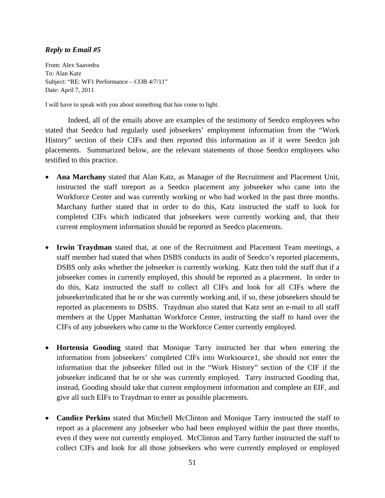# *Reply to Email #5*

From: Alex Saavedra To: Alan Katz Subject: "RE: WF1 Performance – COB 4/7/11" Date: April 7, 2011

I will have to speak with you about something that has come to light.

Indeed, all of the emails above are examples of the testimony of Seedco employees who stated that Seedco had regularly used jobseekers' employment information from the "Work History" section of their CIFs and then reported this information as if it were Seedco job placements. Summarized below, are the relevant statements of those Seedco employees who testified to this practice.

- **Ana Marchany** stated that Alan Katz, as Manager of the Recruitment and Placement Unit, instructed the staff toreport as a Seedco placement any jobseeker who came into the Workforce Center and was currently working or who had worked in the past three months. Marchany further stated that in order to do this, Katz instructed the staff to look for completed CIFs which indicated that jobseekers were currently working and, that their current employment information should be reported as Seedco placements.
- **Irwin Traydman** stated that, at one of the Recruitment and Placement Team meetings, a staff member had stated that when DSBS conducts its audit of Seedco's reported placements, DSBS only asks whether the jobseeker is currently working. Katz then told the staff that if a jobseeker comes in currently employed, this should be reported as a placement. In order to do this, Katz instructed the staff to collect all CIFs and look for all CIFs where the jobseekerindicated that he or she was currently working and, if so, these jobseekers should be reported as placements to DSBS. Traydman also stated that Katz sent an e-mail to all staff members at the Upper Manhattan Workforce Center, instructing the staff to hand over the CIFs of any jobseekers who came to the Workforce Center currently employed.
- **Hortensia Gooding** stated that Monique Tarry instructed her that when entering the information from jobseekers' completed CIFs into Worksource1, she should not enter the information that the jobseeker filled out in the "Work History" section of the CIF if the jobseeker indicated that he or she was currently employed. Tarry instructed Gooding that, instead, Gooding should take that current employment information and complete an EIF, and give all such EIFs to Traydman to enter as possible placements.
- **Candice Perkins** stated that Mitchell McClinton and Monique Tarry instructed the staff to report as a placement any jobseeker who had been employed within the past three months, even if they were not currently employed. McClinton and Tarry further instructed the staff to collect CIFs and look for all those jobseekers who were currently employed or employed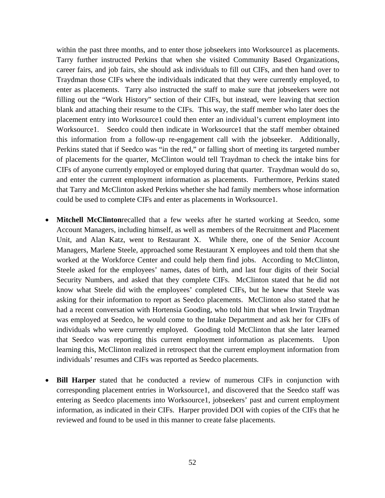within the past three months, and to enter those jobseekers into Worksource1 as placements. Tarry further instructed Perkins that when she visited Community Based Organizations, career fairs, and job fairs, she should ask individuals to fill out CIFs, and then hand over to Traydman those CIFs where the individuals indicated that they were currently employed, to enter as placements. Tarry also instructed the staff to make sure that jobseekers were not filling out the "Work History" section of their CIFs, but instead, were leaving that section blank and attaching their resume to the CIFs. This way, the staff member who later does the placement entry into Worksource1 could then enter an individual's current employment into Worksource1. Seedco could then indicate in Worksource1 that the staff member obtained this information from a follow-up re-engagement call with the jobseeker. Additionally, Perkins stated that if Seedco was "in the red," or falling short of meeting its targeted number of placements for the quarter, McClinton would tell Traydman to check the intake bins for CIFs of anyone currently employed or employed during that quarter. Traydman would do so, and enter the current employment information as placements. Furthermore, Perkins stated that Tarry and McClinton asked Perkins whether she had family members whose information could be used to complete CIFs and enter as placements in Worksource1.

- **Mitchell McClinton**recalled that a few weeks after he started working at Seedco, some Account Managers, including himself, as well as members of the Recruitment and Placement Unit, and Alan Katz, went to Restaurant X. While there, one of the Senior Account Managers, Marlene Steele, approached some Restaurant X employees and told them that she worked at the Workforce Center and could help them find jobs. According to McClinton, Steele asked for the employees' names, dates of birth, and last four digits of their Social Security Numbers, and asked that they complete CIFs. McClinton stated that he did not know what Steele did with the employees' completed CIFs, but he knew that Steele was asking for their information to report as Seedco placements. McClinton also stated that he had a recent conversation with Hortensia Gooding, who told him that when Irwin Traydman was employed at Seedco, he would come to the Intake Department and ask her for CIFs of individuals who were currently employed. Gooding told McClinton that she later learned that Seedco was reporting this current employment information as placements. Upon learning this, McClinton realized in retrospect that the current employment information from individuals' resumes and CIFs was reported as Seedco placements.
- **Bill Harper** stated that he conducted a review of numerous CIFs in conjunction with corresponding placement entries in Worksource1, and discovered that the Seedco staff was entering as Seedco placements into Worksource1, jobseekers' past and current employment information, as indicated in their CIFs. Harper provided DOI with copies of the CIFs that he reviewed and found to be used in this manner to create false placements.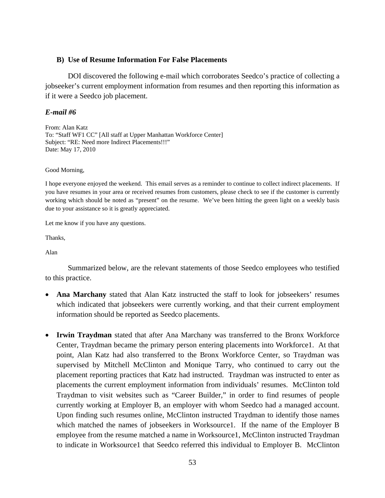### **B) Use of Resume Information For False Placements**

DOI discovered the following e-mail which corroborates Seedco's practice of collecting a jobseeker's current employment information from resumes and then reporting this information as if it were a Seedco job placement.

# *E-mail #6*

From: Alan Katz To: "Staff WF1 CC" [All staff at Upper Manhattan Workforce Center] Subject: "RE: Need more Indirect Placements!!!" Date: May 17, 2010

Good Morning,

I hope everyone enjoyed the weekend. This email serves as a reminder to continue to collect indirect placements. If you have resumes in your area or received resumes from customers, please check to see if the customer is currently working which should be noted as "present" on the resume. We've been hitting the green light on a weekly basis due to your assistance so it is greatly appreciated.

Let me know if you have any questions.

Thanks,

Alan

Summarized below, are the relevant statements of those Seedco employees who testified to this practice.

- **Ana Marchany** stated that Alan Katz instructed the staff to look for jobseekers' resumes which indicated that jobseekers were currently working, and that their current employment information should be reported as Seedco placements.
- **Irwin Traydman** stated that after Ana Marchany was transferred to the Bronx Workforce Center, Traydman became the primary person entering placements into Workforce1. At that point, Alan Katz had also transferred to the Bronx Workforce Center, so Traydman was supervised by Mitchell McClinton and Monique Tarry, who continued to carry out the placement reporting practices that Katz had instructed. Traydman was instructed to enter as placements the current employment information from individuals' resumes. McClinton told Traydman to visit websites such as "Career Builder," in order to find resumes of people currently working at Employer B, an employer with whom Seedco had a managed account. Upon finding such resumes online, McClinton instructed Traydman to identify those names which matched the names of jobseekers in Worksource1. If the name of the Employer B employee from the resume matched a name in Worksource1, McClinton instructed Traydman to indicate in Worksource1 that Seedco referred this individual to Employer B. McClinton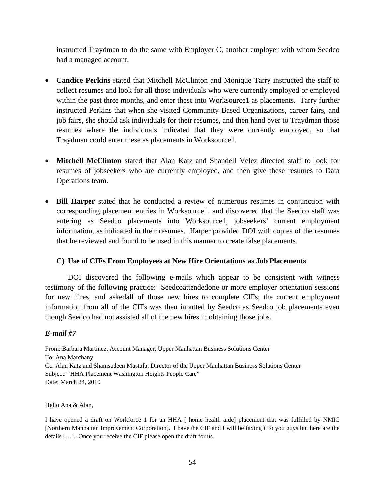instructed Traydman to do the same with Employer C, another employer with whom Seedco had a managed account.

- **Candice Perkins** stated that Mitchell McClinton and Monique Tarry instructed the staff to collect resumes and look for all those individuals who were currently employed or employed within the past three months, and enter these into Worksource1 as placements. Tarry further instructed Perkins that when she visited Community Based Organizations, career fairs, and job fairs, she should ask individuals for their resumes, and then hand over to Traydman those resumes where the individuals indicated that they were currently employed, so that Traydman could enter these as placements in Worksource1.
- **Mitchell McClinton** stated that Alan Katz and Shandell Velez directed staff to look for resumes of jobseekers who are currently employed, and then give these resumes to Data Operations team.
- **Bill Harper** stated that he conducted a review of numerous resumes in conjunction with corresponding placement entries in Worksource1, and discovered that the Seedco staff was entering as Seedco placements into Worksource1, jobseekers' current employment information, as indicated in their resumes. Harper provided DOI with copies of the resumes that he reviewed and found to be used in this manner to create false placements.

# **C) Use of CIFs From Employees at New Hire Orientations as Job Placements**

DOI discovered the following e-mails which appear to be consistent with witness testimony of the following practice: Seedcoattendedone or more employer orientation sessions for new hires, and askedall of those new hires to complete CIFs; the current employment information from all of the CIFs was then inputted by Seedco as Seedco job placements even though Seedco had not assisted all of the new hires in obtaining those jobs.

# *E-mail #7*

From: Barbara Martinez, Account Manager, Upper Manhattan Business Solutions Center To: Ana Marchany Cc: Alan Katz and Shamsudeen Mustafa, Director of the Upper Manhattan Business Solutions Center Subject: "HHA Placement Washington Heights People Care" Date: March 24, 2010

Hello Ana & Alan,

I have opened a draft on Workforce 1 for an HHA [ home health aide] placement that was fulfilled by NMIC [Northern Manhattan Improvement Corporation]. I have the CIF and I will be faxing it to you guys but here are the details […]. Once you receive the CIF please open the draft for us.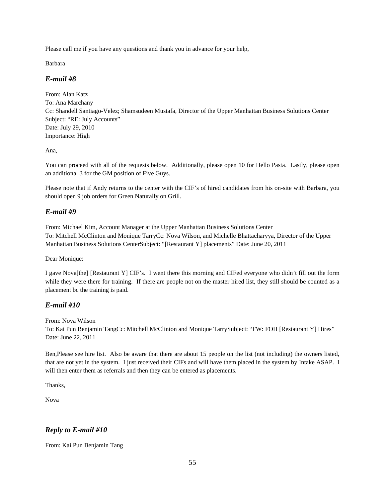Please call me if you have any questions and thank you in advance for your help,

Barbara

# *E-mail #8*

From: Alan Katz To: Ana Marchany Cc: Shandell Santiago-Velez; Shamsudeen Mustafa, Director of the Upper Manhattan Business Solutions Center Subject: "RE: July Accounts" Date: July 29, 2010 Importance: High

Ana,

You can proceed with all of the requests below. Additionally, please open 10 for Hello Pasta. Lastly, please open an additional 3 for the GM position of Five Guys.

Please note that if Andy returns to the center with the CIF's of hired candidates from his on-site with Barbara, you should open 9 job orders for Green Naturally on Grill.

# *E-mail #9*

From: Michael Kim, Account Manager at the Upper Manhattan Business Solutions Center To: Mitchell McClinton and Monique TarryCc: Nova Wilson, and Michelle Bhattacharyya, Director of the Upper Manhattan Business Solutions CenterSubject: "[Restaurant Y] placements" Date: June 20, 2011

Dear Monique:

I gave Nova[the] [Restaurant Y] CIF's. I went there this morning and CIFed everyone who didn't fill out the form while they were there for training. If there are people not on the master hired list, they still should be counted as a placement bc the training is paid.

# *E-mail #10*

From: Nova Wilson

To: Kai Pun Benjamin TangCc: Mitchell McClinton and Monique TarrySubject: "FW: FOH [Restaurant Y] Hires" Date: June 22, 2011

Ben,Please see hire list. Also be aware that there are about 15 people on the list (not including) the owners listed, that are not yet in the system. I just received their CIFs and will have them placed in the system by Intake ASAP. I will then enter them as referrals and then they can be entered as placements.

Thanks,

Nova

# *Reply to E-mail #10*

From: Kai Pun Benjamin Tang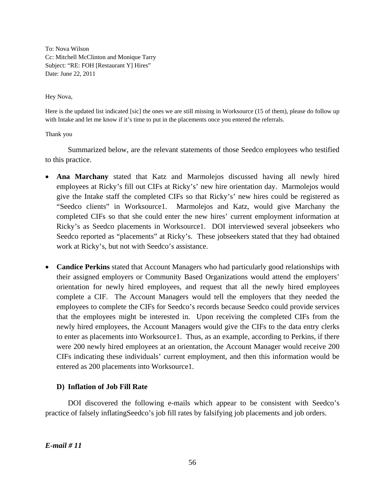To: Nova Wilson Cc: Mitchell McClinton and Monique Tarry Subject: "RE: FOH [Restaurant Y] Hires" Date: June 22, 2011

Hey Nova,

Here is the updated list indicated [sic] the ones we are still missing in Worksource (15 of them), please do follow up with Intake and let me know if it's time to put in the placements once you entered the referrals.

### Thank you

Summarized below, are the relevant statements of those Seedco employees who testified to this practice.

- **Ana Marchany** stated that Katz and Marmolejos discussed having all newly hired employees at Ricky's fill out CIFs at Ricky's' new hire orientation day. Marmolejos would give the Intake staff the completed CIFs so that Ricky's' new hires could be registered as "Seedco clients" in Worksource1. Marmolejos and Katz, would give Marchany the completed CIFs so that she could enter the new hires' current employment information at Ricky's as Seedco placements in Worksource1. DOI interviewed several jobseekers who Seedco reported as "placements" at Ricky's. These jobseekers stated that they had obtained work at Ricky's, but not with Seedco's assistance.
- **Candice Perkins** stated that Account Managers who had particularly good relationships with their assigned employers or Community Based Organizations would attend the employers' orientation for newly hired employees, and request that all the newly hired employees complete a CIF. The Account Managers would tell the employers that they needed the employees to complete the CIFs for Seedco's records because Seedco could provide services that the employees might be interested in. Upon receiving the completed CIFs from the newly hired employees, the Account Managers would give the CIFs to the data entry clerks to enter as placements into Worksource1. Thus, as an example, according to Perkins, if there were 200 newly hired employees at an orientation, the Account Manager would receive 200 CIFs indicating these individuals' current employment, and then this information would be entered as 200 placements into Worksource1.

# **D) Inflation of Job Fill Rate**

DOI discovered the following e-mails which appear to be consistent with Seedco's practice of falsely inflatingSeedco's job fill rates by falsifying job placements and job orders.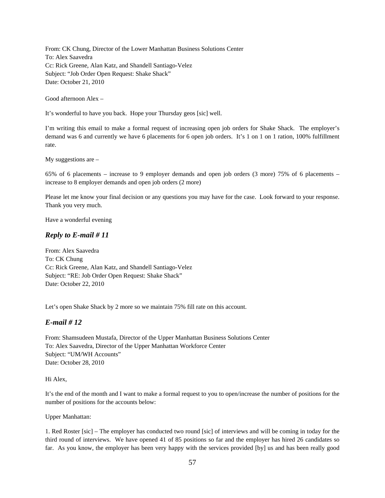From: CK Chung, Director of the Lower Manhattan Business Solutions Center To: Alex Saavedra Cc: Rick Greene, Alan Katz, and Shandell Santiago-Velez Subject: "Job Order Open Request: Shake Shack" Date: October 21, 2010

Good afternoon Alex –

It's wonderful to have you back. Hope your Thursday geos [sic] well.

I'm writing this email to make a formal request of increasing open job orders for Shake Shack. The employer's demand was 6 and currently we have 6 placements for 6 open job orders. It's 1 on 1 on 1 ration, 100% fulfillment rate.

My suggestions are –

65% of 6 placements – increase to 9 employer demands and open job orders (3 more) 75% of 6 placements – increase to 8 employer demands and open job orders (2 more)

Please let me know your final decision or any questions you may have for the case. Look forward to your response. Thank you very much.

Have a wonderful evening

### *Reply to E-mail # 11*

From: Alex Saavedra To: CK Chung Cc: Rick Greene, Alan Katz, and Shandell Santiago-Velez Subject: "RE: Job Order Open Request: Shake Shack" Date: October 22, 2010

Let's open Shake Shack by 2 more so we maintain 75% fill rate on this account.

### *E-mail # 12*

From: Shamsudeen Mustafa, Director of the Upper Manhattan Business Solutions Center To: Alex Saavedra, Director of the Upper Manhattan Workforce Center Subject: "UM/WH Accounts" Date: October 28, 2010

#### Hi Alex,

It's the end of the month and I want to make a formal request to you to open/increase the number of positions for the number of positions for the accounts below:

Upper Manhattan:

1. Red Roster [sic] – The employer has conducted two round [sic] of interviews and will be coming in today for the third round of interviews. We have opened 41 of 85 positions so far and the employer has hired 26 candidates so far. As you know, the employer has been very happy with the services provided [by] us and has been really good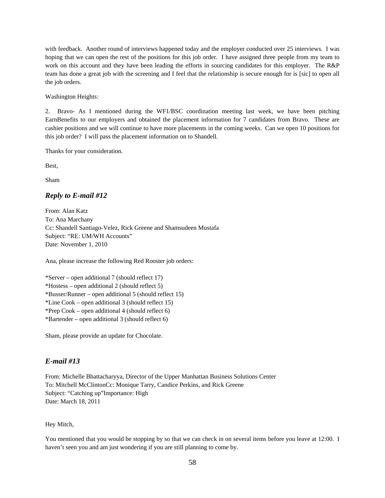with feedback. Another round of interviews happened today and the employer conducted over 25 interviews. I was hoping that we can open the rest of the positions for this job order. I have assigned three people from my team to work on this account and they have been leading the efforts in sourcing candidates for this employer. The R&P team has done a great job with the screening and I feel that the relationship is secure enough for is [sic] to open all the job orders.

Washington Heights:

2. Bravo- As I mentioned during the WF1/BSC coordination meeting last week, we have been pitching EarnBenefits to our employers and obtained the placement information for 7 candidates from Bravo. These are cashier positions and we will continue to have more placements in the coming weeks. Can we open 10 positions for this job order? I will pass the placement information on to Shandell.

Thanks for your consideration.

Best,

Sham

### *Reply to E-mail #12*

From: Alan Katz To: Ana Marchany Cc: Shandell Santiago-Velez, Rick Greene and Shamsudeen Mustafa Subject: "RE: UM/WH Accounts" Date: November 1, 2010

Ana, please increase the following Red Rooster job orders:

\*Server – open additional 7 (should reflect 17) \*Hostess – open additional 2 (should reflect 5) \*Busser/Runner – open additional 5 (should reflect 15) \*Line Cook – open additional 3 (should reflect 15) \*Prep Cook – open additional 4 (should reflect 6) \*Bartender – open additional 3 (should reflect 6)

Sham, please provide an update for Chocolate.

### *E-mail #13*

From: Michelle Bhattacharyya, Director of the Upper Manhattan Business Solutions Center To: Mitchell McClintonCc: Monique Tarry, Candice Perkins, and Rick Greene Subject: "Catching up"Importance: High Date: March 18, 2011

#### Hey Mitch,

You mentioned that you would be stopping by so that we can check in on several items before you leave at 12:00. I haven't seen you and am just wondering if you are still planning to come by.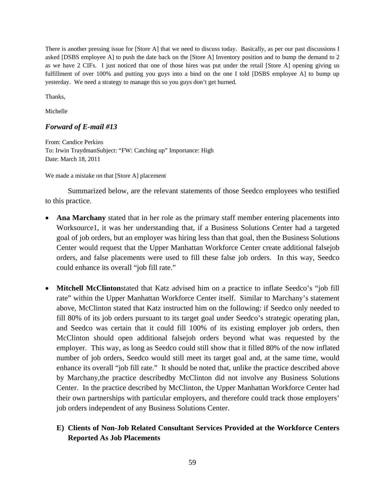There is another pressing issue for [Store A] that we need to discuss today. Basically, as per our past discussions I asked [DSBS employee A] to push the date back on the [Store A] Inventory position and to bump the demand to 2 as we have 2 CIFs. I just noticed that one of those hires was put under the retail [Store A] opening giving us fulfillment of over 100% and putting you guys into a bind on the one I told [DSBS employee A] to bump up yesterday. We need a strategy to manage this so you guys don't get burned.

Thanks,

Michelle

### *Forward of E-mail #13*

From: Candice Perkins To: Irwin TraydmanSubject: "FW: Catching up" Importance: High Date: March 18, 2011

We made a mistake on that [Store A] placement

Summarized below, are the relevant statements of those Seedco employees who testified to this practice.

- **Ana Marchany** stated that in her role as the primary staff member entering placements into Worksource1, it was her understanding that, if a Business Solutions Center had a targeted goal of job orders, but an employer was hiring less than that goal, then the Business Solutions Center would request that the Upper Manhattan Workforce Center create additional falsejob orders, and false placements were used to fill these false job orders. In this way, Seedco could enhance its overall "job fill rate."
- **Mitchell McClinton**stated that Katz advised him on a practice to inflate Seedco's "job fill rate" within the Upper Manhattan Workforce Center itself. Similar to Marchany's statement above, McClinton stated that Katz instructed him on the following: if Seedco only needed to fill 80% of its job orders pursuant to its target goal under Seedco's strategic operating plan, and Seedco was certain that it could fill 100% of its existing employer job orders, then McClinton should open additional falsejob orders beyond what was requested by the employer. This way, as long as Seedco could still show that it filled 80% of the now inflated number of job orders, Seedco would still meet its target goal and, at the same time, would enhance its overall "job fill rate." It should be noted that, unlike the practice described above by Marchany,the practice describedby McClinton did not involve any Business Solutions Center. In the practice described by McClinton, the Upper Manhattan Workforce Center had their own partnerships with particular employers, and therefore could track those employers' job orders independent of any Business Solutions Center.

# **E) Clients of Non-Job Related Consultant Services Provided at the Workforce Centers Reported As Job Placements**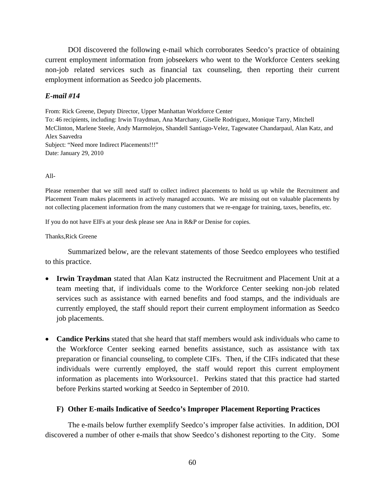DOI discovered the following e-mail which corroborates Seedco's practice of obtaining current employment information from jobseekers who went to the Workforce Centers seeking non-job related services such as financial tax counseling, then reporting their current employment information as Seedco job placements.

### *E-mail #14*

From: Rick Greene, Deputy Director, Upper Manhattan Workforce Center To: 46 recipients, including: Irwin Traydman, Ana Marchany, Giselle Rodriguez, Monique Tarry, Mitchell McClinton, Marlene Steele, Andy Marmolejos, Shandell Santiago-Velez, Tagewatee Chandarpaul, Alan Katz, and Alex Saavedra Subject: "Need more Indirect Placements!!!" Date: January 29, 2010

### All-

Please remember that we still need staff to collect indirect placements to hold us up while the Recruitment and Placement Team makes placements in actively managed accounts. We are missing out on valuable placements by not collecting placement information from the many customers that we re-engage for training, taxes, benefits, etc.

If you do not have EIFs at your desk please see Ana in R&P or Denise for copies.

Thanks,Rick Greene

Summarized below, are the relevant statements of those Seedco employees who testified to this practice.

- **Irwin Traydman** stated that Alan Katz instructed the Recruitment and Placement Unit at a team meeting that, if individuals come to the Workforce Center seeking non-job related services such as assistance with earned benefits and food stamps, and the individuals are currently employed, the staff should report their current employment information as Seedco job placements.
- **Candice Perkins** stated that she heard that staff members would ask individuals who came to the Workforce Center seeking earned benefits assistance, such as assistance with tax preparation or financial counseling, to complete CIFs. Then, if the CIFs indicated that these individuals were currently employed, the staff would report this current employment information as placements into Worksource1. Perkins stated that this practice had started before Perkins started working at Seedco in September of 2010.

# **F) Other E-mails Indicative of Seedco's Improper Placement Reporting Practices**

The e-mails below further exemplify Seedco's improper false activities. In addition, DOI discovered a number of other e-mails that show Seedco's dishonest reporting to the City. Some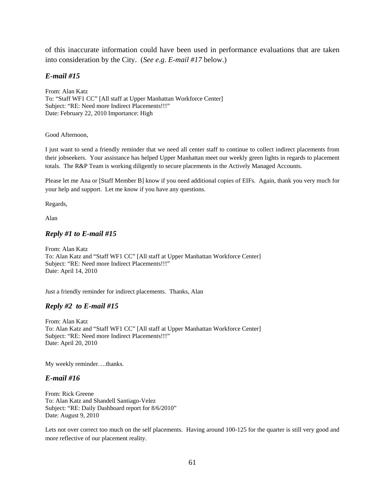of this inaccurate information could have been used in performance evaluations that are taken into consideration by the City. (*See e.g*. *E-mail #17* below.)

### *E-mail #15*

From: Alan Katz To: "Staff WF1 CC" [All staff at Upper Manhattan Workforce Center] Subject: "RE: Need more Indirect Placements!!!" Date: February 22, 2010 Importance: High

#### Good Afternoon,

I just want to send a friendly reminder that we need all center staff to continue to collect indirect placements from their jobseekers. Your assistance has helped Upper Manhattan meet our weekly green lights in regards to placement totals. The R&P Team is working diligently to secure placements in the Actively Managed Accounts.

Please let me Ana or [Staff Member B] know if you need additional copies of EIFs. Again, thank you very much for your help and support. Let me know if you have any questions.

Regards,

Alan

### *Reply #1 to E-mail #15*

From: Alan Katz To: Alan Katz and "Staff WF1 CC" [All staff at Upper Manhattan Workforce Center] Subject: "RE: Need more Indirect Placements!!!" Date: April 14, 2010

Just a friendly reminder for indirect placements. Thanks, Alan

### *Reply #2 to E-mail #15*

From: Alan Katz To: Alan Katz and "Staff WF1 CC" [All staff at Upper Manhattan Workforce Center] Subject: "RE: Need more Indirect Placements!!!" Date: April 20, 2010

My weekly reminder….thanks.

### *E-mail #16*

From: Rick Greene To: Alan Katz and Shandell Santiago-Velez Subject: "RE: Daily Dashboard report for 8/6/2010" Date: August 9, 2010

Lets not over correct too much on the self placements. Having around 100-125 for the quarter is still very good and more reflective of our placement reality.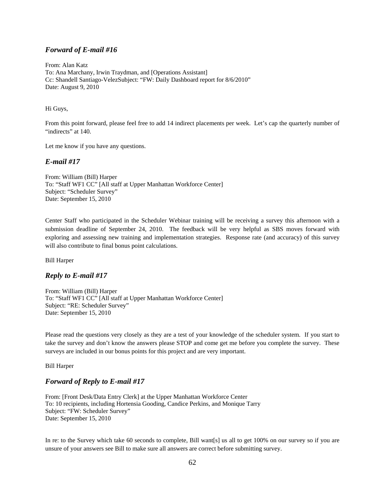### *Forward of E-mail #16*

From: Alan Katz To: Ana Marchany, Irwin Traydman, and [Operations Assistant] Cc: Shandell Santiago-VelezSubject: "FW: Daily Dashboard report for 8/6/2010" Date: August 9, 2010

#### Hi Guys,

From this point forward, please feel free to add 14 indirect placements per week. Let's cap the quarterly number of "indirects" at 140.

Let me know if you have any questions.

### *E-mail #17*

From: William (Bill) Harper To: "Staff WF1 CC" [All staff at Upper Manhattan Workforce Center] Subject: "Scheduler Survey" Date: September 15, 2010

Center Staff who participated in the Scheduler Webinar training will be receiving a survey this afternoon with a submission deadline of September 24, 2010. The feedback will be very helpful as SBS moves forward with exploring and assessing new training and implementation strategies. Response rate (and accuracy) of this survey will also contribute to final bonus point calculations.

Bill Harper

### *Reply to E-mail #17*

From: William (Bill) Harper To: "Staff WF1 CC" [All staff at Upper Manhattan Workforce Center] Subject: "RE: Scheduler Survey" Date: September 15, 2010

Please read the questions very closely as they are a test of your knowledge of the scheduler system. If you start to take the survey and don't know the answers please STOP and come get me before you complete the survey. These surveys are included in our bonus points for this project and are very important.

Bill Harper

### *Forward of Reply to E-mail #17*

From: [Front Desk/Data Entry Clerk] at the Upper Manhattan Workforce Center To: 10 recipients, including Hortensia Gooding, Candice Perkins, and Monique Tarry Subject: "FW: Scheduler Survey" Date: September 15, 2010

In re: to the Survey which take 60 seconds to complete, Bill want[s] us all to get 100% on our survey so if you are unsure of your answers see Bill to make sure all answers are correct before submitting survey.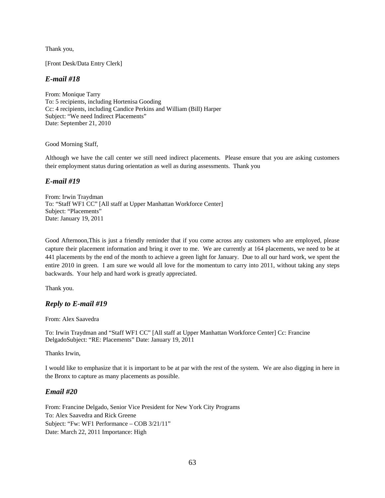Thank you,

[Front Desk/Data Entry Clerk]

### *E-mail #18*

From: Monique Tarry To: 5 recipients, including Hortenisa Gooding Cc: 4 recipients, including Candice Perkins and William (Bill) Harper Subject: "We need Indirect Placements" Date: September 21, 2010

Good Morning Staff,

Although we have the call center we still need indirect placements. Please ensure that you are asking customers their employment status during orientation as well as during assessments. Thank you

### *E-mail #19*

From: Irwin Traydman To: "Staff WF1 CC" [All staff at Upper Manhattan Workforce Center] Subject: "Placements" Date: January 19, 2011

Good Afternoon,This is just a friendly reminder that if you come across any customers who are employed, please capture their placement information and bring it over to me. We are currently at 164 placements, we need to be at 441 placements by the end of the month to achieve a green light for January. Due to all our hard work, we spent the entire 2010 in green. I am sure we would all love for the momentum to carry into 2011, without taking any steps backwards. Your help and hard work is greatly appreciated.

Thank you.

### *Reply to E-mail #19*

From: Alex Saavedra

To: Irwin Traydman and "Staff WF1 CC" [All staff at Upper Manhattan Workforce Center] Cc: Francine DelgadoSubject: "RE: Placements" Date: January 19, 2011

Thanks Irwin,

I would like to emphasize that it is important to be at par with the rest of the system. We are also digging in here in the Bronx to capture as many placements as possible.

### *Email #20*

From: Francine Delgado, Senior Vice President for New York City Programs To: Alex Saavedra and Rick Greene Subject: "Fw: WF1 Performance – COB 3/21/11" Date: March 22, 2011 Importance: High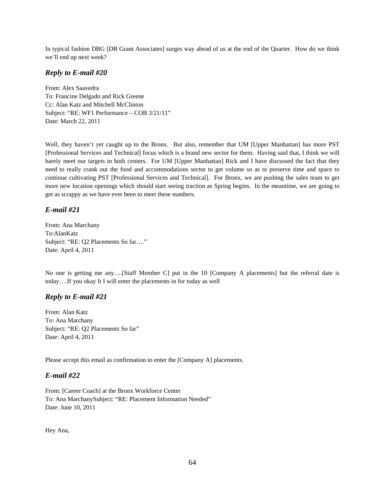In typical fashion DBG [DB Grant Associates] surges way ahead of us at the end of the Quarter. How do we think we'll end up next week?

# *Reply to E-mail #20*

From: Alex Saavedra To: Francine Delgado and Rick Greene Cc: Alan Katz and Mitchell McClinton Subject: "RE: WF1 Performance – COB 3/21/11" Date: March 22, 2011

Well, they haven't yet caught up to the Bronx. But also, remember that UM [Upper Manhattan] has more PST [Professional Services and Technical] focus which is a brand new sector for them. Having said that, I think we will barely meet our targets in both centers. For UM [Upper Manhattan] Rick and I have discussed the fact that they need to really crank out the food and accommodations sector to get volume so as to preserve time and space to continue cultivating PST [Professional Services and Technical]. For Bronx, we are pushing the sales team to get more new location openings which should start seeing traction as Spring begins. In the meantime, we are going to get as scrappy as we have ever been to meet these numbers.

# *E-mail #21*

From: Ana Marchany To:AlanKatz Subject: "RE: Q2 Placements So far…." Date: April 4, 2011

No one is getting me any….[Staff Member C] put in the 10 [Company A placements] but the referral date is today….If you okay It I will enter the placements in for today as well

# *Reply to E-mail #21*

From: Alan Katz To: Ana Marchany Subject: "RE: Q2 Placements So far" Date: April 4, 2011

Please accept this email as confirmation to enter the [Company A] placements.

# *E-mail #22*

From: [Career Coach] at the Bronx Workforce Center To: Ana MarchanySubject: "RE: Placement Information Needed" Date: June 10, 2011

Hey Ana,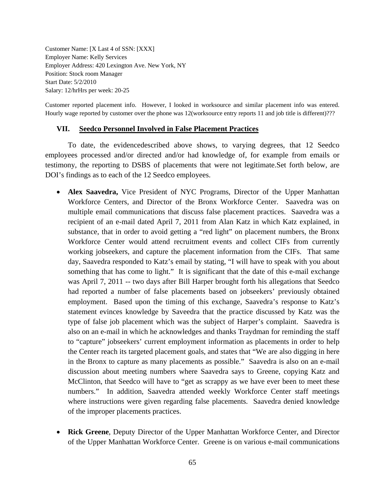Customer Name: [X Last 4 of SSN: [XXX] Employer Name: Kelly Services Employer Address: 420 Lexington Ave. New York, NY Position: Stock room Manager Start Date: 5/2/2010 Salary: 12/hrHrs per week: 20-25

Customer reported placement info. However, I looked in worksource and similar placement info was entered. Hourly wage reported by customer over the phone was 12(worksource entry reports 11 and job title is different)???

### **VII. Seedco Personnel Involved in False Placement Practices**

To date, the evidencedescribed above shows, to varying degrees, that 12 Seedco employees processed and/or directed and/or had knowledge of, for example from emails or testimony, the reporting to DSBS of placements that were not legitimate.Set forth below, are DOI's findings as to each of the 12 Seedco employees.

- **Alex Saavedra,** Vice President of NYC Programs, Director of the Upper Manhattan Workforce Centers, and Director of the Bronx Workforce Center. Saavedra was on multiple email communications that discuss false placement practices. Saavedra was a recipient of an e-mail dated April 7, 2011 from Alan Katz in which Katz explained, in substance, that in order to avoid getting a "red light" on placement numbers, the Bronx Workforce Center would attend recruitment events and collect CIFs from currently working jobseekers, and capture the placement information from the CIFs. That same day, Saavedra responded to Katz's email by stating, "I will have to speak with you about something that has come to light." It is significant that the date of this e-mail exchange was April 7, 2011 -- two days after Bill Harper brought forth his allegations that Seedco had reported a number of false placements based on jobseekers' previously obtained employment. Based upon the timing of this exchange, Saavedra's response to Katz's statement evinces knowledge by Saveedra that the practice discussed by Katz was the type of false job placement which was the subject of Harper's complaint. Saavedra is also on an e-mail in which he acknowledges and thanks Traydman for reminding the staff to "capture" jobseekers' current employment information as placements in order to help the Center reach its targeted placement goals, and states that "We are also digging in here in the Bronx to capture as many placements as possible." Saavedra is also on an e-mail discussion about meeting numbers where Saavedra says to Greene, copying Katz and McClinton, that Seedco will have to "get as scrappy as we have ever been to meet these numbers." In addition, Saavedra attended weekly Workforce Center staff meetings where instructions were given regarding false placements. Saavedra denied knowledge of the improper placements practices.
- **Rick Greene**, Deputy Director of the Upper Manhattan Workforce Center, and Director of the Upper Manhattan Workforce Center. Greene is on various e-mail communications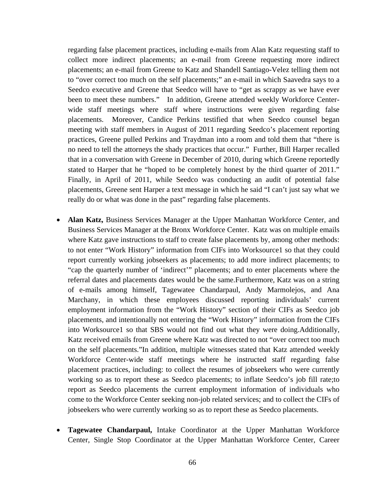regarding false placement practices, including e-mails from Alan Katz requesting staff to collect more indirect placements; an e-mail from Greene requesting more indirect placements; an e-mail from Greene to Katz and Shandell Santiago-Velez telling them not to "over correct too much on the self placements;" an e-mail in which Saavedra says to a Seedco executive and Greene that Seedco will have to "get as scrappy as we have ever been to meet these numbers." In addition, Greene attended weekly Workforce Centerwide staff meetings where staff where instructions were given regarding false placements. Moreover, Candice Perkins testified that when Seedco counsel began meeting with staff members in August of 2011 regarding Seedco's placement reporting practices, Greene pulled Perkins and Traydman into a room and told them that "there is no need to tell the attorneys the shady practices that occur." Further, Bill Harper recalled that in a conversation with Greene in December of 2010, during which Greene reportedly stated to Harper that he "hoped to be completely honest by the third quarter of 2011." Finally, in April of 2011, while Seedco was conducting an audit of potential false placements, Greene sent Harper a text message in which he said "I can't just say what we really do or what was done in the past" regarding false placements.

- **Alan Katz,** Business Services Manager at the Upper Manhattan Workforce Center, and Business Services Manager at the Bronx Workforce Center. Katz was on multiple emails where Katz gave instructions to staff to create false placements by, among other methods: to not enter "Work History" information from CIFs into Worksource1 so that they could report currently working jobseekers as placements; to add more indirect placements; to "cap the quarterly number of 'indirect'" placements; and to enter placements where the referral dates and placements dates would be the same.Furthermore, Katz was on a string of e-mails among himself, Tagewatee Chandarpaul, Andy Marmolejos, and Ana Marchany, in which these employees discussed reporting individuals' current employment information from the "Work History" section of their CIFs as Seedco job placements, and intentionally not entering the "Work History" information from the CIFs into Worksource1 so that SBS would not find out what they were doing.Additionally, Katz received emails from Greene where Katz was directed to not "over correct too much on the self placements."In addition, multiple witnesses stated that Katz attended weekly Workforce Center-wide staff meetings where he instructed staff regarding false placement practices, including: to collect the resumes of jobseekers who were currently working so as to report these as Seedco placements; to inflate Seedco's job fill rate;to report as Seedco placements the current employment information of individuals who come to the Workforce Center seeking non-job related services; and to collect the CIFs of jobseekers who were currently working so as to report these as Seedco placements.
- **Tagewatee Chandarpaul,** Intake Coordinator at the Upper Manhattan Workforce Center, Single Stop Coordinator at the Upper Manhattan Workforce Center, Career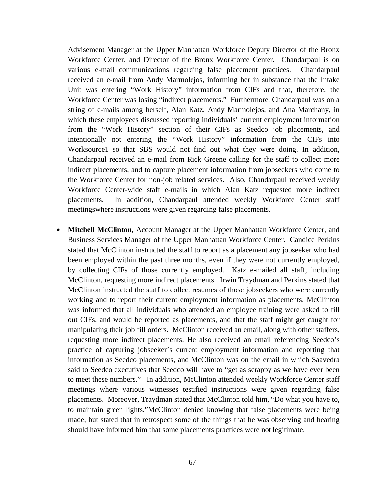Advisement Manager at the Upper Manhattan Workforce Deputy Director of the Bronx Workforce Center, and Director of the Bronx Workforce Center. Chandarpaul is on various e-mail communications regarding false placement practices. Chandarpaul received an e-mail from Andy Marmolejos, informing her in substance that the Intake Unit was entering "Work History" information from CIFs and that, therefore, the Workforce Center was losing "indirect placements." Furthermore, Chandarpaul was on a string of e-mails among herself, Alan Katz, Andy Marmolejos, and Ana Marchany, in which these employees discussed reporting individuals' current employment information from the "Work History" section of their CIFs as Seedco job placements, and intentionally not entering the "Work History" information from the CIFs into Worksource1 so that SBS would not find out what they were doing. In addition, Chandarpaul received an e-mail from Rick Greene calling for the staff to collect more indirect placements, and to capture placement information from jobseekers who come to the Workforce Center for non-job related services. Also, Chandarpaul received weekly Workforce Center-wide staff e-mails in which Alan Katz requested more indirect placements. In addition, Chandarpaul attended weekly Workforce Center staff meetingswhere instructions were given regarding false placements.

• **Mitchell McClinton,** Account Manager at the Upper Manhattan Workforce Center, and Business Services Manager of the Upper Manhattan Workforce Center. Candice Perkins stated that McClinton instructed the staff to report as a placement any jobseeker who had been employed within the past three months, even if they were not currently employed, by collecting CIFs of those currently employed. Katz e-mailed all staff, including McClinton, requesting more indirect placements. Irwin Traydman and Perkins stated that McClinton instructed the staff to collect resumes of those jobseekers who were currently working and to report their current employment information as placements. McClinton was informed that all individuals who attended an employee training were asked to fill out CIFs, and would be reported as placements, and that the staff might get caught for manipulating their job fill orders. McClinton received an email, along with other staffers, requesting more indirect placements. He also received an email referencing Seedco's practice of capturing jobseeker's current employment information and reporting that information as Seedco placements, and McClinton was on the email in which Saavedra said to Seedco executives that Seedco will have to "get as scrappy as we have ever been to meet these numbers." In addition, McClinton attended weekly Workforce Center staff meetings where various witnesses testified instructions were given regarding false placements. Moreover, Traydman stated that McClinton told him, "Do what you have to, to maintain green lights."McClinton denied knowing that false placements were being made, but stated that in retrospect some of the things that he was observing and hearing should have informed him that some placements practices were not legitimate.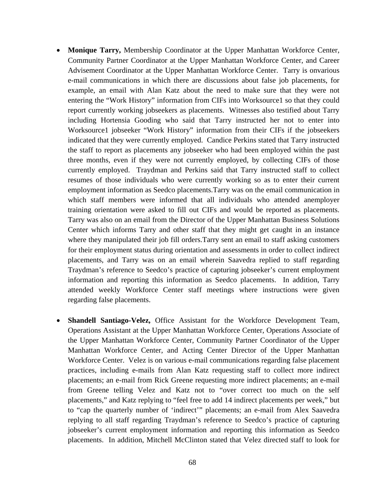- **Monique Tarry,** Membership Coordinator at the Upper Manhattan Workforce Center, Community Partner Coordinator at the Upper Manhattan Workforce Center, and Career Advisement Coordinator at the Upper Manhattan Workforce Center. Tarry is onvarious e-mail communications in which there are discussions about false job placements, for example, an email with Alan Katz about the need to make sure that they were not entering the "Work History" information from CIFs into Worksource1 so that they could report currently working jobseekers as placements. Witnesses also testified about Tarry including Hortensia Gooding who said that Tarry instructed her not to enter into Worksource1 jobseeker "Work History" information from their CIFs if the jobseekers indicated that they were currently employed. Candice Perkins stated that Tarry instructed the staff to report as placements any jobseeker who had been employed within the past three months, even if they were not currently employed, by collecting CIFs of those currently employed. Traydman and Perkins said that Tarry instructed staff to collect resumes of those individuals who were currently working so as to enter their current employment information as Seedco placements.Tarry was on the email communication in which staff members were informed that all individuals who attended anemployer training orientation were asked to fill out CIFs and would be reported as placements. Tarry was also on an email from the Director of the Upper Manhattan Business Solutions Center which informs Tarry and other staff that they might get caught in an instance where they manipulated their job fill orders.Tarry sent an email to staff asking customers for their employment status during orientation and assessments in order to collect indirect placements, and Tarry was on an email wherein Saavedra replied to staff regarding Traydman's reference to Seedco's practice of capturing jobseeker's current employment information and reporting this information as Seedco placements. In addition, Tarry attended weekly Workforce Center staff meetings where instructions were given regarding false placements.
- **Shandell Santiago-Velez,** Office Assistant for the Workforce Development Team, Operations Assistant at the Upper Manhattan Workforce Center, Operations Associate of the Upper Manhattan Workforce Center, Community Partner Coordinator of the Upper Manhattan Workforce Center, and Acting Center Director of the Upper Manhattan Workforce Center. Velez is on various e-mail communications regarding false placement practices, including e-mails from Alan Katz requesting staff to collect more indirect placements; an e-mail from Rick Greene requesting more indirect placements; an e-mail from Greene telling Velez and Katz not to "over correct too much on the self placements," and Katz replying to "feel free to add 14 indirect placements per week," but to "cap the quarterly number of 'indirect'" placements; an e-mail from Alex Saavedra replying to all staff regarding Traydman's reference to Seedco's practice of capturing jobseeker's current employment information and reporting this information as Seedco placements. In addition, Mitchell McClinton stated that Velez directed staff to look for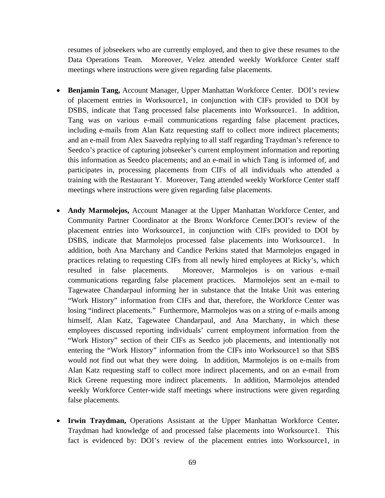resumes of jobseekers who are currently employed, and then to give these resumes to the Data Operations Team. Moreover, Velez attended weekly Workforce Center staff meetings where instructions were given regarding false placements.

- **Benjamin Tang,** Account Manager, Upper Manhattan Workforce Center. DOI's review of placement entries in Worksource1, in conjunction with CIFs provided to DOI by DSBS, indicate that Tang processed false placements into Worksource1. In addition, Tang was on various e-mail communications regarding false placement practices, including e-mails from Alan Katz requesting staff to collect more indirect placements; and an e-mail from Alex Saavedra replying to all staff regarding Traydman's reference to Seedco's practice of capturing jobseeker's current employment information and reporting this information as Seedco placements; and an e-mail in which Tang is informed of, and participates in, processing placements from CIFs of all individuals who attended a training with the Restaurant Y. Moreover, Tang attended weekly Workforce Center staff meetings where instructions were given regarding false placements.
- **Andy Marmolejos,** Account Manager at the Upper Manhattan Workforce Center, and Community Partner Coordinator at the Bronx Workforce Center.DOI's review of the placement entries into Worksource1, in conjunction with CIFs provided to DOI by DSBS, indicate that Marmolejos processed false placements into Worksource1. In addition, both Ana Marchany and Candice Perkins stated that Marmolejos engaged in practices relating to requesting CIFs from all newly hired employees at Ricky's, which resulted in false placements. Moreover, Marmolejos is on various e-mail communications regarding false placement practices. Marmolejos sent an e-mail to Tagewatee Chandarpaul informing her in substance that the Intake Unit was entering "Work History" information from CIFs and that, therefore, the Workforce Center was losing "indirect placements." Furthermore, Marmolejos was on a string of e-mails among himself, Alan Katz, Tagewatee Chandarpaul, and Ana Marchany, in which these employees discussed reporting individuals' current employment information from the "Work History" section of their CIFs as Seedco job placements, and intentionally not entering the "Work History" information from the CIFs into Worksource1 so that SBS would not find out what they were doing. In addition, Marmolejos is on e-mails from Alan Katz requesting staff to collect more indirect placements, and on an e-mail from Rick Greene requesting more indirect placements. In addition, Marmolejos attended weekly Workforce Center-wide staff meetings where instructions were given regarding false placements.
- **Irwin Traydman,** Operations Assistant at the Upper Manhattan Workforce Center**.**  Traydman had knowledge of and processed false placements into Worksource1. This fact is evidenced by: DOI's review of the placement entries into Worksource1, in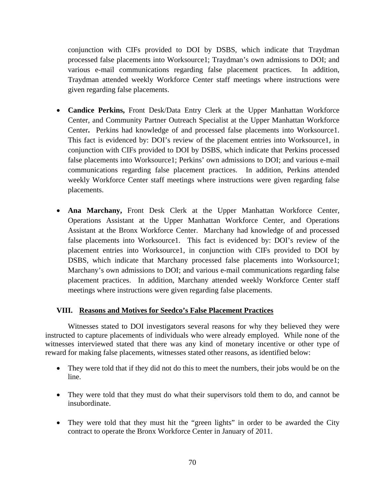conjunction with CIFs provided to DOI by DSBS, which indicate that Traydman processed false placements into Worksource1; Traydman's own admissions to DOI; and various e-mail communications regarding false placement practices. In addition, Traydman attended weekly Workforce Center staff meetings where instructions were given regarding false placements.

- **Candice Perkins,** Front Desk/Data Entry Clerk at the Upper Manhattan Workforce Center, and Community Partner Outreach Specialist at the Upper Manhattan Workforce Center**.** Perkins had knowledge of and processed false placements into Worksource1. This fact is evidenced by: DOI's review of the placement entries into Worksource1, in conjunction with CIFs provided to DOI by DSBS, which indicate that Perkins processed false placements into Worksource1; Perkins' own admissions to DOI; and various e-mail communications regarding false placement practices. In addition, Perkins attended weekly Workforce Center staff meetings where instructions were given regarding false placements.
- **Ana Marchany,** Front Desk Clerk at the Upper Manhattan Workforce Center, Operations Assistant at the Upper Manhattan Workforce Center, and Operations Assistant at the Bronx Workforce Center. Marchany had knowledge of and processed false placements into Worksource1. This fact is evidenced by: DOI's review of the placement entries into Worksource1, in conjunction with CIFs provided to DOI by DSBS, which indicate that Marchany processed false placements into Worksource1; Marchany's own admissions to DOI; and various e-mail communications regarding false placement practices. In addition, Marchany attended weekly Workforce Center staff meetings where instructions were given regarding false placements.

# **VIII. Reasons and Motives for Seedco's False Placement Practices**

Witnesses stated to DOI investigators several reasons for why they believed they were instructed to capture placements of individuals who were already employed. While none of the witnesses interviewed stated that there was any kind of monetary incentive or other type of reward for making false placements, witnesses stated other reasons, as identified below:

- They were told that if they did not do this to meet the numbers, their jobs would be on the line.
- They were told that they must do what their supervisors told them to do, and cannot be insubordinate.
- They were told that they must hit the "green lights" in order to be awarded the City contract to operate the Bronx Workforce Center in January of 2011.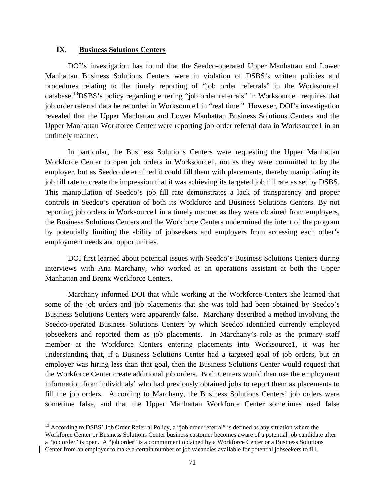### **IX. Business Solutions Centers**

 $\overline{a}$ 

DOI's investigation has found that the Seedco-operated Upper Manhattan and Lower Manhattan Business Solutions Centers were in violation of DSBS's written policies and procedures relating to the timely reporting of "job order referrals" in the Worksource1 database.<sup>13</sup>DSBS's policy regarding entering "job order referrals" in Worksource1 requires that job order referral data be recorded in Worksource1 in "real time." However, DOI's investigation revealed that the Upper Manhattan and Lower Manhattan Business Solutions Centers and the Upper Manhattan Workforce Center were reporting job order referral data in Worksource1 in an untimely manner.

In particular, the Business Solutions Centers were requesting the Upper Manhattan Workforce Center to open job orders in Worksource1, not as they were committed to by the employer, but as Seedco determined it could fill them with placements, thereby manipulating its job fill rate to create the impression that it was achieving its targeted job fill rate as set by DSBS. This manipulation of Seedco's job fill rate demonstrates a lack of transparency and proper controls in Seedco's operation of both its Workforce and Business Solutions Centers. By not reporting job orders in Worksource1 in a timely manner as they were obtained from employers, the Business Solutions Centers and the Workforce Centers undermined the intent of the program by potentially limiting the ability of jobseekers and employers from accessing each other's employment needs and opportunities.

DOI first learned about potential issues with Seedco's Business Solutions Centers during interviews with Ana Marchany, who worked as an operations assistant at both the Upper Manhattan and Bronx Workforce Centers.

Marchany informed DOI that while working at the Workforce Centers she learned that some of the job orders and job placements that she was told had been obtained by Seedco's Business Solutions Centers were apparently false. Marchany described a method involving the Seedco-operated Business Solutions Centers by which Seedco identified currently employed jobseekers and reported them as job placements. In Marchany's role as the primary staff member at the Workforce Centers entering placements into Worksource1, it was her understanding that, if a Business Solutions Center had a targeted goal of job orders, but an employer was hiring less than that goal, then the Business Solutions Center would request that the Workforce Center create additional job orders. Both Centers would then use the employment information from individuals' who had previously obtained jobs to report them as placements to fill the job orders. According to Marchany, the Business Solutions Centers' job orders were sometime false, and that the Upper Manhattan Workforce Center sometimes used false

<sup>&</sup>lt;sup>13</sup> According to DSBS' Job Order Referral Policy, a "job order referral" is defined as any situation where the Workforce Center or Business Solutions Center business customer becomes aware of a potential job candidate after a "job order" is open. A "job order" is a commitment obtained by a Workforce Center or a Business Solutions Center from an employer to make a certain number of job vacancies available for potential jobseekers to fill.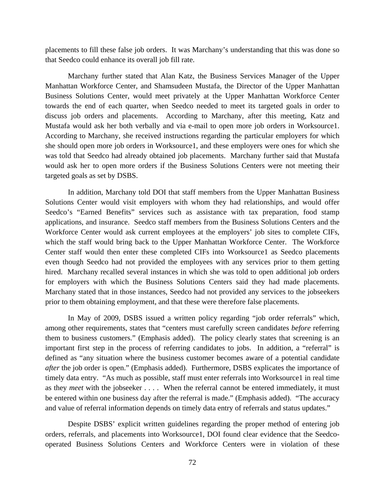placements to fill these false job orders. It was Marchany's understanding that this was done so that Seedco could enhance its overall job fill rate.

Marchany further stated that Alan Katz, the Business Services Manager of the Upper Manhattan Workforce Center, and Shamsudeen Mustafa, the Director of the Upper Manhattan Business Solutions Center, would meet privately at the Upper Manhattan Workforce Center towards the end of each quarter, when Seedco needed to meet its targeted goals in order to discuss job orders and placements. According to Marchany, after this meeting, Katz and Mustafa would ask her both verbally and via e-mail to open more job orders in Worksource1. According to Marchany, she received instructions regarding the particular employers for which she should open more job orders in Worksource1, and these employers were ones for which she was told that Seedco had already obtained job placements. Marchany further said that Mustafa would ask her to open more orders if the Business Solutions Centers were not meeting their targeted goals as set by DSBS.

 In addition, Marchany told DOI that staff members from the Upper Manhattan Business Solutions Center would visit employers with whom they had relationships, and would offer Seedco's "Earned Benefits" services such as assistance with tax preparation, food stamp applications, and insurance. Seedco staff members from the Business Solutions Centers and the Workforce Center would ask current employees at the employers' job sites to complete CIFs, which the staff would bring back to the Upper Manhattan Workforce Center. The Workforce Center staff would then enter these completed CIFs into Worksource1 as Seedco placements even though Seedco had not provided the employees with any services prior to them getting hired. Marchany recalled several instances in which she was told to open additional job orders for employers with which the Business Solutions Centers said they had made placements. Marchany stated that in those instances, Seedco had not provided any services to the jobseekers prior to them obtaining employment, and that these were therefore false placements.

In May of 2009, DSBS issued a written policy regarding "job order referrals" which, among other requirements, states that "centers must carefully screen candidates *before* referring them to business customers." (Emphasis added). The policy clearly states that screening is an important first step in the process of referring candidates to jobs. In addition, a "referral" is defined as "any situation where the business customer becomes aware of a potential candidate *after* the job order is open." (Emphasis added). Furthermore, DSBS explicates the importance of timely data entry. "As much as possible, staff must enter referrals into Worksource1 in real time as they *meet* with the jobseeker . . . . When the referral cannot be entered immediately, it must be entered within one business day after the referral is made." (Emphasis added). "The accuracy and value of referral information depends on timely data entry of referrals and status updates."

Despite DSBS' explicit written guidelines regarding the proper method of entering job orders, referrals, and placements into Worksource1, DOI found clear evidence that the Seedcooperated Business Solutions Centers and Workforce Centers were in violation of these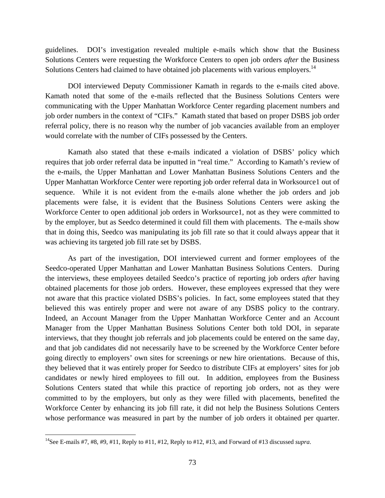guidelines. DOI's investigation revealed multiple e-mails which show that the Business Solutions Centers were requesting the Workforce Centers to open job orders *after* the Business Solutions Centers had claimed to have obtained job placements with various employers.<sup>14</sup>

DOI interviewed Deputy Commissioner Kamath in regards to the e-mails cited above. Kamath noted that some of the e-mails reflected that the Business Solutions Centers were communicating with the Upper Manhattan Workforce Center regarding placement numbers and job order numbers in the context of "CIFs." Kamath stated that based on proper DSBS job order referral policy, there is no reason why the number of job vacancies available from an employer would correlate with the number of CIFs possessed by the Centers.

Kamath also stated that these e-mails indicated a violation of DSBS' policy which requires that job order referral data be inputted in "real time." According to Kamath's review of the e-mails, the Upper Manhattan and Lower Manhattan Business Solutions Centers and the Upper Manhattan Workforce Center were reporting job order referral data in Worksource1 out of sequence. While it is not evident from the e-mails alone whether the job orders and job placements were false, it is evident that the Business Solutions Centers were asking the Workforce Center to open additional job orders in Worksource1, not as they were committed to by the employer, but as Seedco determined it could fill them with placements. The e-mails show that in doing this, Seedco was manipulating its job fill rate so that it could always appear that it was achieving its targeted job fill rate set by DSBS.

As part of the investigation, DOI interviewed current and former employees of the Seedco-operated Upper Manhattan and Lower Manhattan Business Solutions Centers. During the interviews, these employees detailed Seedco's practice of reporting job orders *after* having obtained placements for those job orders. However, these employees expressed that they were not aware that this practice violated DSBS's policies. In fact, some employees stated that they believed this was entirely proper and were not aware of any DSBS policy to the contrary. Indeed, an Account Manager from the Upper Manhattan Workforce Center and an Account Manager from the Upper Manhattan Business Solutions Center both told DOI, in separate interviews, that they thought job referrals and job placements could be entered on the same day, and that job candidates did not necessarily have to be screened by the Workforce Center before going directly to employers' own sites for screenings or new hire orientations. Because of this, they believed that it was entirely proper for Seedco to distribute CIFs at employers' sites for job candidates or newly hired employees to fill out. In addition, employees from the Business Solutions Centers stated that while this practice of reporting job orders, not as they were committed to by the employers, but only as they were filled with placements, benefited the Workforce Center by enhancing its job fill rate, it did not help the Business Solutions Centers whose performance was measured in part by the number of job orders it obtained per quarter.

1

<sup>14</sup>See E-mails #7, #8, #9, #11, Reply to #11, #12, Reply to #12, #13, and Forward of #13 discussed *supra*.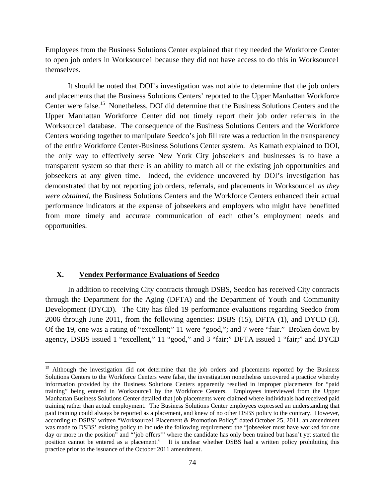Employees from the Business Solutions Center explained that they needed the Workforce Center to open job orders in Worksource1 because they did not have access to do this in Worksource1 themselves.

It should be noted that DOI's investigation was not able to determine that the job orders and placements that the Business Solutions Centers' reported to the Upper Manhattan Workforce Center were false.<sup>15</sup> Nonetheless, DOI did determine that the Business Solutions Centers and the Upper Manhattan Workforce Center did not timely report their job order referrals in the Worksource1 database. The consequence of the Business Solutions Centers and the Workforce Centers working together to manipulate Seedco's job fill rate was a reduction in the transparency of the entire Workforce Center-Business Solutions Center system. As Kamath explained to DOI, the only way to effectively serve New York City jobseekers and businesses is to have a transparent system so that there is an ability to match all of the existing job opportunities and jobseekers at any given time. Indeed, the evidence uncovered by DOI's investigation has demonstrated that by not reporting job orders, referrals, and placements in Worksource1 *as they were obtained*, the Business Solutions Centers and the Workforce Centers enhanced their actual performance indicators at the expense of jobseekers and employers who might have benefitted from more timely and accurate communication of each other's employment needs and opportunities.

#### **X. Vendex Performance Evaluations of Seedco**

 $\overline{a}$ 

In addition to receiving City contracts through DSBS, Seedco has received City contracts through the Department for the Aging (DFTA) and the Department of Youth and Community Development (DYCD). The City has filed 19 performance evaluations regarding Seedco from 2006 through June 2011, from the following agencies: DSBS (15), DFTA (1), and DYCD (3). Of the 19, one was a rating of "excellent;" 11 were "good,"; and 7 were "fair." Broken down by agency, DSBS issued 1 "excellent," 11 "good," and 3 "fair;" DFTA issued 1 "fair;" and DYCD

<sup>&</sup>lt;sup>15</sup> Although the investigation did not determine that the job orders and placements reported by the Business Solutions Centers to the Workforce Centers were false, the investigation nonetheless uncovered a practice whereby information provided by the Business Solutions Centers apparently resulted in improper placements for "paid training" being entered in Worksource1 by the Workforce Centers. Employees interviewed from the Upper Manhattan Business Solutions Center detailed that job placements were claimed where individuals had received paid training rather than actual employment. The Business Solutions Center employees expressed an understanding that paid training could always be reported as a placement, and knew of no other DSBS policy to the contrary. However, according to DSBS' written "Worksource1 Placement & Promotion Policy" dated October 25, 2011, an amendment was made to DSBS' existing policy to include the following requirement: the "jobseeker must have worked for one day or more in the position" and "'job offers'" where the candidate has only been trained but hasn't yet started the position cannot be entered as a placement." It is unclear whether DSBS had a written policy prohibiting this practice prior to the issuance of the October 2011 amendment.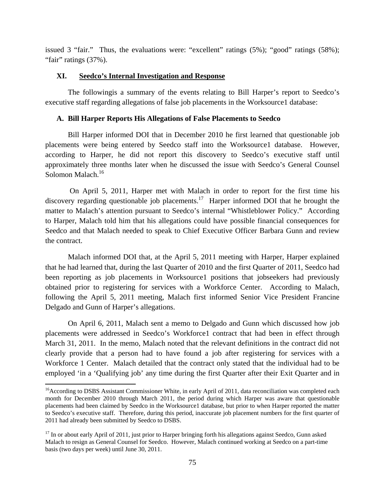issued 3 "fair." Thus, the evaluations were: "excellent" ratings (5%); "good" ratings (58%); "fair" ratings (37%).

## **XI. Seedco's Internal Investigation and Response**

The followingis a summary of the events relating to Bill Harper's report to Seedco's executive staff regarding allegations of false job placements in the Worksource1 database:

# **A. Bill Harper Reports His Allegations of False Placements to Seedco**

Bill Harper informed DOI that in December 2010 he first learned that questionable job placements were being entered by Seedco staff into the Worksource1 database. However, according to Harper, he did not report this discovery to Seedco's executive staff until approximately three months later when he discussed the issue with Seedco's General Counsel Solomon Malach.<sup>16</sup>

 On April 5, 2011, Harper met with Malach in order to report for the first time his discovery regarding questionable job placements.<sup>17</sup> Harper informed DOI that he brought the matter to Malach's attention pursuant to Seedco's internal "Whistleblower Policy." According to Harper, Malach told him that his allegations could have possible financial consequences for Seedco and that Malach needed to speak to Chief Executive Officer Barbara Gunn and review the contract.

Malach informed DOI that, at the April 5, 2011 meeting with Harper, Harper explained that he had learned that, during the last Quarter of 2010 and the first Quarter of 2011, Seedco had been reporting as job placements in Worksource1 positions that jobseekers had previously obtained prior to registering for services with a Workforce Center. According to Malach, following the April 5, 2011 meeting, Malach first informed Senior Vice President Francine Delgado and Gunn of Harper's allegations.

On April 6, 2011, Malach sent a memo to Delgado and Gunn which discussed how job placements were addressed in Seedco's Workforce1 contract that had been in effect through March 31, 2011. In the memo, Malach noted that the relevant definitions in the contract did not clearly provide that a person had to have found a job after registering for services with a Workforce 1 Center. Malach detailed that the contract only stated that the individual had to be employed 'in a 'Qualifying job' any time during the first Quarter after their Exit Quarter and in

 $\overline{a}$ 

<sup>&</sup>lt;sup>16</sup> According to DSBS Assistant Commissioner White, in early April of 2011, data reconciliation was completed each month for December 2010 through March 2011, the period during which Harper was aware that questionable placements had been claimed by Seedco in the Worksource1 database, but prior to when Harper reported the matter to Seedco's executive staff. Therefore, during this period, inaccurate job placement numbers for the first quarter of 2011 had already been submitted by Seedco to DSBS.

 $17$  In or about early April of 2011, just prior to Harper bringing forth his allegations against Seedco, Gunn asked Malach to resign as General Counsel for Seedco. However, Malach continued working at Seedco on a part-time basis (two days per week) until June 30, 2011.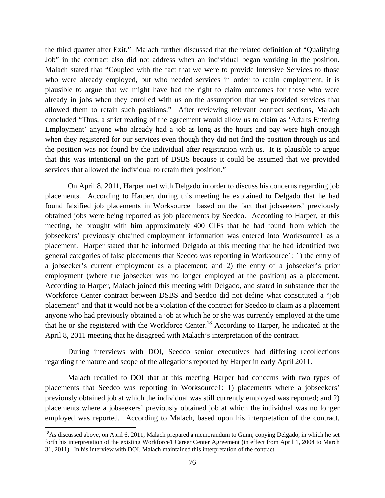the third quarter after Exit." Malach further discussed that the related definition of "Qualifying Job" in the contract also did not address when an individual began working in the position. Malach stated that "Coupled with the fact that we were to provide Intensive Services to those who were already employed, but who needed services in order to retain employment, it is plausible to argue that we might have had the right to claim outcomes for those who were already in jobs when they enrolled with us on the assumption that we provided services that allowed them to retain such positions." After reviewing relevant contract sections, Malach concluded "Thus, a strict reading of the agreement would allow us to claim as 'Adults Entering Employment' anyone who already had a job as long as the hours and pay were high enough when they registered for our services even though they did not find the position through us and the position was not found by the individual after registration with us. It is plausible to argue that this was intentional on the part of DSBS because it could be assumed that we provided services that allowed the individual to retain their position."

On April 8, 2011, Harper met with Delgado in order to discuss his concerns regarding job placements. According to Harper, during this meeting he explained to Delgado that he had found falsified job placements in Worksource1 based on the fact that jobseekers' previously obtained jobs were being reported as job placements by Seedco. According to Harper, at this meeting, he brought with him approximately 400 CIFs that he had found from which the jobseekers' previously obtained employment information was entered into Worksource1 as a placement. Harper stated that he informed Delgado at this meeting that he had identified two general categories of false placements that Seedco was reporting in Worksource1: 1) the entry of a jobseeker's current employment as a placement; and 2) the entry of a jobseeker's prior employment (where the jobseeker was no longer employed at the position) as a placement. According to Harper, Malach joined this meeting with Delgado, and stated in substance that the Workforce Center contract between DSBS and Seedco did not define what constituted a "job placement" and that it would not be a violation of the contract for Seedco to claim as a placement anyone who had previously obtained a job at which he or she was currently employed at the time that he or she registered with the Workforce Center.<sup>18</sup> According to Harper, he indicated at the April 8, 2011 meeting that he disagreed with Malach's interpretation of the contract.

During interviews with DOI, Seedco senior executives had differing recollections regarding the nature and scope of the allegations reported by Harper in early April 2011.

Malach recalled to DOI that at this meeting Harper had concerns with two types of placements that Seedco was reporting in Worksource1: 1) placements where a jobseekers' previously obtained job at which the individual was still currently employed was reported; and 2) placements where a jobseekers' previously obtained job at which the individual was no longer employed was reported. According to Malach, based upon his interpretation of the contract,

 $\overline{a}$ 

 $^{18}$ As discussed above, on April 6, 2011, Malach prepared a memorandum to Gunn, copying Delgado, in which he set forth his interpretation of the existing Workforce1 Career Center Agreement (in effect from April 1, 2004 to March 31, 2011). In his interview with DOI, Malach maintained this interpretation of the contract.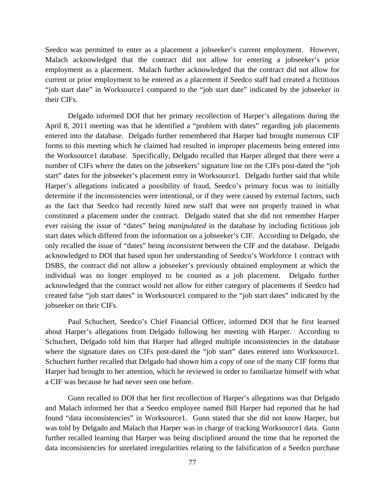Seedco was permitted to enter as a placement a jobseeker's current employment. However, Malach acknowledged that the contract did not allow for entering a jobseeker's prior employment as a placement. Malach further acknowledged that the contract did not allow for current or prior employment to be entered as a placement if Seedco staff had created a fictitious "job start date" in Worksource1 compared to the "job start date" indicated by the jobseeker in their CIFs.

Delgado informed DOI that her primary recollection of Harper's allegations during the April 8, 2011 meeting was that he identified a "problem with dates" regarding job placements entered into the database. Delgado further remembered that Harper had brought numerous CIF forms to this meeting which he claimed had resulted in improper placements being entered into the Worksource1 database. Specifically, Delgado recalled that Harper alleged that there were a number of CIFs where the dates on the jobseekers' signature line on the CIFs post-dated the "job start" dates for the jobseeker's placement entry in Worksource1. Delgado further said that while Harper's allegations indicated a possibility of fraud, Seedco's primary focus was to initially determine if the inconsistencies were intentional, or if they were caused by external factors, such as the fact that Seedco had recently hired new staff that were not properly trained in what constituted a placement under the contract. Delgado stated that she did not remember Harper ever raising the issue of "dates" being *manipulated* in the database by including fictitious job start dates which differed from the information on a jobseeker's CIF. According to Delgado, she only recalled the issue of "dates" being *inconsistent* between the CIF and the database. Delgado acknowledged to DOI that based upon her understanding of Seedco's Workforce 1 contract with DSBS, the contract did not allow a jobseeker's previously obtained employment at which the individual was no longer employed to be counted as a job placement. Delgado further acknowledged that the contract would not allow for either category of placements if Seedco had created false "job start dates" in Worksource1 compared to the "job start dates" indicated by the jobseeker on their CIFs.

Paul Schuchert, Seedco's Chief Financial Officer, informed DOI that he first learned about Harper's allegations from Delgado following her meeting with Harper. According to Schuchert, Delgado told him that Harper had alleged multiple inconsistencies in the database where the signature dates on CIFs post-dated the "job start" dates entered into Worksource1. Schuchert further recalled that Delgado had shown him a copy of one of the many CIF forms that Harper had brought to her attention, which he reviewed in order to familiarize himself with what a CIF was because he had never seen one before.

Gunn recalled to DOI that her first recollection of Harper's allegations was that Delgado and Malach informed her that a Seedco employee named Bill Harper had reported that he had found "data inconsistencies" in Worksource1. Gunn stated that she did not know Harper, but was told by Delgado and Malach that Harper was in charge of tracking Worksource1 data. Gunn further recalled learning that Harper was being disciplined around the time that he reported the data inconsistencies for unrelated irregularities relating to the falsification of a Seedco purchase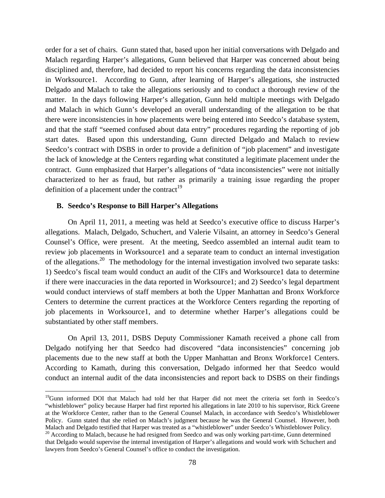order for a set of chairs. Gunn stated that, based upon her initial conversations with Delgado and Malach regarding Harper's allegations, Gunn believed that Harper was concerned about being disciplined and, therefore, had decided to report his concerns regarding the data inconsistencies in Worksource1. According to Gunn, after learning of Harper's allegations, she instructed Delgado and Malach to take the allegations seriously and to conduct a thorough review of the matter. In the days following Harper's allegation, Gunn held multiple meetings with Delgado and Malach in which Gunn's developed an overall understanding of the allegation to be that there were inconsistencies in how placements were being entered into Seedco's database system, and that the staff "seemed confused about data entry" procedures regarding the reporting of job start dates. Based upon this understanding, Gunn directed Delgado and Malach to review Seedco's contract with DSBS in order to provide a definition of "job placement" and investigate the lack of knowledge at the Centers regarding what constituted a legitimate placement under the contract. Gunn emphasized that Harper's allegations of "data inconsistencies" were not initially characterized to her as fraud, but rather as primarily a training issue regarding the proper definition of a placement under the contract<sup>19</sup>

#### **B. Seedco's Response to Bill Harper's Allegations**

 $\overline{a}$ 

On April 11, 2011, a meeting was held at Seedco's executive office to discuss Harper's allegations. Malach, Delgado, Schuchert, and Valerie Vilsaint, an attorney in Seedco's General Counsel's Office, were present. At the meeting, Seedco assembled an internal audit team to review job placements in Worksource1 and a separate team to conduct an internal investigation of the allegations.<sup>20</sup> The methodology for the internal investigation involved two separate tasks: 1) Seedco's fiscal team would conduct an audit of the CIFs and Worksource1 data to determine if there were inaccuracies in the data reported in Worksource1; and 2) Seedco's legal department would conduct interviews of staff members at both the Upper Manhattan and Bronx Workforce Centers to determine the current practices at the Workforce Centers regarding the reporting of job placements in Worksource1, and to determine whether Harper's allegations could be substantiated by other staff members.

On April 13, 2011, DSBS Deputy Commissioner Kamath received a phone call from Delgado notifying her that Seedco had discovered "data inconsistencies" concerning job placements due to the new staff at both the Upper Manhattan and Bronx Workforce1 Centers. According to Kamath, during this conversation, Delgado informed her that Seedco would conduct an internal audit of the data inconsistencies and report back to DSBS on their findings

<sup>&</sup>lt;sup>19</sup>Gunn informed DOI that Malach had told her that Harper did not meet the criteria set forth in Seedco's "whistleblower" policy because Harper had first reported his allegations in late 2010 to his supervisor, Rick Greene at the Workforce Center, rather than to the General Counsel Malach, in accordance with Seedco's Whistleblower Policy. Gunn stated that she relied on Malach's judgment because he was the General Counsel. However, both Malach and Delgado testified that Harper was treated as a "whistleblower" under Seedco's Whistleblower Policy.<br><sup>20</sup> According to Malach, because he had resigned from Seedco and was only working part-time, Gunn determined

that Delgado would supervise the internal investigation of Harper's allegations and would work with Schuchert and lawyers from Seedco's General Counsel's office to conduct the investigation.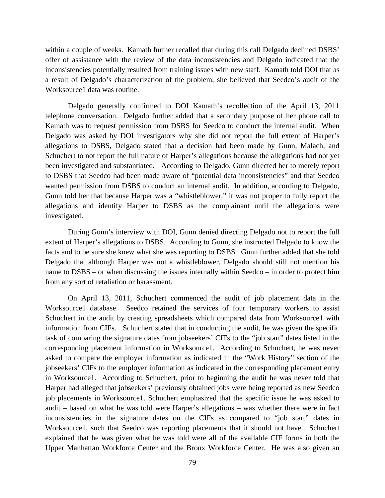within a couple of weeks. Kamath further recalled that during this call Delgado declined DSBS' offer of assistance with the review of the data inconsistencies and Delgado indicated that the inconsistencies potentially resulted from training issues with new staff. Kamath told DOI that as a result of Delgado's characterization of the problem, she believed that Seedco's audit of the Worksource1 data was routine.

Delgado generally confirmed to DOI Kamath's recollection of the April 13, 2011 telephone conversation. Delgado further added that a secondary purpose of her phone call to Kamath was to request permission from DSBS for Seedco to conduct the internal audit. When Delgado was asked by DOI investigators why she did not report the full extent of Harper's allegations to DSBS, Delgado stated that a decision had been made by Gunn, Malach, and Schuchert to not report the full nature of Harper's allegations because the allegations had not yet been investigated and substantiated. According to Delgado, Gunn directed her to merely report to DSBS that Seedco had been made aware of "potential data inconsistencies" and that Seedco wanted permission from DSBS to conduct an internal audit. In addition, according to Delgado, Gunn told her that because Harper was a "whistleblower," it was not proper to fully report the allegations and identify Harper to DSBS as the complainant until the allegations were investigated.

During Gunn's interview with DOI, Gunn denied directing Delgado not to report the full extent of Harper's allegations to DSBS. According to Gunn, she instructed Delgado to know the facts and to be sure she knew what she was reporting to DSBS. Gunn further added that she told Delgado that although Harper was not a whistleblower, Delgado should still not mention his name to DSBS – or when discussing the issues internally within Seedco – in order to protect him from any sort of retaliation or harassment.

On April 13, 2011, Schuchert commenced the audit of job placement data in the Worksource1 database. Seedco retained the services of four temporary workers to assist Schuchert in the audit by creating spreadsheets which compared data from Worksource1 with information from CIFs. Schuchert stated that in conducting the audit, he was given the specific task of comparing the signature dates from jobseekers' CIFs to the "job start" dates listed in the corresponding placement information in Worksource1. According to Schuchert, he was never asked to compare the employer information as indicated in the "Work History" section of the jobseekers' CIFs to the employer information as indicated in the corresponding placement entry in Worksource1. According to Schuchert, prior to beginning the audit he was never told that Harper had alleged that jobseekers' previously obtained jobs were being reported as new Seedco job placements in Worksource1. Schuchert emphasized that the specific issue he was asked to audit – based on what he was told were Harper's allegations – was whether there were in fact inconsistencies in the signature dates on the CIFs as compared to "job start" dates in Worksource1, such that Seedco was reporting placements that it should not have. Schuchert explained that he was given what he was told were all of the available CIF forms in both the Upper Manhattan Workforce Center and the Bronx Workforce Center. He was also given an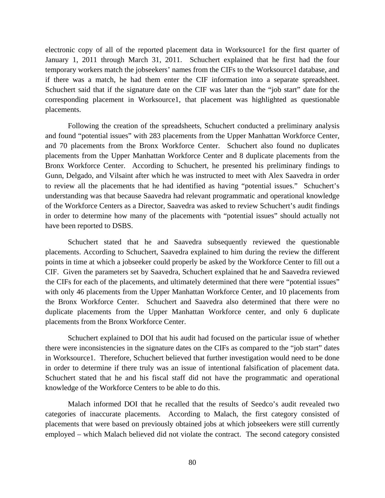electronic copy of all of the reported placement data in Worksource1 for the first quarter of January 1, 2011 through March 31, 2011. Schuchert explained that he first had the four temporary workers match the jobseekers' names from the CIFs to the Worksource1 database, and if there was a match, he had them enter the CIF information into a separate spreadsheet. Schuchert said that if the signature date on the CIF was later than the "job start" date for the corresponding placement in Worksource1, that placement was highlighted as questionable placements.

Following the creation of the spreadsheets, Schuchert conducted a preliminary analysis and found "potential issues" with 283 placements from the Upper Manhattan Workforce Center, and 70 placements from the Bronx Workforce Center. Schuchert also found no duplicates placements from the Upper Manhattan Workforce Center and 8 duplicate placements from the Bronx Workforce Center. According to Schuchert, he presented his preliminary findings to Gunn, Delgado, and Vilsaint after which he was instructed to meet with Alex Saavedra in order to review all the placements that he had identified as having "potential issues." Schuchert's understanding was that because Saavedra had relevant programmatic and operational knowledge of the Workforce Centers as a Director, Saavedra was asked to review Schuchert's audit findings in order to determine how many of the placements with "potential issues" should actually not have been reported to DSBS.

Schuchert stated that he and Saavedra subsequently reviewed the questionable placements. According to Schuchert, Saavedra explained to him during the review the different points in time at which a jobseeker could properly be asked by the Workforce Center to fill out a CIF. Given the parameters set by Saavedra, Schuchert explained that he and Saavedra reviewed the CIFs for each of the placements, and ultimately determined that there were "potential issues" with only 46 placements from the Upper Manhattan Workforce Center, and 10 placements from the Bronx Workforce Center. Schuchert and Saavedra also determined that there were no duplicate placements from the Upper Manhattan Workforce center, and only 6 duplicate placements from the Bronx Workforce Center.

Schuchert explained to DOI that his audit had focused on the particular issue of whether there were inconsistencies in the signature dates on the CIFs as compared to the "job start" dates in Worksource1. Therefore, Schuchert believed that further investigation would need to be done in order to determine if there truly was an issue of intentional falsification of placement data. Schuchert stated that he and his fiscal staff did not have the programmatic and operational knowledge of the Workforce Centers to be able to do this.

Malach informed DOI that he recalled that the results of Seedco's audit revealed two categories of inaccurate placements. According to Malach, the first category consisted of placements that were based on previously obtained jobs at which jobseekers were still currently employed – which Malach believed did not violate the contract. The second category consisted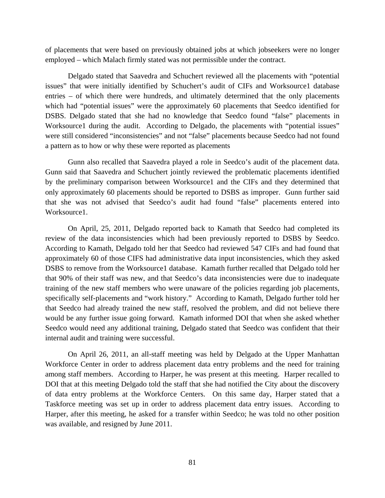of placements that were based on previously obtained jobs at which jobseekers were no longer employed – which Malach firmly stated was not permissible under the contract.

Delgado stated that Saavedra and Schuchert reviewed all the placements with "potential issues" that were initially identified by Schuchert's audit of CIFs and Worksource1 database entries – of which there were hundreds, and ultimately determined that the only placements which had "potential issues" were the approximately 60 placements that Seedco identified for DSBS. Delgado stated that she had no knowledge that Seedco found "false" placements in Worksource1 during the audit. According to Delgado, the placements with "potential issues" were still considered "inconsistencies" and not "false" placements because Seedco had not found a pattern as to how or why these were reported as placements

Gunn also recalled that Saavedra played a role in Seedco's audit of the placement data. Gunn said that Saavedra and Schuchert jointly reviewed the problematic placements identified by the preliminary comparison between Worksource1 and the CIFs and they determined that only approximately 60 placements should be reported to DSBS as improper. Gunn further said that she was not advised that Seedco's audit had found "false" placements entered into Worksource1.

On April, 25, 2011, Delgado reported back to Kamath that Seedco had completed its review of the data inconsistencies which had been previously reported to DSBS by Seedco. According to Kamath, Delgado told her that Seedco had reviewed 547 CIFs and had found that approximately 60 of those CIFS had administrative data input inconsistencies, which they asked DSBS to remove from the Worksource1 database. Kamath further recalled that Delgado told her that 90% of their staff was new, and that Seedco's data inconsistencies were due to inadequate training of the new staff members who were unaware of the policies regarding job placements, specifically self-placements and "work history." According to Kamath, Delgado further told her that Seedco had already trained the new staff, resolved the problem, and did not believe there would be any further issue going forward. Kamath informed DOI that when she asked whether Seedco would need any additional training, Delgado stated that Seedco was confident that their internal audit and training were successful.

On April 26, 2011, an all-staff meeting was held by Delgado at the Upper Manhattan Workforce Center in order to address placement data entry problems and the need for training among staff members. According to Harper, he was present at this meeting. Harper recalled to DOI that at this meeting Delgado told the staff that she had notified the City about the discovery of data entry problems at the Workforce Centers. On this same day, Harper stated that a Taskforce meeting was set up in order to address placement data entry issues. According to Harper, after this meeting, he asked for a transfer within Seedco; he was told no other position was available, and resigned by June 2011.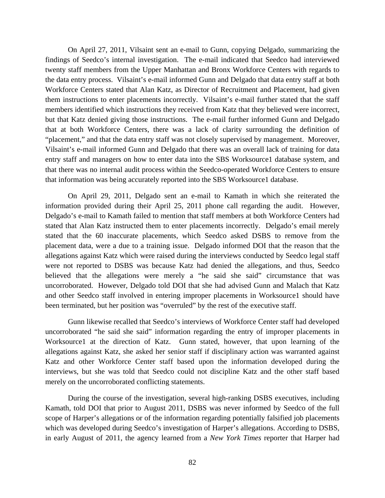On April 27, 2011, Vilsaint sent an e-mail to Gunn, copying Delgado, summarizing the findings of Seedco's internal investigation. The e-mail indicated that Seedco had interviewed twenty staff members from the Upper Manhattan and Bronx Workforce Centers with regards to the data entry process. Vilsaint's e-mail informed Gunn and Delgado that data entry staff at both Workforce Centers stated that Alan Katz, as Director of Recruitment and Placement, had given them instructions to enter placements incorrectly. Vilsaint's e-mail further stated that the staff members identified which instructions they received from Katz that they believed were incorrect, but that Katz denied giving those instructions. The e-mail further informed Gunn and Delgado that at both Workforce Centers, there was a lack of clarity surrounding the definition of "placement," and that the data entry staff was not closely supervised by management. Moreover, Vilsaint's e-mail informed Gunn and Delgado that there was an overall lack of training for data entry staff and managers on how to enter data into the SBS Worksource1 database system, and that there was no internal audit process within the Seedco-operated Workforce Centers to ensure that information was being accurately reported into the SBS Worksource1 database.

On April 29, 2011, Delgado sent an e-mail to Kamath in which she reiterated the information provided during their April 25, 2011 phone call regarding the audit. However, Delgado's e-mail to Kamath failed to mention that staff members at both Workforce Centers had stated that Alan Katz instructed them to enter placements incorrectly. Delgado's email merely stated that the 60 inaccurate placements, which Seedco asked DSBS to remove from the placement data, were a due to a training issue. Delgado informed DOI that the reason that the allegations against Katz which were raised during the interviews conducted by Seedco legal staff were not reported to DSBS was because Katz had denied the allegations, and thus, Seedco believed that the allegations were merely a "he said she said" circumstance that was uncorroborated. However, Delgado told DOI that she had advised Gunn and Malach that Katz and other Seedco staff involved in entering improper placements in Worksource1 should have been terminated, but her position was "overruled" by the rest of the executive staff.

Gunn likewise recalled that Seedco's interviews of Workforce Center staff had developed uncorroborated "he said she said" information regarding the entry of improper placements in Worksource1 at the direction of Katz. Gunn stated, however, that upon learning of the allegations against Katz, she asked her senior staff if disciplinary action was warranted against Katz and other Workforce Center staff based upon the information developed during the interviews, but she was told that Seedco could not discipline Katz and the other staff based merely on the uncorroborated conflicting statements.

During the course of the investigation, several high-ranking DSBS executives, including Kamath, told DOI that prior to August 2011, DSBS was never informed by Seedco of the full scope of Harper's allegations or of the information regarding potentially falsified job placements which was developed during Seedco's investigation of Harper's allegations. According to DSBS, in early August of 2011, the agency learned from a *New York Times* reporter that Harper had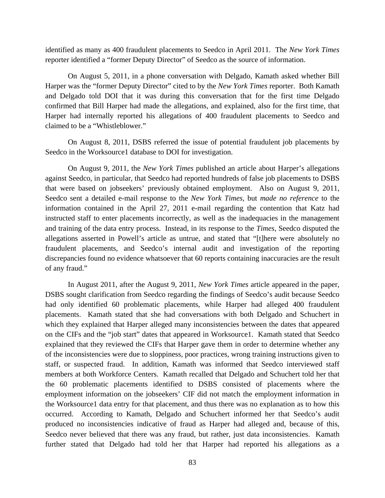identified as many as 400 fraudulent placements to Seedco in April 2011. The *New York Times* reporter identified a "former Deputy Director" of Seedco as the source of information.

On August 5, 2011, in a phone conversation with Delgado, Kamath asked whether Bill Harper was the "former Deputy Director" cited to by the *New York Times* reporter. Both Kamath and Delgado told DOI that it was during this conversation that for the first time Delgado confirmed that Bill Harper had made the allegations, and explained, also for the first time, that Harper had internally reported his allegations of 400 fraudulent placements to Seedco and claimed to be a "Whistleblower."

On August 8, 2011, DSBS referred the issue of potential fraudulent job placements by Seedco in the Worksource1 database to DOI for investigation.

On August 9, 2011, the *New York Times* published an article about Harper's allegations against Seedco, in particular, that Seedco had reported hundreds of false job placements to DSBS that were based on jobseekers' previously obtained employment. Also on August 9, 2011, Seedco sent a detailed e-mail response to the *New York Times,* but *made no reference* to the information contained in the April 27, 2011 e-mail regarding the contention that Katz had instructed staff to enter placements incorrectly, as well as the inadequacies in the management and training of the data entry process. Instead, in its response to the *Times*, Seedco disputed the allegations asserted in Powell's article as untrue, and stated that "[t]here were absolutely no fraudulent placements, and Seedco's internal audit and investigation of the reporting discrepancies found no evidence whatsoever that 60 reports containing inaccuracies are the result of any fraud."

In August 2011, after the August 9, 2011, *New York Times* article appeared in the paper, DSBS sought clarification from Seedco regarding the findings of Seedco's audit because Seedco had only identified 60 problematic placements, while Harper had alleged 400 fraudulent placements. Kamath stated that she had conversations with both Delgado and Schuchert in which they explained that Harper alleged many inconsistencies between the dates that appeared on the CIFs and the "job start" dates that appeared in Worksource1. Kamath stated that Seedco explained that they reviewed the CIFs that Harper gave them in order to determine whether any of the inconsistencies were due to sloppiness, poor practices, wrong training instructions given to staff, or suspected fraud. In addition, Kamath was informed that Seedco interviewed staff members at both Workforce Centers. Kamath recalled that Delgado and Schuchert told her that the 60 problematic placements identified to DSBS consisted of placements where the employment information on the jobseekers' CIF did not match the employment information in the Worksource1 data entry for that placement, and thus there was no explanation as to how this occurred. According to Kamath, Delgado and Schuchert informed her that Seedco's audit produced no inconsistencies indicative of fraud as Harper had alleged and, because of this, Seedco never believed that there was any fraud, but rather, just data inconsistencies. Kamath further stated that Delgado had told her that Harper had reported his allegations as a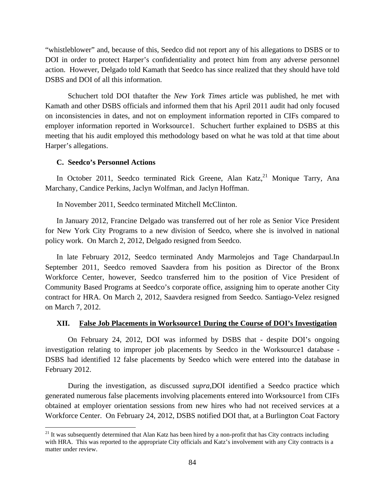"whistleblower" and, because of this, Seedco did not report any of his allegations to DSBS or to DOI in order to protect Harper's confidentiality and protect him from any adverse personnel action. However, Delgado told Kamath that Seedco has since realized that they should have told DSBS and DOI of all this information.

Schuchert told DOI thatafter the *New York Times* article was published, he met with Kamath and other DSBS officials and informed them that his April 2011 audit had only focused on inconsistencies in dates, and not on employment information reported in CIFs compared to employer information reported in Worksource1. Schuchert further explained to DSBS at this meeting that his audit employed this methodology based on what he was told at that time about Harper's allegations.

## **C. Seedco's Personnel Actions**

 $\overline{a}$ 

In October 2011, Seedco terminated Rick Greene, Alan Katz, <sup>21</sup> Monique Tarry, Ana Marchany, Candice Perkins, Jaclyn Wolfman, and Jaclyn Hoffman.

In November 2011, Seedco terminated Mitchell McClinton.

In January 2012, Francine Delgado was transferred out of her role as Senior Vice President for New York City Programs to a new division of Seedco, where she is involved in national policy work. On March 2, 2012, Delgado resigned from Seedco.

In late February 2012, Seedco terminated Andy Marmolejos and Tage Chandarpaul.In September 2011, Seedco removed Saavdera from his position as Director of the Bronx Workforce Center, however, Seedco transferred him to the position of Vice President of Community Based Programs at Seedco's corporate office, assigning him to operate another City contract for HRA. On March 2, 2012, Saavdera resigned from Seedco. Santiago-Velez resigned on March 7, 2012.

## **XII. False Job Placements in Worksource1 During the Course of DOI's Investigation**

On February 24, 2012, DOI was informed by DSBS that - despite DOI's ongoing investigation relating to improper job placements by Seedco in the Worksource1 database - DSBS had identified 12 false placements by Seedco which were entered into the database in February 2012.

During the investigation, as discussed *supra*,DOI identified a Seedco practice which generated numerous false placements involving placements entered into Worksource1 from CIFs obtained at employer orientation sessions from new hires who had not received services at a Workforce Center. On February 24, 2012, DSBS notified DOI that, at a Burlington Coat Factory

 $21$  It was subsequently determined that Alan Katz has been hired by a non-profit that has City contracts including with HRA. This was reported to the appropriate City officials and Katz's involvement with any City contracts is a matter under review.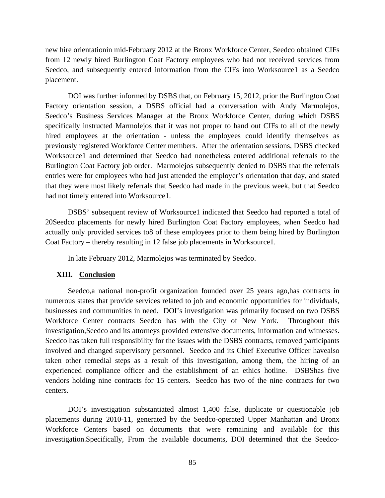new hire orientationin mid-February 2012 at the Bronx Workforce Center, Seedco obtained CIFs from 12 newly hired Burlington Coat Factory employees who had not received services from Seedco, and subsequently entered information from the CIFs into Worksource1 as a Seedco placement.

DOI was further informed by DSBS that, on February 15, 2012, prior the Burlington Coat Factory orientation session, a DSBS official had a conversation with Andy Marmolejos, Seedco's Business Services Manager at the Bronx Workforce Center, during which DSBS specifically instructed Marmolejos that it was not proper to hand out CIFs to all of the newly hired employees at the orientation - unless the employees could identify themselves as previously registered Workforce Center members. After the orientation sessions, DSBS checked Worksource1 and determined that Seedco had nonetheless entered additional referrals to the Burlington Coat Factory job order. Marmolejos subsequently denied to DSBS that the referrals entries were for employees who had just attended the employer's orientation that day, and stated that they were most likely referrals that Seedco had made in the previous week, but that Seedco had not timely entered into Worksource1.

DSBS' subsequent review of Worksource1 indicated that Seedco had reported a total of 20Seedco placements for newly hired Burlington Coat Factory employees, when Seedco had actually only provided services to8 of these employees prior to them being hired by Burlington Coat Factory – thereby resulting in 12 false job placements in Worksource1.

In late February 2012, Marmolejos was terminated by Seedco.

#### **XIII. Conclusion**

Seedco,a national non-profit organization founded over 25 years ago,has contracts in numerous states that provide services related to job and economic opportunities for individuals, businesses and communities in need. DOI's investigation was primarily focused on two DSBS Workforce Center contracts Seedco has with the City of New York. Throughout this investigation,Seedco and its attorneys provided extensive documents, information and witnesses. Seedco has taken full responsibility for the issues with the DSBS contracts, removed participants involved and changed supervisory personnel. Seedco and its Chief Executive Officer havealso taken other remedial steps as a result of this investigation, among them, the hiring of an experienced compliance officer and the establishment of an ethics hotline. DSBShas five vendors holding nine contracts for 15 centers. Seedco has two of the nine contracts for two centers.

DOI's investigation substantiated almost 1,400 false, duplicate or questionable job placements during 2010-11, generated by the Seedco-operated Upper Manhattan and Bronx Workforce Centers based on documents that were remaining and available for this investigation.Specifically, From the available documents, DOI determined that the Seedco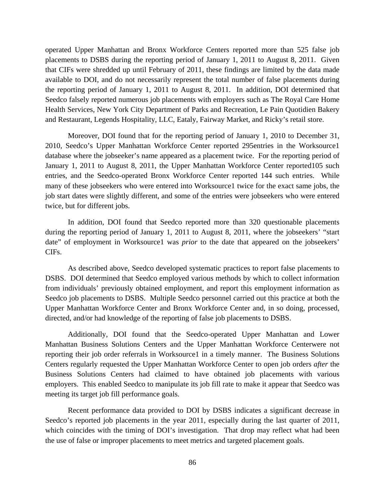operated Upper Manhattan and Bronx Workforce Centers reported more than 525 false job placements to DSBS during the reporting period of January 1, 2011 to August 8, 2011. Given that CIFs were shredded up until February of 2011, these findings are limited by the data made available to DOI, and do not necessarily represent the total number of false placements during the reporting period of January 1, 2011 to August 8, 2011. In addition, DOI determined that Seedco falsely reported numerous job placements with employers such as The Royal Care Home Health Services, New York City Department of Parks and Recreation, Le Pain Quotidien Bakery and Restaurant, Legends Hospitality, LLC, Eataly, Fairway Market, and Ricky's retail store.

Moreover, DOI found that for the reporting period of January 1, 2010 to December 31, 2010, Seedco's Upper Manhattan Workforce Center reported 295entries in the Worksource1 database where the jobseeker's name appeared as a placement twice. For the reporting period of January 1, 2011 to August 8, 2011, the Upper Manhattan Workforce Center reported105 such entries, and the Seedco-operated Bronx Workforce Center reported 144 such entries. While many of these jobseekers who were entered into Worksource1 twice for the exact same jobs, the job start dates were slightly different, and some of the entries were jobseekers who were entered twice, but for different jobs.

In addition, DOI found that Seedco reported more than 320 questionable placements during the reporting period of January 1, 2011 to August 8, 2011, where the jobseekers' "start date" of employment in Worksource1 was *prior* to the date that appeared on the jobseekers' CIFs.

As described above, Seedco developed systematic practices to report false placements to DSBS. DOI determined that Seedco employed various methods by which to collect information from individuals' previously obtained employment, and report this employment information as Seedco job placements to DSBS. Multiple Seedco personnel carried out this practice at both the Upper Manhattan Workforce Center and Bronx Workforce Center and, in so doing, processed, directed, and/or had knowledge of the reporting of false job placements to DSBS.

Additionally, DOI found that the Seedco-operated Upper Manhattan and Lower Manhattan Business Solutions Centers and the Upper Manhattan Workforce Centerwere not reporting their job order referrals in Worksource1 in a timely manner. The Business Solutions Centers regularly requested the Upper Manhattan Workforce Center to open job orders *after* the Business Solutions Centers had claimed to have obtained job placements with various employers. This enabled Seedco to manipulate its job fill rate to make it appear that Seedco was meeting its target job fill performance goals.

Recent performance data provided to DOI by DSBS indicates a significant decrease in Seedco's reported job placements in the year 2011, especially during the last quarter of 2011, which coincides with the timing of DOI's investigation. That drop may reflect what had been the use of false or improper placements to meet metrics and targeted placement goals.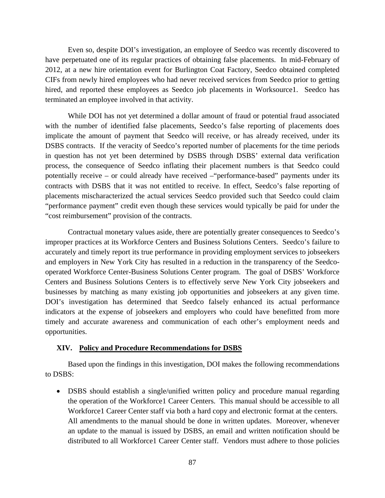Even so, despite DOI's investigation, an employee of Seedco was recently discovered to have perpetuated one of its regular practices of obtaining false placements. In mid-February of 2012, at a new hire orientation event for Burlington Coat Factory, Seedco obtained completed CIFs from newly hired employees who had never received services from Seedco prior to getting hired, and reported these employees as Seedco job placements in Worksource1. Seedco has terminated an employee involved in that activity.

While DOI has not yet determined a dollar amount of fraud or potential fraud associated with the number of identified false placements, Seedco's false reporting of placements does implicate the amount of payment that Seedco will receive, or has already received, under its DSBS contracts. If the veracity of Seedco's reported number of placements for the time periods in question has not yet been determined by DSBS through DSBS' external data verification process, the consequence of Seedco inflating their placement numbers is that Seedco could potentially receive – or could already have received –"performance-based" payments under its contracts with DSBS that it was not entitled to receive. In effect, Seedco's false reporting of placements mischaracterized the actual services Seedco provided such that Seedco could claim "performance payment" credit even though these services would typically be paid for under the "cost reimbursement" provision of the contracts.

Contractual monetary values aside, there are potentially greater consequences to Seedco's improper practices at its Workforce Centers and Business Solutions Centers. Seedco's failure to accurately and timely report its true performance in providing employment services to jobseekers and employers in New York City has resulted in a reduction in the transparency of the Seedcooperated Workforce Center-Business Solutions Center program. The goal of DSBS' Workforce Centers and Business Solutions Centers is to effectively serve New York City jobseekers and businesses by matching as many existing job opportunities and jobseekers at any given time. DOI's investigation has determined that Seedco falsely enhanced its actual performance indicators at the expense of jobseekers and employers who could have benefitted from more timely and accurate awareness and communication of each other's employment needs and opportunities.

## **XIV. Policy and Procedure Recommendations for DSBS**

 Based upon the findings in this investigation, DOI makes the following recommendations to DSBS:

• DSBS should establish a single/unified written policy and procedure manual regarding the operation of the Workforce1 Career Centers. This manual should be accessible to all Workforce1 Career Center staff via both a hard copy and electronic format at the centers. All amendments to the manual should be done in written updates. Moreover, whenever an update to the manual is issued by DSBS, an email and written notification should be distributed to all Workforce1 Career Center staff. Vendors must adhere to those policies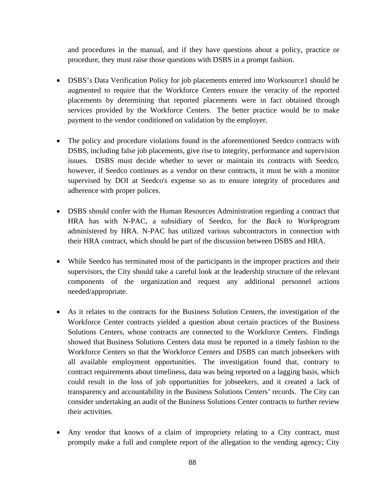and procedures in the manual, and if they have questions about a policy, practice or procedure, they must raise those questions with DSBS in a prompt fashion.

- DSBS's Data Verification Policy for job placements entered into Worksource1 should be augmented to require that the Workforce Centers ensure the veracity of the reported placements by determining that reported placements were in fact obtained through services provided by the Workforce Centers. The better practice would be to make payment to the vendor conditioned on validation by the employer.
- The policy and procedure violations found in the aforementioned Seedco contracts with DSBS, including false job placements, give rise to integrity, performance and supervision issues. DSBS must decide whether to sever or maintain its contracts with Seedco, however, if Seedco continues as a vendor on these contracts, it must be with a monitor supervised by DOI at Seedco's expense so as to ensure integrity of procedures and adherence with proper polices.
- DSBS should confer with the Human Resources Administration regarding a contract that HRA has with N-PAC, a subsidiary of Seedco, for the *Back to Work*program administered by HRA. N-PAC has utilized various subcontractors in connection with their HRA contract, which should be part of the discussion between DSBS and HRA.
- While Seedco has terminated most of the participants in the improper practices and their supervisors, the City should take a careful look at the leadership structure of the relevant components of the organization and request any additional personnel actions needed/appropriate.
- As it relates to the contracts for the Business Solution Centers, the investigation of the Workforce Center contracts yielded a question about certain practices of the Business Solutions Centers, whose contracts are connected to the Workforce Centers. Findings showed that Business Solutions Centers data must be reported in a timely fashion to the Workforce Centers so that the Workforce Centers and DSBS can match jobseekers with all available employment opportunities. The investigation found that, contrary to contract requirements about timeliness, data was being reported on a lagging basis, which could result in the loss of job opportunities for jobseekers, and it created a lack of transparency and accountability in the Business Solutions Centers' records. The City can consider undertaking an audit of the Business Solutions Center contracts to further review their activities.
- Any vendor that knows of a claim of impropriety relating to a City contract, must promptly make a full and complete report of the allegation to the vending agency; City